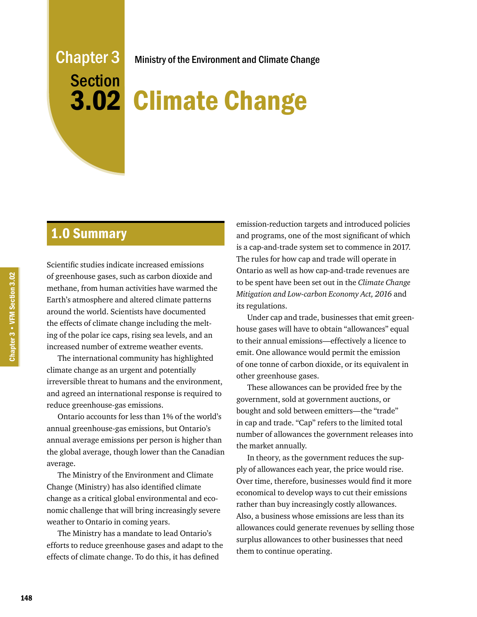# Chapter 3 Section 3.02

Ministry of the Environment and Climate Change

# Climate Change

## 1.0 Summary

Scientific studies indicate increased emissions of greenhouse gases, such as carbon dioxide and methane, from human activities have warmed the Earth's atmosphere and altered climate patterns around the world. Scientists have documented the effects of climate change including the melting of the polar ice caps, rising sea levels, and an increased number of extreme weather events.

The international community has highlighted climate change as an urgent and potentially irreversible threat to humans and the environment, and agreed an international response is required to reduce greenhouse-gas emissions.

Ontario accounts for less than 1% of the world's annual greenhouse-gas emissions, but Ontario's annual average emissions per person is higher than the global average, though lower than the Canadian average.

The Ministry of the Environment and Climate Change (Ministry) has also identified climate change as a critical global environmental and economic challenge that will bring increasingly severe weather to Ontario in coming years.

The Ministry has a mandate to lead Ontario's efforts to reduce greenhouse gases and adapt to the effects of climate change. To do this, it has defined

emission-reduction targets and introduced policies and programs, one of the most significant of which is a cap-and-trade system set to commence in 2017. The rules for how cap and trade will operate in Ontario as well as how cap-and-trade revenues are to be spent have been set out in the *Climate Change Mitigation and Low-carbon Economy Act, 2016* and its regulations.

Under cap and trade, businesses that emit greenhouse gases will have to obtain "allowances" equal to their annual emissions—effectively a licence to emit. One allowance would permit the emission of one tonne of carbon dioxide, or its equivalent in other greenhouse gases.

These allowances can be provided free by the government, sold at government auctions, or bought and sold between emitters—the "trade" in cap and trade. "Cap" refers to the limited total number of allowances the government releases into the market annually.

In theory, as the government reduces the supply of allowances each year, the price would rise. Over time, therefore, businesses would find it more economical to develop ways to cut their emissions rather than buy increasingly costly allowances. Also, a business whose emissions are less than its allowances could generate revenues by selling those surplus allowances to other businesses that need them to continue operating.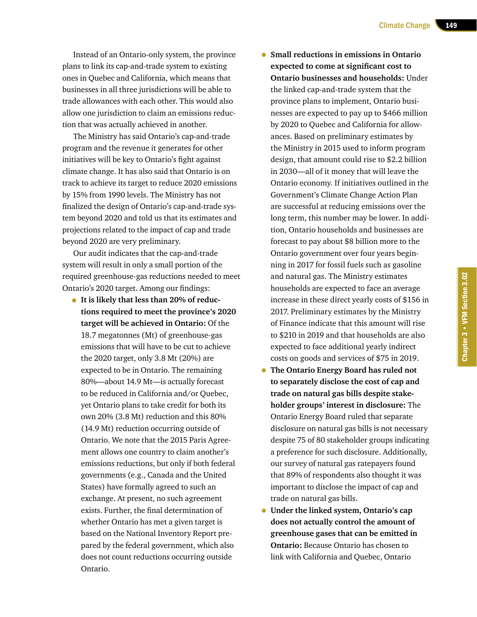Instead of an Ontario-only system, the province plans to link its cap-and-trade system to existing ones in Quebec and California, which means that businesses in all three jurisdictions will be able to trade allowances with each other. This would also allow one jurisdiction to claim an emissions reduction that was actually achieved in another.

The Ministry has said Ontario's cap-and-trade program and the revenue it generates for other initiatives will be key to Ontario's fight against climate change. It has also said that Ontario is on track to achieve its target to reduce 2020 emissions by 15% from 1990 levels. The Ministry has not finalized the design of Ontario's cap-and-trade system beyond 2020 and told us that its estimates and projections related to the impact of cap and trade beyond 2020 are very preliminary.

Our audit indicates that the cap-and-trade system will result in only a small portion of the required greenhouse-gas reductions needed to meet Ontario's 2020 target. Among our findings:

- **It is likely that less than 20% of reductions required to meet the province's 2020 target will be achieved in Ontario:** Of the 18.7 megatonnes (Mt) of greenhouse-gas emissions that will have to be cut to achieve the 2020 target, only 3.8 Mt (20%) are expected to be in Ontario. The remaining 80%—about 14.9 Mt—is actually forecast to be reduced in California and/or Quebec, yet Ontario plans to take credit for both its own 20% (3.8 Mt) reduction and this 80% (14.9 Mt) reduction occurring outside of Ontario. We note that the 2015 Paris Agreement allows one country to claim another's emissions reductions, but only if both federal governments (e.g., Canada and the United States) have formally agreed to such an exchange. At present, no such agreement exists. Further, the final determination of whether Ontario has met a given target is based on the National Inventory Report prepared by the federal government, which also does not count reductions occurring outside Ontario.
- **Small reductions in emissions in Ontario expected to come at significant cost to Ontario businesses and households:** Under the linked cap-and-trade system that the province plans to implement, Ontario businesses are expected to pay up to \$466 million by 2020 to Quebec and California for allowances. Based on preliminary estimates by the Ministry in 2015 used to inform program design, that amount could rise to \$2.2 billion in 2030—all of it money that will leave the Ontario economy. If initiatives outlined in the Government's Climate Change Action Plan are successful at reducing emissions over the long term, this number may be lower. In addition, Ontario households and businesses are forecast to pay about \$8 billion more to the Ontario government over four years beginning in 2017 for fossil fuels such as gasoline and natural gas. The Ministry estimates households are expected to face an average increase in these direct yearly costs of \$156 in 2017. Preliminary estimates by the Ministry of Finance indicate that this amount will rise to \$210 in 2019 and that households are also expected to face additional yearly indirect costs on goods and services of \$75 in 2019.
- **The Ontario Energy Board has ruled not to separately disclose the cost of cap and trade on natural gas bills despite stakeholder groups' interest in disclosure:** The Ontario Energy Board ruled that separate disclosure on natural gas bills is not necessary despite 75 of 80 stakeholder groups indicating a preference for such disclosure. Additionally, our survey of natural gas ratepayers found that 89% of respondents also thought it was important to disclose the impact of cap and trade on natural gas bills.
- **Under the linked system, Ontario's cap does not actually control the amount of greenhouse gases that can be emitted in Ontario:** Because Ontario has chosen to link with California and Quebec, Ontario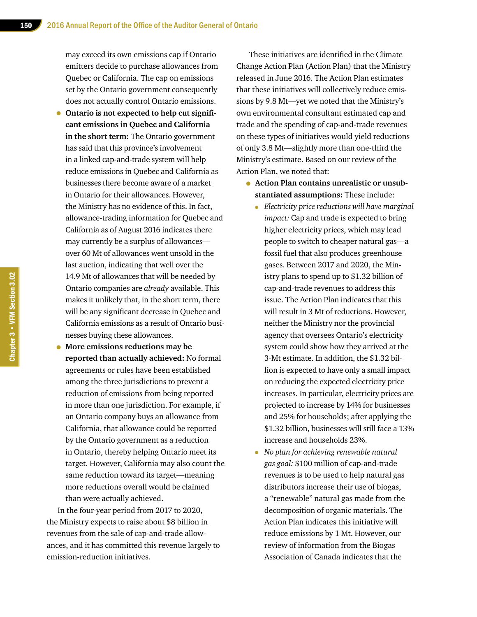may exceed its own emissions cap if Ontario emitters decide to purchase allowances from Quebec or California. The cap on emissions set by the Ontario government consequently does not actually control Ontario emissions.

- **Ontario is not expected to help cut significant emissions in Quebec and California in the short term:** The Ontario government has said that this province's involvement in a linked cap-and-trade system will help reduce emissions in Quebec and California as businesses there become aware of a market in Ontario for their allowances. However, the Ministry has no evidence of this. In fact, allowance-trading information for Quebec and California as of August 2016 indicates there may currently be a surplus of allowances over 60 Mt of allowances went unsold in the last auction, indicating that well over the 14.9 Mt of allowances that will be needed by Ontario companies are *already* available. This makes it unlikely that, in the short term, there will be any significant decrease in Quebec and California emissions as a result of Ontario businesses buying these allowances.
- **More emissions reductions may be reported than actually achieved:** No formal agreements or rules have been established among the three jurisdictions to prevent a reduction of emissions from being reported in more than one jurisdiction. For example, if an Ontario company buys an allowance from California, that allowance could be reported by the Ontario government as a reduction in Ontario, thereby helping Ontario meet its target. However, California may also count the same reduction toward its target—meaning more reductions overall would be claimed than were actually achieved.

In the four-year period from 2017 to 2020, the Ministry expects to raise about \$8 billion in revenues from the sale of cap-and-trade allowances, and it has committed this revenue largely to emission-reduction initiatives.

 These initiatives are identified in the Climate Change Action Plan (Action Plan) that the Ministry released in June 2016. The Action Plan estimates that these initiatives will collectively reduce emissions by 9.8 Mt—yet we noted that the Ministry's own environmental consultant estimated cap and trade and the spending of cap-and-trade revenues on these types of initiatives would yield reductions of only 3.8 Mt—slightly more than one-third the Ministry's estimate. Based on our review of the Action Plan, we noted that:

- **Action Plan contains unrealistic or unsubstantiated assumptions:** These include:
	- *Electricity price reductions will have marginal impact:* Cap and trade is expected to bring higher electricity prices, which may lead people to switch to cheaper natural gas—a fossil fuel that also produces greenhouse gases. Between 2017 and 2020, the Ministry plans to spend up to \$1.32 billion of cap-and-trade revenues to address this issue. The Action Plan indicates that this will result in 3 Mt of reductions. However, neither the Ministry nor the provincial agency that oversees Ontario's electricity system could show how they arrived at the 3-Mt estimate. In addition, the \$1.32 billion is expected to have only a small impact on reducing the expected electricity price increases. In particular, electricity prices are projected to increase by 14% for businesses and 25% for households; after applying the \$1.32 billion, businesses will still face a 13% increase and households 23%.
	- *No plan for achieving renewable natural gas goal:* \$100 million of cap-and-trade revenues is to be used to help natural gas distributors increase their use of biogas, a "renewable" natural gas made from the decomposition of organic materials. The Action Plan indicates this initiative will reduce emissions by 1 Mt. However, our review of information from the Biogas Association of Canada indicates that the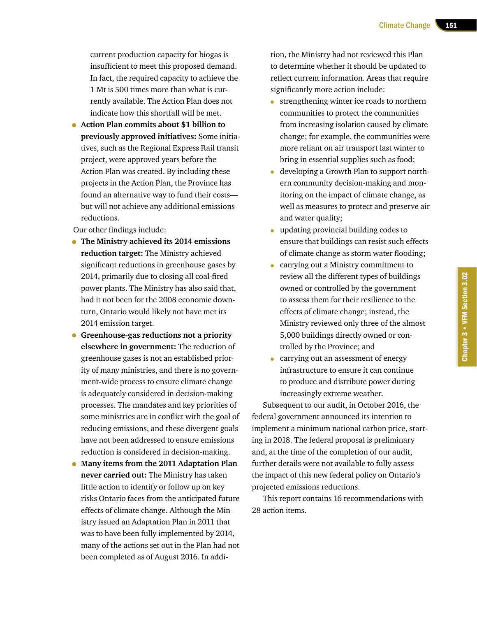current production capacity for biogas is insufficient to meet this proposed demand. In fact, the required capacity to achieve the 1 Mt is 500 times more than what is currently available. The Action Plan does not indicate how this shortfall will be met.

• **Action Plan commits about \$1 billion to previously approved initiatives:** Some initiatives, such as the Regional Express Rail transit project, were approved years before the Action Plan was created. By including these projects in the Action Plan, the Province has found an alternative way to fund their costs but will not achieve any additional emissions reductions.

Our other findings include:

- **The Ministry achieved its 2014 emissions reduction target:** The Ministry achieved significant reductions in greenhouse gases by 2014, primarily due to closing all coal-fired power plants. The Ministry has also said that, had it not been for the 2008 economic downturn, Ontario would likely not have met its 2014 emission target.
- **Greenhouse-gas reductions not a priority elsewhere in government:** The reduction of greenhouse gases is not an established priority of many ministries, and there is no government-wide process to ensure climate change is adequately considered in decision-making processes. The mandates and key priorities of some ministries are in conflict with the goal of reducing emissions, and these divergent goals have not been addressed to ensure emissions reduction is considered in decision-making.
- **Many items from the 2011 Adaptation Plan never carried out:** The Ministry has taken little action to identify or follow up on key risks Ontario faces from the anticipated future effects of climate change. Although the Ministry issued an Adaptation Plan in 2011 that was to have been fully implemented by 2014, many of the actions set out in the Plan had not been completed as of August 2016. In addi-

tion, the Ministry had not reviewed this Plan to determine whether it should be updated to reflect current information. Areas that require significantly more action include:

- strengthening winter ice roads to northern communities to protect the communities from increasing isolation caused by climate change; for example, the communities were more reliant on air transport last winter to bring in essential supplies such as food;
- developing a Growth Plan to support northern community decision-making and monitoring on the impact of climate change, as well as measures to protect and preserve air and water quality;
- updating provincial building codes to ensure that buildings can resist such effects of climate change as storm water flooding;
- carrying out a Ministry commitment to review all the different types of buildings owned or controlled by the government to assess them for their resilience to the effects of climate change; instead, the Ministry reviewed only three of the almost 5,000 buildings directly owned or controlled by the Province; and
- carrying out an assessment of energy infrastructure to ensure it can continue to produce and distribute power during increasingly extreme weather.

Subsequent to our audit, in October 2016, the federal government announced its intention to implement a minimum national carbon price, starting in 2018. The federal proposal is preliminary and, at the time of the completion of our audit, further details were not available to fully assess the impact of this new federal policy on Ontario's projected emissions reductions.

This report contains 16 recommendations with 28 action items.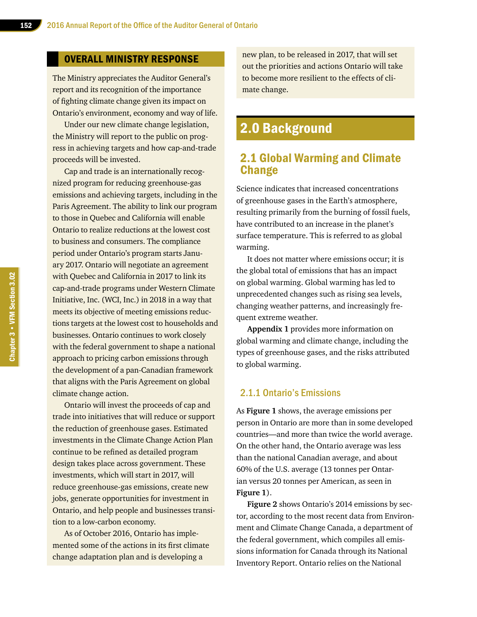#### OVERALL MINISTRY RESPONSE

The Ministry appreciates the Auditor General's report and its recognition of the importance of fighting climate change given its impact on Ontario's environment, economy and way of life.

Under our new climate change legislation, the Ministry will report to the public on progress in achieving targets and how cap-and-trade proceeds will be invested.

Cap and trade is an internationally recognized program for reducing greenhouse-gas emissions and achieving targets, including in the Paris Agreement. The ability to link our program to those in Quebec and California will enable Ontario to realize reductions at the lowest cost to business and consumers. The compliance period under Ontario's program starts January 2017. Ontario will negotiate an agreement with Quebec and California in 2017 to link its cap-and-trade programs under Western Climate Initiative, Inc. (WCI, Inc.) in 2018 in a way that meets its objective of meeting emissions reductions targets at the lowest cost to households and businesses. Ontario continues to work closely with the federal government to shape a national approach to pricing carbon emissions through the development of a pan-Canadian framework that aligns with the Paris Agreement on global climate change action.

Ontario will invest the proceeds of cap and trade into initiatives that will reduce or support the reduction of greenhouse gases. Estimated investments in the Climate Change Action Plan continue to be refined as detailed program design takes place across government. These investments, which will start in 2017, will reduce greenhouse-gas emissions, create new jobs, generate opportunities for investment in Ontario, and help people and businesses transition to a low-carbon economy.

As of October 2016, Ontario has implemented some of the actions in its first climate change adaptation plan and is developing a

new plan, to be released in 2017, that will set out the priorities and actions Ontario will take to become more resilient to the effects of climate change.

## 2.0 Background

## 2.1 Global Warming and Climate **Change**

Science indicates that increased concentrations of greenhouse gases in the Earth's atmosphere, resulting primarily from the burning of fossil fuels, have contributed to an increase in the planet's surface temperature. This is referred to as global warming.

It does not matter where emissions occur; it is the global total of emissions that has an impact on global warming. Global warming has led to unprecedented changes such as rising sea levels, changing weather patterns, and increasingly frequent extreme weather.

**Appendix 1** provides more information on global warming and climate change, including the types of greenhouse gases, and the risks attributed to global warming.

#### 2.1.1 Ontario's Emissions

As **Figure 1** shows, the average emissions per person in Ontario are more than in some developed countries—and more than twice the world average. On the other hand, the Ontario average was less than the national Canadian average, and about 60% of the U.S. average (13 tonnes per Ontarian versus 20 tonnes per American, as seen in **Figure 1**).

**Figure 2** shows Ontario's 2014 emissions by sector, according to the most recent data from Environment and Climate Change Canada, a department of the federal government, which compiles all emissions information for Canada through its National Inventory Report. Ontario relies on the National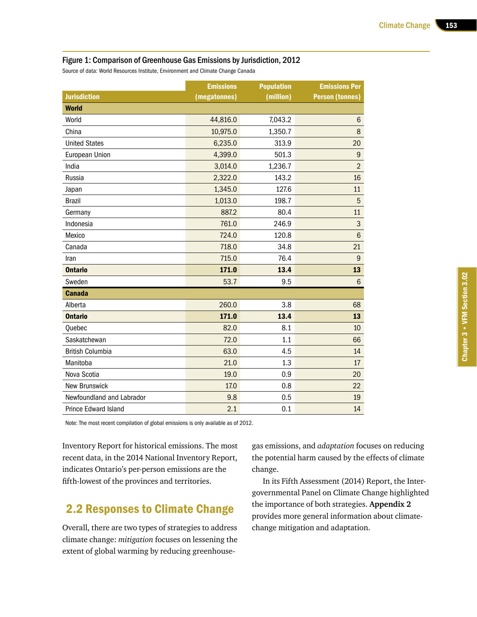#### Figure 1: Comparison of Greenhouse Gas Emissions by Jurisdiction, 2012

Source of data: World Resources Institute, Environment and Climate Change Canada

|                             | <b>Emissions</b> | <b>Population</b> | <b>Emissions Per</b>   |
|-----------------------------|------------------|-------------------|------------------------|
| <b>Jurisdiction</b>         | (megatonnes)     | (million)         | <b>Person (tonnes)</b> |
| <b>World</b>                |                  |                   |                        |
| World                       | 44,816.0         | 7,043.2           | $6\phantom{.}$         |
| China                       | 10,975.0         | 1,350.7           | 8                      |
| <b>United States</b>        | 6,235.0          | 313.9             | 20                     |
| European Union              | 4,399.0          | 501.3             | $\boldsymbol{9}$       |
| India                       | 3,014.0          | 1,236.7           | $\overline{2}$         |
| Russia                      | 2,322.0          | 143.2             | 16                     |
| Japan                       | 1,345.0          | 127.6             | 11                     |
| <b>Brazil</b>               | 1,013.0          | 198.7             | 5                      |
| Germany                     | 887.2            | 80.4              | 11                     |
| Indonesia                   | 761.0            | 246.9             | $\mathsf 3$            |
| Mexico                      | 724.0            | 120.8             | $6\phantom{a}$         |
| Canada                      | 718.0            | 34.8              | 21                     |
| Iran                        | 715.0            | 76.4              | $\boldsymbol{9}$       |
| <b>Ontario</b>              | 171.0            | 13.4              | 13                     |
| Sweden                      | 53.7             | 9.5               | $6\phantom{1}$         |
| <b>Canada</b>               |                  |                   |                        |
| Alberta                     | 260.0            | 3.8               | 68                     |
| <b>Ontario</b>              | 171.0            | 13.4              | 13                     |
| Quebec                      | 82.0             | 8.1               | 10                     |
| Saskatchewan                | 72.0             | 1.1               | 66                     |
| <b>British Columbia</b>     | 63.0             | 4.5               | 14                     |
| Manitoba                    | 21.0             | 1.3               | 17                     |
| Nova Scotia                 | 19.0             | 0.9               | 20                     |
| <b>New Brunswick</b>        | 17.0             | 0.8               | 22                     |
| Newfoundland and Labrador   | 9.8              | 0.5               | 19                     |
| <b>Prince Edward Island</b> | 2.1              | 0.1               | 14                     |

Note: The most recent compilation of global emissions is only available as of 2012.

Inventory Report for historical emissions. The most recent data, in the 2014 National Inventory Report, indicates Ontario's per-person emissions are the fifth-lowest of the provinces and territories.

## 2.2 Responses to Climate Change

Overall, there are two types of strategies to address climate change: *mitigation* focuses on lessening the extent of global warming by reducing greenhousegas emissions, and *adaptation* focuses on reducing the potential harm caused by the effects of climate change.

In its Fifth Assessment (2014) Report, the Intergovernmental Panel on Climate Change highlighted the importance of both strategies. **Appendix 2** provides more general information about climatechange mitigation and adaptation.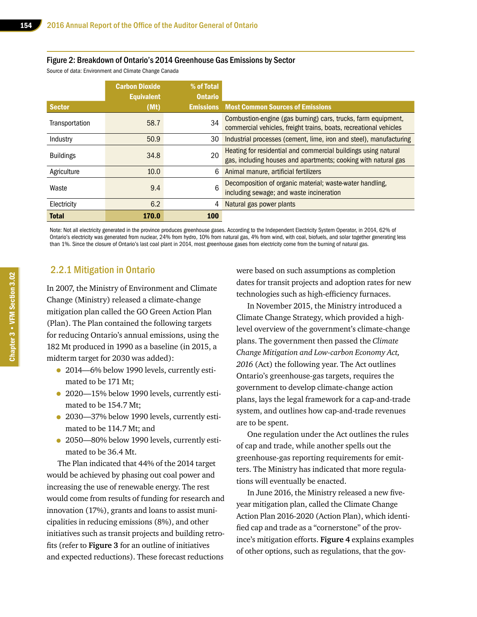#### Figure 2: Breakdown of Ontario's 2014 Greenhouse Gas Emissions by Sector

Source of data: Environment and Climate Change Canada

|                  | <b>Carbon Dioxide</b><br><b>Equivalent</b> | % of Total<br><b>Ontario</b> |                                                                                                                                    |
|------------------|--------------------------------------------|------------------------------|------------------------------------------------------------------------------------------------------------------------------------|
| <b>Sector</b>    | (Mt)                                       | <b>Emissions</b>             | <b>Most Common Sources of Emissions</b>                                                                                            |
| Transportation   | 58.7                                       | 34                           | Combustion-engine (gas burning) cars, trucks, farm equipment,<br>commercial vehicles, freight trains, boats, recreational vehicles |
| Industry         | 50.9                                       | 30                           | Industrial processes (cement, lime, iron and steel), manufacturing                                                                 |
| <b>Buildings</b> | 34.8                                       | 20                           | Heating for residential and commercial buildings using natural<br>gas, including houses and apartments; cooking with natural gas   |
| Agriculture      | 10.0                                       | 6                            | Animal manure, artificial fertilizers                                                                                              |
| Waste            | 9.4                                        | 6                            | Decomposition of organic material; waste-water handling,<br>including sewage; and waste incineration                               |
| Electricity      | 6.2                                        | 4                            | Natural gas power plants                                                                                                           |
| <b>Total</b>     | <b>170.0</b>                               | <b>100</b>                   |                                                                                                                                    |

Note: Not all electricity generated in the province produces greenhouse gases. According to the Independent Electricity System Operator, in 2014, 62% of Ontario's electricity was generated from nuclear, 24% from hydro, 10% from natural gas, 4% from wind, with coal, biofuels, and solar together generating less than 1%. Since the closure of Ontario's last coal plant in 2014, most greenhouse gases from electricity come from the burning of natural gas.

#### 2.2.1 Mitigation in Ontario

In 2007, the Ministry of Environment and Climate Change (Ministry) released a climate-change mitigation plan called the GO Green Action Plan (Plan). The Plan contained the following targets for reducing Ontario's annual emissions, using the 182 Mt produced in 1990 as a baseline (in 2015, a midterm target for 2030 was added):

- 2014—6% below 1990 levels, currently estimated to be 171 Mt;
- 2020-15% below 1990 levels, currently estimated to be 154.7 Mt;
- 2030—37% below 1990 levels, currently estimated to be 114.7 Mt; and
- 2050—80% below 1990 levels, currently estimated to be 36.4 Mt.

The Plan indicated that 44% of the 2014 target would be achieved by phasing out coal power and increasing the use of renewable energy. The rest would come from results of funding for research and innovation (17%), grants and loans to assist municipalities in reducing emissions (8%), and other initiatives such as transit projects and building retrofits (refer to **Figure 3** for an outline of initiatives and expected reductions). These forecast reductions

were based on such assumptions as completion dates for transit projects and adoption rates for new technologies such as high-efficiency furnaces.

In November 2015, the Ministry introduced a Climate Change Strategy, which provided a highlevel overview of the government's climate-change plans. The government then passed the *Climate Change Mitigation and Low-carbon Economy Act, 2016* (Act) the following year. The Act outlines Ontario's greenhouse-gas targets, requires the government to develop climate-change action plans, lays the legal framework for a cap-and-trade system, and outlines how cap-and-trade revenues are to be spent.

One regulation under the Act outlines the rules of cap and trade, while another spells out the greenhouse-gas reporting requirements for emitters. The Ministry has indicated that more regulations will eventually be enacted.

In June 2016, the Ministry released a new fiveyear mitigation plan, called the Climate Change Action Plan 2016-2020 (Action Plan), which identified cap and trade as a "cornerstone" of the province's mitigation efforts. **Figure 4** explains examples of other options, such as regulations, that the gov-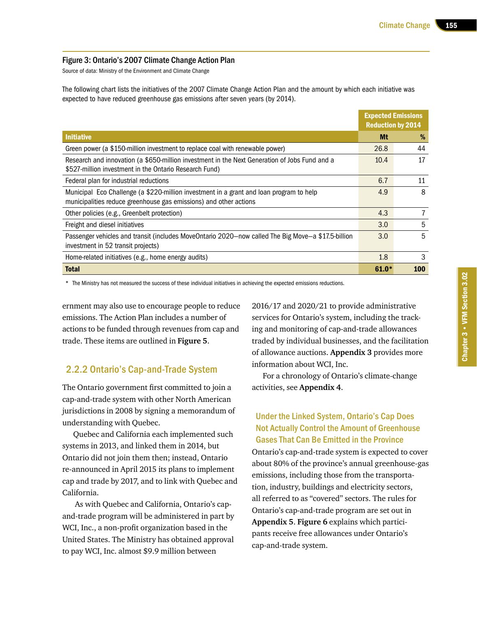#### Figure 3: Ontario's 2007 Climate Change Action Plan

Source of data: Ministry of the Environment and Climate Change

The following chart lists the initiatives of the 2007 Climate Change Action Plan and the amount by which each initiative was expected to have reduced greenhouse gas emissions after seven years (by 2014).

|                                                                                                                                                              | <b>Expected Emissions</b><br><b>Reduction by 2014</b> |     |
|--------------------------------------------------------------------------------------------------------------------------------------------------------------|-------------------------------------------------------|-----|
| <b>Initiative</b>                                                                                                                                            | Mt                                                    | %   |
| Green power (a \$150-million investment to replace coal with renewable power)                                                                                | 26.8                                                  | 44  |
| Research and innovation (a \$650-million investment in the Next Generation of Jobs Fund and a<br>\$527-million investment in the Ontario Research Fund)      | 10.4                                                  | 17  |
| Federal plan for industrial reductions                                                                                                                       | 6.7                                                   | 11  |
| Municipal Eco Challenge (a \$220-million investment in a grant and loan program to help<br>municipalities reduce greenhouse gas emissions) and other actions | 4.9                                                   | 8   |
| Other policies (e.g., Greenbelt protection)                                                                                                                  | 4.3                                                   | 7   |
| Freight and diesel initiatives                                                                                                                               | 3.0                                                   | 5   |
| Passenger vehicles and transit (includes MoveOntario 2020-now called The Big Move-a \$17.5-billion<br>investment in 52 transit projects)                     | 3.0                                                   | 5   |
| Home-related initiatives (e.g., home energy audits)                                                                                                          | 1.8                                                   | 3   |
| <b>Total</b>                                                                                                                                                 | $61.0*$                                               | 100 |

\* The Ministry has not measured the success of these individual initiatives in achieving the expected emissions reductions.

ernment may also use to encourage people to reduce emissions. The Action Plan includes a number of actions to be funded through revenues from cap and trade. These items are outlined in **Figure 5**.

#### 2.2.2 Ontario's Cap-and-Trade System

The Ontario government first committed to join a cap-and-trade system with other North American jurisdictions in 2008 by signing a memorandum of understanding with Quebec.

Quebec and California each implemented such systems in 2013, and linked them in 2014, but Ontario did not join them then; instead, Ontario re-announced in April 2015 its plans to implement cap and trade by 2017, and to link with Quebec and California.

 As with Quebec and California, Ontario's capand-trade program will be administered in part by WCI, Inc., a non-profit organization based in the United States. The Ministry has obtained approval to pay WCI, Inc. almost \$9.9 million between

2016/17 and 2020/21 to provide administrative services for Ontario's system, including the tracking and monitoring of cap-and-trade allowances traded by individual businesses, and the facilitation of allowance auctions. **Appendix 3** provides more information about WCI, Inc.

For a chronology of Ontario's climate-change activities, see **Appendix 4**.

#### Under the Linked System, Ontario's Cap Does Not Actually Control the Amount of Greenhouse Gases That Can Be Emitted in the Province

Ontario's cap-and-trade system is expected to cover about 80% of the province's annual greenhouse-gas emissions, including those from the transportation, industry, buildings and electricity sectors, all referred to as "covered" sectors. The rules for Ontario's cap-and-trade program are set out in **Appendix 5**. **Figure 6** explains which participants receive free allowances under Ontario's cap-and-trade system.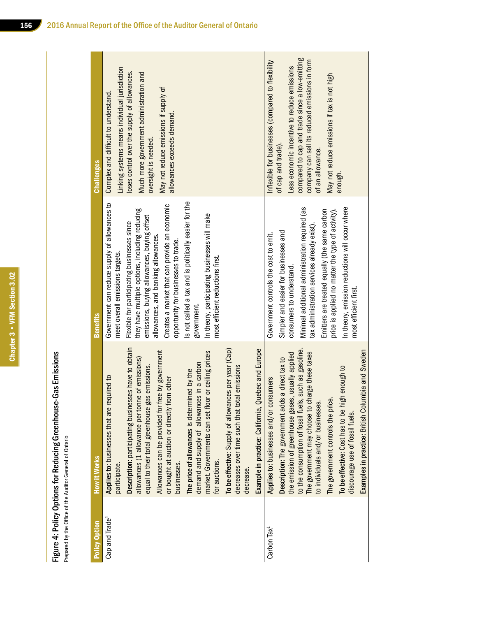Chapter 3 • VFM Section 3.02 Chapter 3 • VFM Section 3.02

Figure 4: Policy Options for Reducing Greenhouse-Gas Emissions<br>Prepared by the Office of the Auditor General of Ontario Figure 4: Policy Options for Reducing Greenhouse-Gas Emissions

Prepared by the Office of the Auditor General of Ontario

| <b>Challenges</b> | Linking systems means individual jurisdiction<br>loses control over the supply of allowances.<br>Much more government administration and<br>May not reduce emissions if supply of<br>Complex and difficult to understand.<br>allowances exceeds demand.<br>oversight is needed.                                                                                                                                                                                                                                                                                                                                                                                                                | compared to cap and trade since a low-emitting<br>company can sell its reduced emissions in form<br>Inflexible for businesses (compared to flexibility<br>Less economic incentive to reduce emissions<br>May not reduce emissions if tax is not high<br>of cap and trade).<br>of an allowance.<br>enough.                                                                                                                                                                        |
|-------------------|------------------------------------------------------------------------------------------------------------------------------------------------------------------------------------------------------------------------------------------------------------------------------------------------------------------------------------------------------------------------------------------------------------------------------------------------------------------------------------------------------------------------------------------------------------------------------------------------------------------------------------------------------------------------------------------------|----------------------------------------------------------------------------------------------------------------------------------------------------------------------------------------------------------------------------------------------------------------------------------------------------------------------------------------------------------------------------------------------------------------------------------------------------------------------------------|
| <b>Benefits</b>   | is not called a tax and is politically easier for the<br>Government can reduce supply of allowances to<br>Creates a market that can provide an economic<br>they have multiple options, including reducing<br>In theory, participating businesses will make<br>emissions, buying allowances, buying offset<br>Flexible for participating businesses since<br>allowances, and banking allowances.<br>opportunity for businesses to trade.<br>meet overall emissions targets.<br>most efficient reductions first.<br>government.                                                                                                                                                                  | Minimal additional administration required (as<br>In theory, emission reductions will occur where<br>Emitters are treated equally (the same carbon<br>price is applied no matter the type of activity).<br>tax administration services already exist).<br>Simpler and easier for businesses and<br>Government controls the cost to emit.<br>consumers to understand.<br>most efficient first.                                                                                    |
| How it Works      | Description: participating businesses have to obtain<br>Example in practice: California, Quebec and Europe<br>To be effective: Supply of allowances per year (Cap)<br>Allowances can be provided for free by government<br>market. Governments can set floor or ceiling prices<br>allowances (1 allowance per tonne of emissions)<br>demand and supply of allowances in a carbon<br>equal to their total greenhouse gas emissions.<br>decreases over time such that total emissions<br>The price of allowances is determined by the<br>Applies to: businesses that are required to<br>or bought at auction or directly from other<br>for auctions.<br>businesses.<br>participate.<br>decrease. | to the consumption of fossil fuels, such as gasoline.<br>Examples in practice: British Columbia and Sweden<br>The government may choose to charge these taxes<br>the emission of greenhouse gases, usually applied<br>Description: The government adds a direct tax to<br>To be effective: Cost has to be high enough to<br>Applies to: businesses and/or consumers<br>to individuals and/or businesses.<br>The government controls the price<br>discourage use of fossil fuels. |
| Policy Option     | Cap and Trade <sup>1</sup>                                                                                                                                                                                                                                                                                                                                                                                                                                                                                                                                                                                                                                                                     | Carbon Tax <sup>1</sup>                                                                                                                                                                                                                                                                                                                                                                                                                                                          |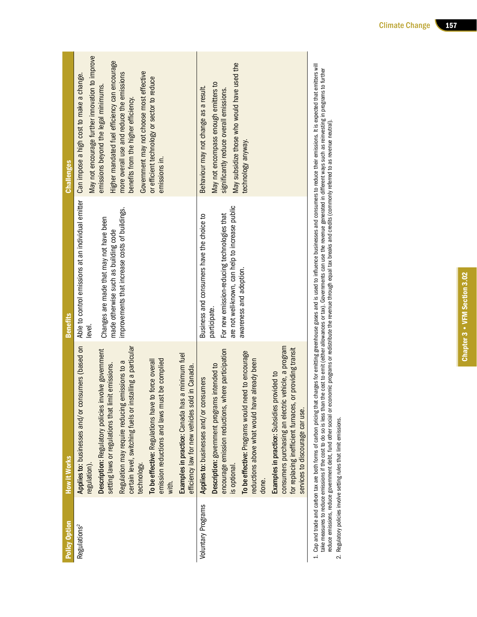| Policy Option             | How it Works                                                                                                                                                                                                               | <b>Benefits</b>                                                                                                | <b>Challenges</b>                                                                                                              |
|---------------------------|----------------------------------------------------------------------------------------------------------------------------------------------------------------------------------------------------------------------------|----------------------------------------------------------------------------------------------------------------|--------------------------------------------------------------------------------------------------------------------------------|
| Regulations <sup>2</sup>  | Applies to: businesses and/or consumers (based on<br>regulation).                                                                                                                                                          | Able to control emissions at an individual emitter Can impose a high cost to make a change.<br>level.          | May not encourage further innovation to improve                                                                                |
|                           | Description: Regulatory policies involve government<br>setting laws or regulations that limit emissions.                                                                                                                   | Changes are made that may not have been<br>made otherwise such as building code                                | Higher mandated fuel efficiency can encourage<br>emissions beyond the legal minimums.                                          |
|                           | certain level, switching fuels or installing a particular<br>Regulation may require reducing emissions to a<br>technology.                                                                                                 | improvements that increase costs of buildings.                                                                 | Government may not choose most effective<br>more overall use and reduce the emissions<br>benefits from the higher efficiency.  |
|                           | ist be complied<br>to force overall<br>To be effective: Regulations have<br>emission reductions and laws mu<br>with.                                                                                                       |                                                                                                                | or efficient technology or sector to reduce<br>emissions in.                                                                   |
|                           | Examples in practice: Canada has a minimum fuel<br>efficiency law for new vehicles sold in Canada.                                                                                                                         |                                                                                                                |                                                                                                                                |
| <b>Voluntary Programs</b> | Applies to: businesses and/or consumers                                                                                                                                                                                    | Business and consumers have the choice to                                                                      | Behaviour may not change as a result.                                                                                          |
|                           | encourage emission reductions, where participation<br>Description: government programs intended to<br>is optional.                                                                                                         | are not well-known, can help to increase public<br>For new emission-reducing technologies that<br>participate. | May subsidize those who would have used the<br>May not encompass enough emitters to<br>significantly reduce overall emissions. |
|                           | need to encourage<br>re already been<br>reductions above what would hay<br>To be effective: Programs would r<br>done.                                                                                                      | awareness and adoption.                                                                                        | technology anyway.                                                                                                             |
|                           | consumers purchasing an electric vehicle, a program<br>or providing transit<br>provided to<br>for replacing inefficient furnaces,<br>Examples in practice: Subsidies<br>services to discourage car use.                    |                                                                                                                |                                                                                                                                |
|                           | 1. Cap and trade and carbon tax are both forms of carbon pricing that charges for emitting greenhouse gases and is used to influence businesses and consumers to reduce their emissions. It is expected that emitters will |                                                                                                                |                                                                                                                                |

take measures to reduce emissions if the cost to do so is less than the cost to emit (either allowances or tax). Governments can use the revenue generated in different ways such as reinvesting in programs to further<br>reduce take measures to reduce emissions if the cost to do so is less than the cost to emit (either allowances or tax). Governments can use the revenue generated in different ways such as reinvesting in programs to further reduce emissions, reduce government debt, fund other social or economic programs or redistribute the revenue through equal tax breaks and credits (commonly referred to as revenue neutral).

2. Regulatory policies involve setting rules that limit emissions. 2. Regulatory policies involve setting rules that limit emissions.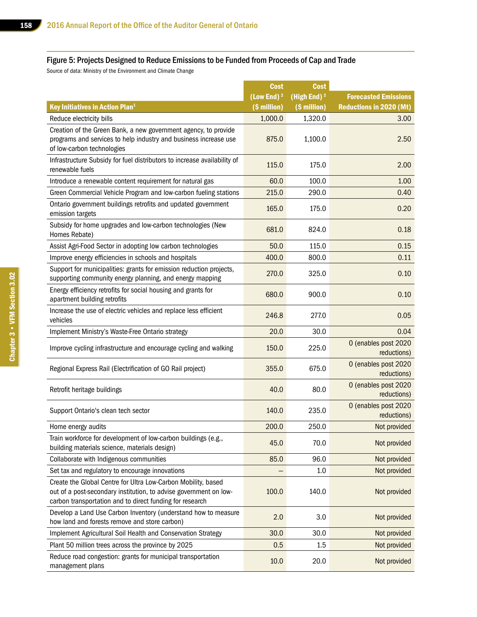#### Figure 5: Projects Designed to Reduce Emissions to be Funded from Proceeds of Cap and Trade

Source of data: Ministry of the Environment and Climate Change

|                                                                                                                                                                                                | <b>Cost</b>            | <b>Cost</b>             |                                     |
|------------------------------------------------------------------------------------------------------------------------------------------------------------------------------------------------|------------------------|-------------------------|-------------------------------------|
|                                                                                                                                                                                                | (Low End) <sup>2</sup> | (High End) <sup>2</sup> | <b>Forecasted Emissions</b>         |
| <b>Key Initiatives in Action Plan<sup>1</sup></b>                                                                                                                                              | (\$ million)           | (\$ million)            | <b>Reductions in 2020 (Mt)</b>      |
| Reduce electricity bills                                                                                                                                                                       | 1,000.0                | 1,320.0                 | 3.00                                |
| Creation of the Green Bank, a new government agency, to provide<br>programs and services to help industry and business increase use<br>of low-carbon technologies                              | 875.0                  | 1,100.0                 | 2.50                                |
| Infrastructure Subsidy for fuel distributors to increase availability of<br>renewable fuels                                                                                                    | 115.0                  | 175.0                   | 2.00                                |
| Introduce a renewable content requirement for natural gas                                                                                                                                      | 60.0                   | 100.0                   | 1.00                                |
| Green Commercial Vehicle Program and low-carbon fueling stations                                                                                                                               | 215.0                  | 290.0                   | 0.40                                |
| Ontario government buildings retrofits and updated government<br>emission targets                                                                                                              | 165.0                  | 175.0                   | 0.20                                |
| Subsidy for home upgrades and low-carbon technologies (New<br>Homes Rebate)                                                                                                                    | 681.0                  | 824.0                   | 0.18                                |
| Assist Agri-Food Sector in adopting low carbon technologies                                                                                                                                    | 50.0                   | 115.0                   | 0.15                                |
| Improve energy efficiencies in schools and hospitals                                                                                                                                           | 400.0                  | 800.0                   | 0.11                                |
| Support for municipalities: grants for emission reduction projects,<br>supporting community energy planning, and energy mapping                                                                | 270.0                  | 325.0                   | 0.10                                |
| Energy efficiency retrofits for social housing and grants for<br>apartment building retrofits                                                                                                  | 680.0                  | 900.0                   | 0.10                                |
| Increase the use of electric vehicles and replace less efficient<br>vehicles                                                                                                                   | 246.8                  | 277.0                   | 0.05                                |
| Implement Ministry's Waste-Free Ontario strategy                                                                                                                                               | 20.0                   | 30.0                    | 0.04                                |
| Improve cycling infrastructure and encourage cycling and walking                                                                                                                               | 150.0                  | 225.0                   | 0 (enables post 2020<br>reductions) |
| Regional Express Rail (Electrification of GO Rail project)                                                                                                                                     | 355.0                  | 675.0                   | 0 (enables post 2020<br>reductions) |
| Retrofit heritage buildings                                                                                                                                                                    | 40.0                   | 80.0                    | 0 (enables post 2020<br>reductions) |
| Support Ontario's clean tech sector                                                                                                                                                            | 140.0                  | 235.0                   | 0 (enables post 2020<br>reductions) |
| Home energy audits                                                                                                                                                                             | 200.0                  | 250.0                   | Not provided                        |
| Train workforce for development of low-carbon buildings (e.g.,<br>building materials science, materials design)                                                                                | 45.0                   | 70.0                    | Not provided                        |
| Collaborate with Indigenous communities                                                                                                                                                        | 85.0                   | 96.0                    | Not provided                        |
| Set tax and regulatory to encourage innovations                                                                                                                                                |                        | 1.0                     | Not provided                        |
| Create the Global Centre for Ultra Low-Carbon Mobility, based<br>out of a post-secondary institution, to advise government on low-<br>carbon transportation and to direct funding for research | 100.0                  | 140.0                   | Not provided                        |
| Develop a Land Use Carbon Inventory (understand how to measure<br>how land and forests remove and store carbon)                                                                                | 2.0                    | 3.0                     | Not provided                        |
| Implement Agricultural Soil Health and Conservation Strategy                                                                                                                                   | 30.0                   | 30.0                    | Not provided                        |
| Plant 50 million trees across the province by 2025                                                                                                                                             | 0.5                    | 1.5                     | Not provided                        |
| Reduce road congestion: grants for municipal transportation<br>management plans                                                                                                                | 10.0                   | 20.0                    | Not provided                        |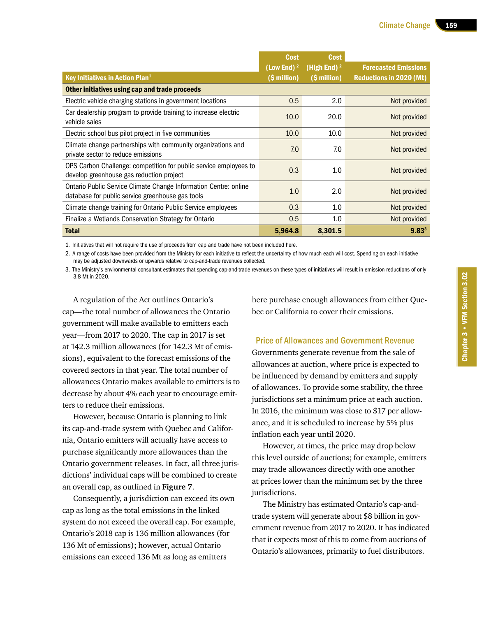|                                                                                                                      | <b>Cost</b>            | <b>Cost</b>    |                                |
|----------------------------------------------------------------------------------------------------------------------|------------------------|----------------|--------------------------------|
|                                                                                                                      | (Low End) <sup>2</sup> | (High End) $2$ | <b>Forecasted Emissions</b>    |
| Key Initiatives in Action Plan <sup>1</sup>                                                                          | (\$ million)           | (\$ million)   | <b>Reductions in 2020 (Mt)</b> |
| Other initiatives using cap and trade proceeds                                                                       |                        |                |                                |
| Electric vehicle charging stations in government locations                                                           | 0.5                    | 2.0            | Not provided                   |
| Car dealership program to provide training to increase electric<br>vehicle sales                                     | 10.0                   | 20.0           | Not provided                   |
| Electric school bus pilot project in five communities                                                                | 10.0                   | 10.0           | Not provided                   |
| Climate change partnerships with community organizations and<br>private sector to reduce emissions                   | 7.0                    | 7.0            | Not provided                   |
| OPS Carbon Challenge: competition for public service employees to<br>develop greenhouse gas reduction project        | 0.3                    | 1.0            | Not provided                   |
| Ontario Public Service Climate Change Information Centre: online<br>database for public service greenhouse gas tools | 1.0                    | 2.0            | Not provided                   |
| Climate change training for Ontario Public Service employees                                                         | 0.3                    | 1.0            | Not provided                   |
| Finalize a Wetlands Conservation Strategy for Ontario                                                                | 0.5                    | 1.0            | Not provided                   |
| <b>Total</b>                                                                                                         | 5,964.8                | 8,301.5        | $9.83^{3}$                     |

1. Initiatives that will not require the use of proceeds from cap and trade have not been included here.

2. A range of costs have been provided from the Ministry for each initiative to reflect the uncertainty of how much each will cost. Spending on each initiative may be adjusted downwards or upwards relative to cap-and-trade revenues collected.

3. The Ministry's environmental consultant estimates that spending cap-and-trade revenues on these types of initiatives will result in emission reductions of only 3.8 Mt in 2020.

A regulation of the Act outlines Ontario's cap—the total number of allowances the Ontario government will make available to emitters each year—from 2017 to 2020. The cap in 2017 is set at 142.3 million allowances (for 142.3 Mt of emissions), equivalent to the forecast emissions of the covered sectors in that year. The total number of allowances Ontario makes available to emitters is to decrease by about 4% each year to encourage emitters to reduce their emissions.

However, because Ontario is planning to link its cap-and-trade system with Quebec and California, Ontario emitters will actually have access to purchase significantly more allowances than the Ontario government releases. In fact, all three jurisdictions' individual caps will be combined to create an overall cap, as outlined in **Figure 7**.

Consequently, a jurisdiction can exceed its own cap as long as the total emissions in the linked system do not exceed the overall cap. For example, Ontario's 2018 cap is 136 million allowances (for 136 Mt of emissions); however, actual Ontario emissions can exceed 136 Mt as long as emitters

here purchase enough allowances from either Quebec or California to cover their emissions.

Price of Allowances and Government Revenue Governments generate revenue from the sale of allowances at auction, where price is expected to be influenced by demand by emitters and supply of allowances. To provide some stability, the three jurisdictions set a minimum price at each auction. In 2016, the minimum was close to \$17 per allowance, and it is scheduled to increase by 5% plus inflation each year until 2020.

However, at times, the price may drop below this level outside of auctions; for example, emitters may trade allowances directly with one another at prices lower than the minimum set by the three jurisdictions.

The Ministry has estimated Ontario's cap-andtrade system will generate about \$8 billion in government revenue from 2017 to 2020. It has indicated that it expects most of this to come from auctions of Ontario's allowances, primarily to fuel distributors.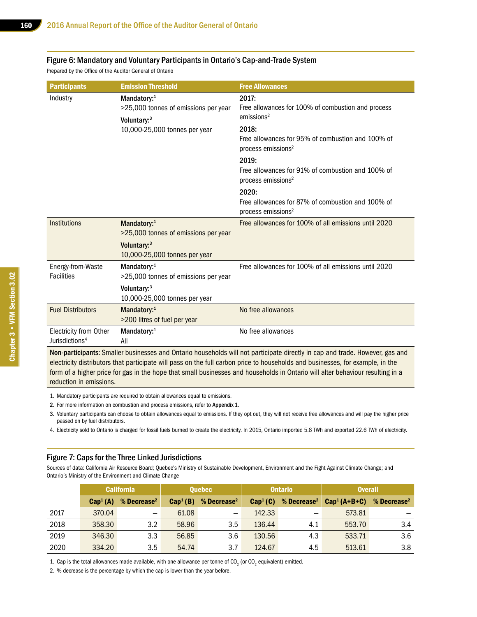#### Figure 6: Mandatory and Voluntary Participants in Ontario's Cap-and-Trade System

Prepared by the Office of the Auditor General of Ontario

| <b>Participants</b>                                                                                                          | <b>Emission Threshold</b>                                                                                       | <b>Free Allowances</b>                                                                         |  |  |  |
|------------------------------------------------------------------------------------------------------------------------------|-----------------------------------------------------------------------------------------------------------------|------------------------------------------------------------------------------------------------|--|--|--|
| Industry                                                                                                                     | Mandatory:1<br>>25,000 tonnes of emissions per year<br>Voluntary: <sup>3</sup><br>10,000-25,000 tonnes per year | 2017:<br>Free allowances for 100% of combustion and process<br>emissions <sup>2</sup><br>2018: |  |  |  |
|                                                                                                                              |                                                                                                                 | Free allowances for 95% of combustion and 100% of<br>process emissions <sup>2</sup>            |  |  |  |
|                                                                                                                              |                                                                                                                 | 2019:<br>Free allowances for 91% of combustion and 100% of<br>process emissions <sup>2</sup>   |  |  |  |
|                                                                                                                              |                                                                                                                 | 2020:<br>Free allowances for 87% of combustion and 100% of<br>process emissions <sup>2</sup>   |  |  |  |
| Institutions                                                                                                                 | Mandatory:1<br>>25,000 tonnes of emissions per year                                                             | Free allowances for 100% of all emissions until 2020                                           |  |  |  |
|                                                                                                                              | Voluntary: <sup>3</sup><br>10,000-25,000 tonnes per year                                                        |                                                                                                |  |  |  |
| Energy-from-Waste<br><b>Facilities</b>                                                                                       | Mandatory:1<br>>25,000 tonnes of emissions per year                                                             | Free allowances for 100% of all emissions until 2020                                           |  |  |  |
|                                                                                                                              | Voluntary: <sup>3</sup><br>10,000-25,000 tonnes per year                                                        |                                                                                                |  |  |  |
| <b>Fuel Distributors</b>                                                                                                     | Mandatory:1<br>>200 litres of fuel per year                                                                     | No free allowances                                                                             |  |  |  |
| Electricity from Other<br>Jurisdictions <sup>4</sup>                                                                         | Mandatory:1<br>All                                                                                              | No free allowances                                                                             |  |  |  |
| Non-participants: Smaller businesses and Ontario households will not participate directly in cap and trade. However, gas and |                                                                                                                 |                                                                                                |  |  |  |

electricity distributors that participate will pass on the full carbon price to households and businesses, for example, in the form of a higher price for gas in the hope that small businesses and households in Ontario will alter behaviour resulting in a reduction in emissions.

- 1. Mandatory participants are required to obtain allowances equal to emissions.
- 2. For more information on combustion and process emissions, refer to Appendix 1.
- 3. Voluntary participants can choose to obtain allowances equal to emissions. If they opt out, they will not receive free allowances and will pay the higher price passed on by fuel distributors.
- 4. Electricity sold to Ontario is charged for fossil fuels burned to create the electricity. In 2015, Ontario imported 5.8 TWh and exported 22.6 TWh of electricity.

#### Figure 7: Caps for the Three Linked Jurisdictions

Sources of data: California Air Resource Board; Quebec's Ministry of Sustainable Development, Environment and the Fight Against Climate Change; and Ontario's Ministry of the Environment and Climate Change

|      | <b>California</b>    |                           |                      | <b>Quebec</b>            |                      | <b>Ontario</b>            |               | <b>Overall</b>          |  |
|------|----------------------|---------------------------|----------------------|--------------------------|----------------------|---------------------------|---------------|-------------------------|--|
|      | Cap <sup>1</sup> (A) | $%$ Decrease <sup>2</sup> | Cap <sup>1</sup> (B) | % Decrease <sup>2</sup>  | Cap <sup>1</sup> (C) | $%$ Decrease <sup>2</sup> | $Cap1(A+B+C)$ | % Decrease <sup>2</sup> |  |
| 2017 | 370.04               | $\overline{\phantom{0}}$  | 61.08                | $\overline{\phantom{m}}$ | 142.33               |                           | 573.81        |                         |  |
| 2018 | 358.30               | 3.2                       | 58.96                | 3.5                      | 136.44               | 4.1                       | 553.70        | 3.4                     |  |
| 2019 | 346.30               | 3.3                       | 56.85                | 3.6                      | 130.56               | 4.3                       | 533.71        | 3.6                     |  |
| 2020 | 334.20               | 3.5                       | 54.74                | 3.7                      | 124.67               | 4.5                       | 513.61        | 3.8                     |  |

1. Cap is the total allowances made available, with one allowance per tonne of CO<sub>2</sub> (or CO<sub>2</sub> equivalent) emitted.

2. % decrease is the percentage by which the cap is lower than the year before.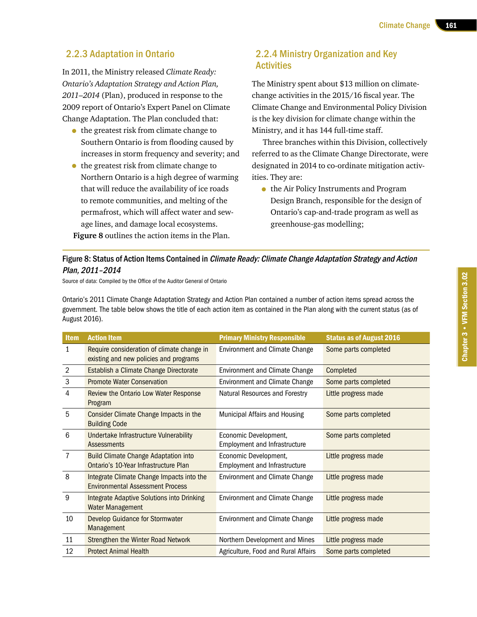## 2.2.3 Adaptation in Ontario

In 2011, the Ministry released *Climate Ready: Ontario's Adaptation Strategy and Action Plan, 2011–2014* (Plan), produced in response to the 2009 report of Ontario's Expert Panel on Climate Change Adaptation. The Plan concluded that:

- the greatest risk from climate change to Southern Ontario is from flooding caused by increases in storm frequency and severity; and
- the greatest risk from climate change to Northern Ontario is a high degree of warming that will reduce the availability of ice roads to remote communities, and melting of the permafrost, which will affect water and sewage lines, and damage local ecosystems. **Figure 8** outlines the action items in the Plan.

## 2.2.4 Ministry Organization and Key **Activities**

The Ministry spent about \$13 million on climatechange activities in the 2015/16 fiscal year. The Climate Change and Environmental Policy Division is the key division for climate change within the Ministry, and it has 144 full-time staff.

Three branches within this Division, collectively referred to as the Climate Change Directorate, were designated in 2014 to co-ordinate mitigation activities. They are:

• the Air Policy Instruments and Program Design Branch, responsible for the design of Ontario's cap-and-trade program as well as greenhouse-gas modelling;

#### Figure 8: Status of Action Items Contained in *Climate Ready: Climate Change Adaptation Strategy and Action* Plan, 2011–2014

Source of data: Compiled by the Office of the Auditor General of Ontario

Ontario's 2011 Climate Change Adaptation Strategy and Action Plan contained a number of action items spread across the government. The table below shows the title of each action item as contained in the Plan along with the current status (as of August 2016).

| Item | <b>Action Item</b>                                                                   | <b>Primary Ministry Responsible</b>                           | <b>Status as of August 2016</b> |
|------|--------------------------------------------------------------------------------------|---------------------------------------------------------------|---------------------------------|
| 1    | Require consideration of climate change in<br>existing and new policies and programs | <b>Environment and Climate Change</b>                         | Some parts completed            |
| 2    | Establish a Climate Change Directorate                                               | <b>Environment and Climate Change</b>                         | Completed                       |
| 3    | <b>Promote Water Conservation</b>                                                    | <b>Environment and Climate Change</b>                         | Some parts completed            |
| 4    | Review the Ontario Low Water Response<br>Program                                     | Natural Resources and Forestry                                | Little progress made            |
| 5    | Consider Climate Change Impacts in the<br><b>Building Code</b>                       | Municipal Affairs and Housing                                 | Some parts completed            |
| 6    | Undertake Infrastructure Vulnerability<br>Assessments                                | Economic Development,<br><b>Employment and Infrastructure</b> | Some parts completed            |
| 7    | <b>Build Climate Change Adaptation into</b><br>Ontario's 10-Year Infrastructure Plan | Economic Development,<br><b>Employment and Infrastructure</b> | Little progress made            |
| 8    | Integrate Climate Change Impacts into the<br><b>Environmental Assessment Process</b> | <b>Environment and Climate Change</b>                         | Little progress made            |
| 9    | Integrate Adaptive Solutions into Drinking<br>Water Management                       | <b>Environment and Climate Change</b>                         | Little progress made            |
| 10   | <b>Develop Guidance for Stormwater</b><br>Management                                 | <b>Environment and Climate Change</b>                         | Little progress made            |
| 11   | <b>Strengthen the Winter Road Network</b>                                            | Northern Development and Mines                                | Little progress made            |
| 12   | <b>Protect Animal Health</b>                                                         | Agriculture, Food and Rural Affairs                           | Some parts completed            |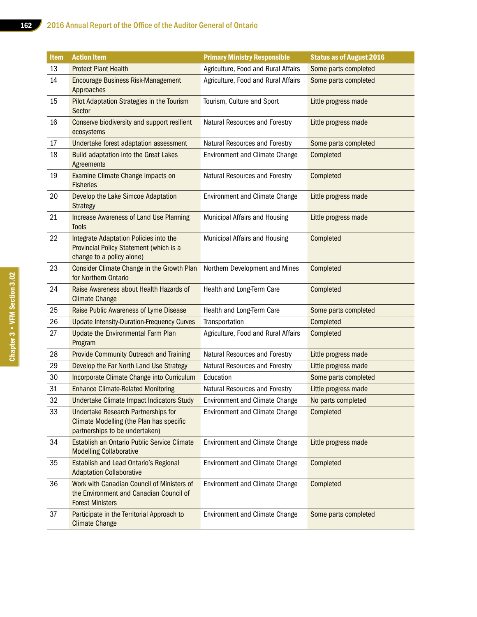| <b>Item</b> | <b>Action Item</b>                                                                                                              | <b>Primary Ministry Responsible</b>   | <b>Status as of August 2016</b> |
|-------------|---------------------------------------------------------------------------------------------------------------------------------|---------------------------------------|---------------------------------|
| 13          | <b>Protect Plant Health</b>                                                                                                     | Agriculture, Food and Rural Affairs   | Some parts completed            |
| 14          | <b>Encourage Business Risk-Management</b><br>Approaches                                                                         | Agriculture, Food and Rural Affairs   | Some parts completed            |
| 15          | Pilot Adaptation Strategies in the Tourism<br>Sector                                                                            | Tourism, Culture and Sport            | Little progress made            |
| 16          | Conserve biodiversity and support resilient<br>ecosystems                                                                       | Natural Resources and Forestry        | Little progress made            |
| 17          | Undertake forest adaptation assessment                                                                                          | Natural Resources and Forestry        | Some parts completed            |
| 18          | <b>Build adaptation into the Great Lakes</b><br>Agreements                                                                      | <b>Environment and Climate Change</b> | Completed                       |
| 19          | Examine Climate Change impacts on<br><b>Fisheries</b>                                                                           | Natural Resources and Forestry        | Completed                       |
| 20          | Develop the Lake Simcoe Adaptation<br><b>Strategy</b>                                                                           | <b>Environment and Climate Change</b> | Little progress made            |
| 21          | <b>Increase Awareness of Land Use Planning</b><br><b>Tools</b>                                                                  | Municipal Affairs and Housing         | Little progress made            |
| 22          | Integrate Adaptation Policies into the<br>Provincial Policy Statement (which is a<br>change to a policy alone)                  | Municipal Affairs and Housing         | Completed                       |
| 23          | Consider Climate Change in the Growth Plan<br>for Northern Ontario                                                              | Northern Development and Mines        | Completed                       |
| 24          | Raise Awareness about Health Hazards of<br><b>Climate Change</b>                                                                | Health and Long-Term Care             | Completed                       |
| 25          | Raise Public Awareness of Lyme Disease                                                                                          | Health and Long-Term Care             | Some parts completed            |
| 26          | <b>Update Intensity-Duration-Frequency Curves</b>                                                                               | Transportation                        | Completed                       |
| 27          | <b>Update the Environmental Farm Plan</b><br>Program                                                                            | Agriculture, Food and Rural Affairs   | Completed                       |
| 28          | Provide Community Outreach and Training                                                                                         | Natural Resources and Forestry        | Little progress made            |
| 29          | Develop the Far North Land Use Strategy                                                                                         | Natural Resources and Forestry        | Little progress made            |
| 30          | Incorporate Climate Change into Curriculum                                                                                      | Education                             | Some parts completed            |
| 31          | <b>Enhance Climate-Related Monitoring</b>                                                                                       | Natural Resources and Forestry        | Little progress made            |
| 32          | Undertake Climate Impact Indicators Study                                                                                       | Environment and Climate Change        | No parts completed              |
| 33          | <b>Undertake Research Partnerships for</b><br><b>Climate Modelling (the Plan has specific</b><br>partnerships to be undertaken) | <b>Environment and Climate Change</b> | Completed                       |
| 34          | Establish an Ontario Public Service Climate<br><b>Modelling Collaborative</b>                                                   | <b>Environment and Climate Change</b> | Little progress made            |
| 35          | <b>Establish and Lead Ontario's Regional</b><br><b>Adaptation Collaborative</b>                                                 | <b>Environment and Climate Change</b> | Completed                       |
| 36          | Work with Canadian Council of Ministers of<br>the Environment and Canadian Council of<br><b>Forest Ministers</b>                | <b>Environment and Climate Change</b> | Completed                       |
| 37          | Participate in the Territorial Approach to<br><b>Climate Change</b>                                                             | <b>Environment and Climate Change</b> | Some parts completed            |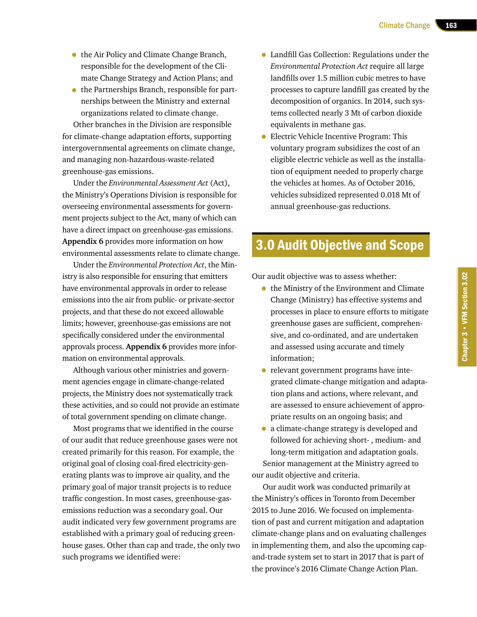- the Air Policy and Climate Change Branch, responsible for the development of the Climate Change Strategy and Action Plans; and
- the Partnerships Branch, responsible for partnerships between the Ministry and external organizations related to climate change.

Other branches in the Division are responsible for climate-change adaptation efforts, supporting intergovernmental agreements on climate change, and managing non-hazardous-waste-related greenhouse-gas emissions.

Under the *Environmental Assessment Act* (Act), the Ministry's Operations Division is responsible for overseeing environmental assessments for government projects subject to the Act, many of which can have a direct impact on greenhouse-gas emissions. **Appendix 6** provides more information on how environmental assessments relate to climate change.

Under the *Environmental Protection Act*, the Ministry is also responsible for ensuring that emitters have environmental approvals in order to release emissions into the air from public- or private-sector projects, and that these do not exceed allowable limits; however, greenhouse-gas emissions are not specifically considered under the environmental approvals process. **Appendix 6** provides more information on environmental approvals.

Although various other ministries and government agencies engage in climate-change-related projects, the Ministry does not systematically track these activities, and so could not provide an estimate of total government spending on climate change.

Most programs that we identified in the course of our audit that reduce greenhouse gases were not created primarily for this reason. For example, the original goal of closing coal-fired electricity-generating plants was to improve air quality, and the primary goal of major transit projects is to reduce traffic congestion. In most cases, greenhouse-gasemissions reduction was a secondary goal. Our audit indicated very few government programs are established with a primary goal of reducing greenhouse gases. Other than cap and trade, the only two such programs we identified were:

- Landfill Gas Collection: Regulations under the *Environmental Protection Act* require all large landfills over 1.5 million cubic metres to have processes to capture landfill gas created by the decomposition of organics. In 2014, such systems collected nearly 3 Mt of carbon dioxide equivalents in methane gas.
- Electric Vehicle Incentive Program: This voluntary program subsidizes the cost of an eligible electric vehicle as well as the installation of equipment needed to properly charge the vehicles at homes. As of October 2016, vehicles subsidized represented 0.018 Mt of annual greenhouse-gas reductions.

## 3.0 Audit Objective and Scope

Our audit objective was to assess whether:

- the Ministry of the Environment and Climate Change (Ministry) has effective systems and processes in place to ensure efforts to mitigate greenhouse gases are sufficient, comprehensive, and co-ordinated, and are undertaken and assessed using accurate and timely information;
- relevant government programs have integrated climate-change mitigation and adaptation plans and actions, where relevant, and are assessed to ensure achievement of appropriate results on an ongoing basis; and
- a climate-change strategy is developed and followed for achieving short- , medium- and long-term mitigation and adaptation goals. Senior management at the Ministry agreed to our audit objective and criteria.

Our audit work was conducted primarily at the Ministry's offices in Toronto from December 2015 to June 2016. We focused on implementation of past and current mitigation and adaptation climate-change plans and on evaluating challenges in implementing them, and also the upcoming capand-trade system set to start in 2017 that is part of the province's 2016 Climate Change Action Plan.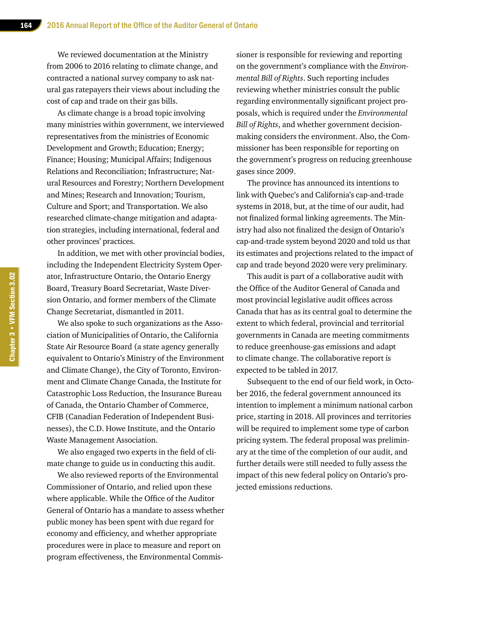We reviewed documentation at the Ministry from 2006 to 2016 relating to climate change, and contracted a national survey company to ask natural gas ratepayers their views about including the cost of cap and trade on their gas bills.

As climate change is a broad topic involving many ministries within government, we interviewed representatives from the ministries of Economic Development and Growth; Education; Energy; Finance; Housing; Municipal Affairs; Indigenous Relations and Reconciliation; Infrastructure; Natural Resources and Forestry; Northern Development and Mines; Research and Innovation; Tourism, Culture and Sport; and Transportation. We also researched climate-change mitigation and adaptation strategies, including international, federal and other provinces' practices.

In addition, we met with other provincial bodies, including the Independent Electricity System Operator, Infrastructure Ontario, the Ontario Energy Board, Treasury Board Secretariat, Waste Diversion Ontario, and former members of the Climate Change Secretariat, dismantled in 2011.

We also spoke to such organizations as the Association of Municipalities of Ontario, the California State Air Resource Board (a state agency generally equivalent to Ontario's Ministry of the Environment and Climate Change), the City of Toronto, Environment and Climate Change Canada, the Institute for Catastrophic Loss Reduction, the Insurance Bureau of Canada, the Ontario Chamber of Commerce, CFIB (Canadian Federation of Independent Businesses), the C.D. Howe Institute, and the Ontario Waste Management Association.

We also engaged two experts in the field of climate change to guide us in conducting this audit.

We also reviewed reports of the Environmental Commissioner of Ontario, and relied upon these where applicable. While the Office of the Auditor General of Ontario has a mandate to assess whether public money has been spent with due regard for economy and efficiency, and whether appropriate procedures were in place to measure and report on program effectiveness, the Environmental Commis-

sioner is responsible for reviewing and reporting on the government's compliance with the *Environmental Bill of Rights*. Such reporting includes reviewing whether ministries consult the public regarding environmentally significant project proposals, which is required under the *Environmental Bill of Rights*, and whether government decisionmaking considers the environment. Also, the Commissioner has been responsible for reporting on the government's progress on reducing greenhouse gases since 2009.

The province has announced its intentions to link with Quebec's and California's cap-and-trade systems in 2018, but, at the time of our audit, had not finalized formal linking agreements. The Ministry had also not finalized the design of Ontario's cap-and-trade system beyond 2020 and told us that its estimates and projections related to the impact of cap and trade beyond 2020 were very preliminary.

This audit is part of a collaborative audit with the Office of the Auditor General of Canada and most provincial legislative audit offices across Canada that has as its central goal to determine the extent to which federal, provincial and territorial governments in Canada are meeting commitments to reduce greenhouse-gas emissions and adapt to climate change. The collaborative report is expected to be tabled in 2017.

Subsequent to the end of our field work, in October 2016, the federal government announced its intention to implement a minimum national carbon price, starting in 2018. All provinces and territories will be required to implement some type of carbon pricing system. The federal proposal was preliminary at the time of the completion of our audit, and further details were still needed to fully assess the impact of this new federal policy on Ontario's projected emissions reductions.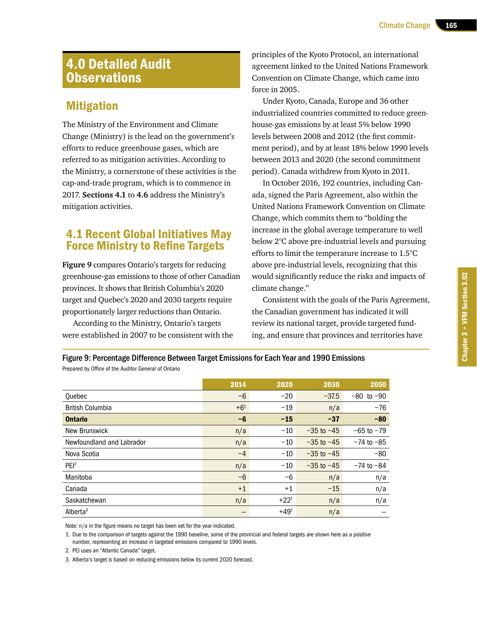## 4.0 Detailed Audit **Observations**

## **Mitigation**

The Ministry of the Environment and Climate Change (Ministry) is the lead on the government's efforts to reduce greenhouse gases, which are referred to as mitigation activities. According to the Ministry, a cornerstone of these activities is the cap-and-trade program, which is to commence in 2017. **Sections 4.1** to **4.6** address the Ministry's mitigation activities.

## 4.1 Recent Global Initiatives May Force Ministry to Refine Targets

**Figure 9** compares Ontario's targets for reducing greenhouse-gas emissions to those of other Canadian provinces. It shows that British Columbia's 2020 target and Quebec's 2020 and 2030 targets require proportionately larger reductions than Ontario.

According to the Ministry, Ontario's targets were established in 2007 to be consistent with the

principles of the Kyoto Protocol, an international agreement linked to the United Nations Framework Convention on Climate Change, which came into force in 2005.

Under Kyoto, Canada, Europe and 36 other industrialized countries committed to reduce greenhouse-gas emissions by at least 5% below 1990 levels between 2008 and 2012 (the first commitment period), and by at least 18% below 1990 levels between 2013 and 2020 (the second commitment period). Canada withdrew from Kyoto in 2011.

In October 2016, 192 countries, including Canada, signed the Paris Agreement, also within the United Nations Framework Convention on Climate Change, which commits them to "holding the increase in the global average temperature to well below 2°C above pre-industrial levels and pursuing efforts to limit the temperature increase to 1.5°C above pre-industrial levels, recognizing that this would significantly reduce the risks and impacts of climate change."

Consistent with the goals of the Paris Agreement, the Canadian government has indicated it will review its national target, provide targeted funding, and ensure that provinces and territories have

Figure 9: Percentage Difference Between Target Emissions for Each Year and 1990 Emissions Prepared by Office of the Auditor General of Ontario

|                           | 2014     | 2020      | 2030           | 2050           |
|---------------------------|----------|-----------|----------------|----------------|
| <b>Ouebec</b>             | $-6$     | $-20$     | $-37.5$        | $-80$ to $-90$ |
| <b>British Columbia</b>   | $+6^{1}$ | $-19$     | n/a            | $-76$          |
| <b>Ontario</b>            | $-6$     | $-15$     | $-37$          | $-80$          |
| <b>New Brunswick</b>      | n/a      | $-10$     | $-35$ to $-45$ | $-65$ to $-79$ |
| Newfoundland and Labrador | n/a      | $-10$     | $-35$ to $-45$ | $-74$ to $-85$ |
| Nova Scotia               | $-4$     | $-10$     | $-35$ to $-45$ | $-80$          |
| PEI <sup>2</sup>          | n/a      | $-10$     | $-35$ to $-45$ | $-74$ to $-84$ |
| Manitoba                  | $-6$     | -6        | n/a            | n/a            |
| Canada                    | $+1$     | $+1$      | $-15$          | n/a            |
| Saskatchewan              | n/a      | $+22^{1}$ | n/a            | n/a            |
| Alberta <sup>3</sup>      |          | $+49^{1}$ | n/a            |                |

Note: n/a in the figure means no target has been set for the year indicated.

1. Due to the comparison of targets against the 1990 baseline, some of the provincial and federal targets are shown here as a positive number, representing an increase in targeted emissions compared to 1990 levels.

2. PEI uses an "Atlantic Canada" target.

3. Alberta's target is based on reducing emissions below its current 2020 forecast.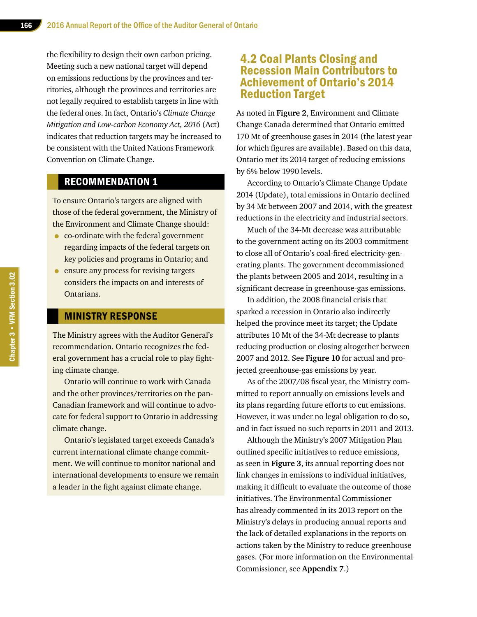the flexibility to design their own carbon pricing. Meeting such a new national target will depend on emissions reductions by the provinces and territories, although the provinces and territories are not legally required to establish targets in line with the federal ones. In fact, Ontario's *Climate Change Mitigation and Low-carbon Economy Act, 2016* (Act) indicates that reduction targets may be increased to be consistent with the United Nations Framework Convention on Climate Change.

#### RECOMMENDATION 1

To ensure Ontario's targets are aligned with those of the federal government, the Ministry of the Environment and Climate Change should:

- co-ordinate with the federal government regarding impacts of the federal targets on key policies and programs in Ontario; and
- ensure any process for revising targets considers the impacts on and interests of Ontarians.

#### MINISTRY RESPONSE

The Ministry agrees with the Auditor General's recommendation. Ontario recognizes the federal government has a crucial role to play fighting climate change.

Ontario will continue to work with Canada and the other provinces/territories on the pan-Canadian framework and will continue to advocate for federal support to Ontario in addressing climate change.

Ontario's legislated target exceeds Canada's current international climate change commitment. We will continue to monitor national and international developments to ensure we remain a leader in the fight against climate change.

## 4.2 Coal Plants Closing and Recession Main Contributors to Achievement of Ontario's 2014 Reduction Target

As noted in **Figure 2**, Environment and Climate Change Canada determined that Ontario emitted 170 Mt of greenhouse gases in 2014 (the latest year for which figures are available). Based on this data, Ontario met its 2014 target of reducing emissions by 6% below 1990 levels.

According to Ontario's Climate Change Update 2014 (Update), total emissions in Ontario declined by 34 Mt between 2007 and 2014, with the greatest reductions in the electricity and industrial sectors.

Much of the 34-Mt decrease was attributable to the government acting on its 2003 commitment to close all of Ontario's coal-fired electricity-generating plants. The government decommissioned the plants between 2005 and 2014, resulting in a significant decrease in greenhouse-gas emissions.

In addition, the 2008 financial crisis that sparked a recession in Ontario also indirectly helped the province meet its target; the Update attributes 10 Mt of the 34-Mt decrease to plants reducing production or closing altogether between 2007 and 2012. See **Figure 10** for actual and projected greenhouse-gas emissions by year.

As of the 2007/08 fiscal year, the Ministry committed to report annually on emissions levels and its plans regarding future efforts to cut emissions. However, it was under no legal obligation to do so, and in fact issued no such reports in 2011 and 2013.

Although the Ministry's 2007 Mitigation Plan outlined specific initiatives to reduce emissions, as seen in **Figure 3**, its annual reporting does not link changes in emissions to individual initiatives, making it difficult to evaluate the outcome of those initiatives. The Environmental Commissioner has already commented in its 2013 report on the Ministry's delays in producing annual reports and the lack of detailed explanations in the reports on actions taken by the Ministry to reduce greenhouse gases. (For more information on the Environmental Commissioner, see **Appendix 7**.)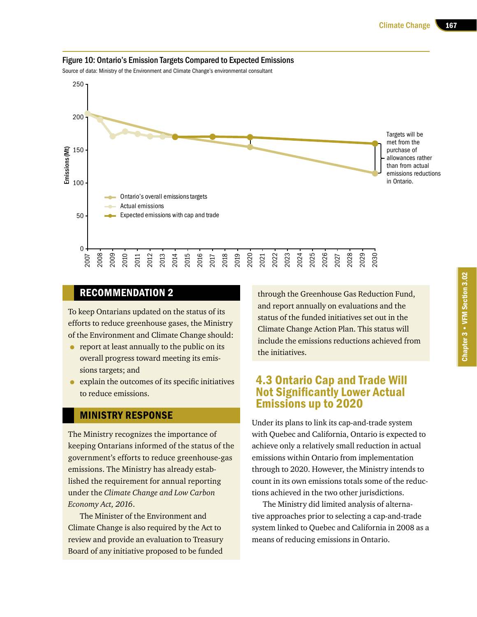

#### Figure 10: Ontario's Emission Targets Compared to Expected Emissions

Source of data: Ministry of the Environment and Climate Change's environmental consultant

## RECOMMENDATION 2

To keep Ontarians updated on the status of its efforts to reduce greenhouse gases, the Ministry of the Environment and Climate Change should:

- report at least annually to the public on its overall progress toward meeting its emissions targets; and
- explain the outcomes of its specific initiatives to reduce emissions.

#### MINISTRY RESPONSE

The Ministry recognizes the importance of keeping Ontarians informed of the status of the government's efforts to reduce greenhouse-gas emissions. The Ministry has already established the requirement for annual reporting under the *Climate Change and Low Carbon Economy Act, 2016*.

The Minister of the Environment and Climate Change is also required by the Act to review and provide an evaluation to Treasury Board of any initiative proposed to be funded through the Greenhouse Gas Reduction Fund, and report annually on evaluations and the status of the funded initiatives set out in the Climate Change Action Plan. This status will include the emissions reductions achieved from the initiatives.

## 4.3 Ontario Cap and Trade Will Not Significantly Lower Actual Emissions up to 2020

Under its plans to link its cap-and-trade system with Quebec and California, Ontario is expected to achieve only a relatively small reduction in actual emissions within Ontario from implementation through to 2020. However, the Ministry intends to count in its own emissions totals some of the reductions achieved in the two other jurisdictions.

The Ministry did limited analysis of alternative approaches prior to selecting a cap-and-trade system linked to Quebec and California in 2008 as a means of reducing emissions in Ontario.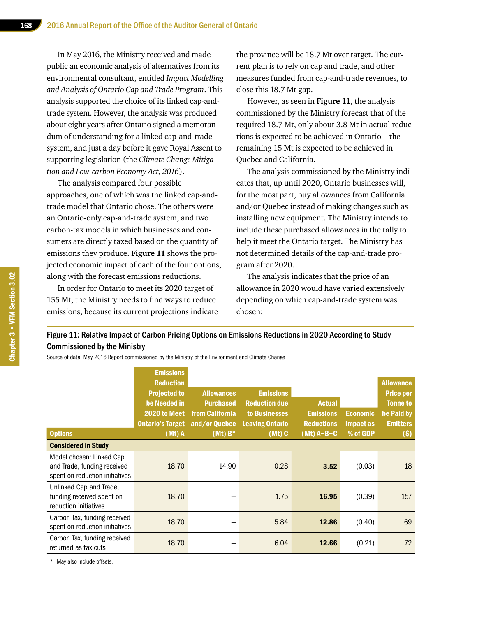In May 2016, the Ministry received and made public an economic analysis of alternatives from its environmental consultant, entitled *Impact Modelling and Analysis of Ontario Cap and Trade Program*. This analysis supported the choice of its linked cap-andtrade system. However, the analysis was produced about eight years after Ontario signed a memorandum of understanding for a linked cap-and-trade system, and just a day before it gave Royal Assent to supporting legislation (the *Climate Change Mitigation and Low-carbon Economy Act, 2016*).

The analysis compared four possible approaches, one of which was the linked cap-andtrade model that Ontario chose. The others were an Ontario-only cap-and-trade system, and two carbon-tax models in which businesses and consumers are directly taxed based on the quantity of emissions they produce. **Figure 11** shows the projected economic impact of each of the four options, along with the forecast emissions reductions.

In order for Ontario to meet its 2020 target of 155 Mt, the Ministry needs to find ways to reduce emissions, because its current projections indicate the province will be 18.7 Mt over target. The current plan is to rely on cap and trade, and other measures funded from cap-and-trade revenues, to close this 18.7 Mt gap.

However, as seen in **Figure 11**, the analysis commissioned by the Ministry forecast that of the required 18.7 Mt, only about 3.8 Mt in actual reductions is expected to be achieved in Ontario—the remaining 15 Mt is expected to be achieved in Quebec and California.

The analysis commissioned by the Ministry indicates that, up until 2020, Ontario businesses will, for the most part, buy allowances from California and/or Quebec instead of making changes such as installing new equipment. The Ministry intends to include these purchased allowances in the tally to help it meet the Ontario target. The Ministry has not determined details of the cap-and-trade program after 2020.

The analysis indicates that the price of an allowance in 2020 would have varied extensively depending on which cap-and-trade system was chosen:

#### Figure 11: Relative Impact of Carbon Pricing Options on Emissions Reductions in 2020 According to Study Commissioned by the Ministry

Source of data: May 2016 Report commissioned by the Ministry of the Environment and Climate Change

|                                                                                           | <b>Emissions</b><br><b>Reduction</b>                                                     |                                                                                      |                                                                                               |                                                                        |                                          | <b>Allowance</b>                                                               |
|-------------------------------------------------------------------------------------------|------------------------------------------------------------------------------------------|--------------------------------------------------------------------------------------|-----------------------------------------------------------------------------------------------|------------------------------------------------------------------------|------------------------------------------|--------------------------------------------------------------------------------|
| <b>Options</b>                                                                            | <b>Projected to</b><br>be Needed in<br>2020 to Meet<br><b>Ontario's Target</b><br>(Mt) A | <b>Allowances</b><br><b>Purchased</b><br>from California<br>and/or Quebec<br>(Mt) B* | <b>Emissions</b><br><b>Reduction due</b><br>to Businesses<br><b>Leaving Ontario</b><br>(Mt) C | <b>Actual</b><br><b>Emissions</b><br><b>Reductions</b><br>$(Mt)$ A-B-C | <b>Economic</b><br>Impact as<br>% of GDP | <b>Price per</b><br><b>Tonne to</b><br>be Paid by<br><b>Emitters</b><br>$(\$)$ |
| <b>Considered in Study</b>                                                                |                                                                                          |                                                                                      |                                                                                               |                                                                        |                                          |                                                                                |
| Model chosen: Linked Cap<br>and Trade, funding received<br>spent on reduction initiatives | 18.70                                                                                    | 14.90                                                                                | 0.28                                                                                          | 3.52                                                                   | (0.03)                                   | 18                                                                             |
| Unlinked Cap and Trade,<br>funding received spent on<br>reduction initiatives             | 18.70                                                                                    |                                                                                      | 1.75                                                                                          | 16.95                                                                  | (0.39)                                   | 157                                                                            |
| Carbon Tax, funding received<br>spent on reduction initiatives                            | 18.70                                                                                    |                                                                                      | 5.84                                                                                          | 12.86                                                                  | (0.40)                                   | 69                                                                             |
| Carbon Tax, funding received<br>returned as tax cuts                                      | 18.70                                                                                    |                                                                                      | 6.04                                                                                          | 12.66                                                                  | (0.21)                                   | 72                                                                             |

\* May also include offsets.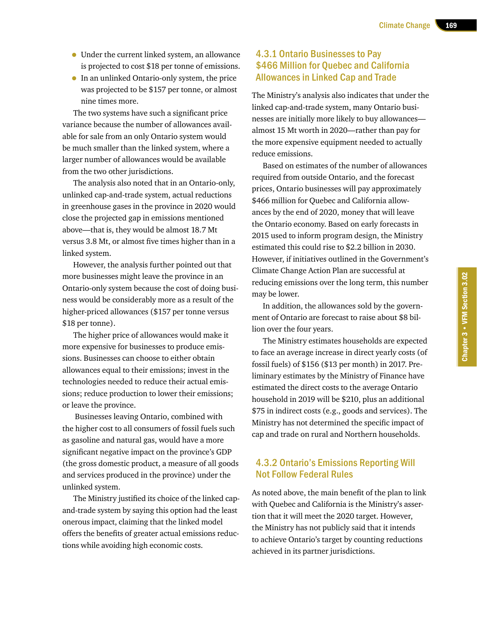- Under the current linked system, an allowance is projected to cost \$18 per tonne of emissions.
- In an unlinked Ontario-only system, the price was projected to be \$157 per tonne, or almost nine times more.

The two systems have such a significant price variance because the number of allowances available for sale from an only Ontario system would be much smaller than the linked system, where a larger number of allowances would be available from the two other jurisdictions.

The analysis also noted that in an Ontario-only, unlinked cap-and-trade system, actual reductions in greenhouse gases in the province in 2020 would close the projected gap in emissions mentioned above—that is, they would be almost 18.7 Mt versus 3.8 Mt, or almost five times higher than in a linked system.

However, the analysis further pointed out that more businesses might leave the province in an Ontario-only system because the cost of doing business would be considerably more as a result of the higher-priced allowances (\$157 per tonne versus \$18 per tonne).

The higher price of allowances would make it more expensive for businesses to produce emissions. Businesses can choose to either obtain allowances equal to their emissions; invest in the technologies needed to reduce their actual emissions; reduce production to lower their emissions; or leave the province.

 Businesses leaving Ontario, combined with the higher cost to all consumers of fossil fuels such as gasoline and natural gas, would have a more significant negative impact on the province's GDP (the gross domestic product, a measure of all goods and services produced in the province) under the unlinked system.

The Ministry justified its choice of the linked capand-trade system by saying this option had the least onerous impact, claiming that the linked model offers the benefits of greater actual emissions reductions while avoiding high economic costs.

#### 4.3.1 Ontario Businesses to Pay \$466 Million for Quebec and California Allowances in Linked Cap and Trade

The Ministry's analysis also indicates that under the linked cap-and-trade system, many Ontario businesses are initially more likely to buy allowances almost 15 Mt worth in 2020—rather than pay for the more expensive equipment needed to actually reduce emissions.

Based on estimates of the number of allowances required from outside Ontario, and the forecast prices, Ontario businesses will pay approximately \$466 million for Quebec and California allowances by the end of 2020, money that will leave the Ontario economy. Based on early forecasts in 2015 used to inform program design, the Ministry estimated this could rise to \$2.2 billion in 2030. However, if initiatives outlined in the Government's Climate Change Action Plan are successful at reducing emissions over the long term, this number may be lower.

In addition, the allowances sold by the government of Ontario are forecast to raise about \$8 billion over the four years.

The Ministry estimates households are expected to face an average increase in direct yearly costs (of fossil fuels) of \$156 (\$13 per month) in 2017. Preliminary estimates by the Ministry of Finance have estimated the direct costs to the average Ontario household in 2019 will be \$210, plus an additional \$75 in indirect costs (e.g., goods and services). The Ministry has not determined the specific impact of cap and trade on rural and Northern households.

## 4.3.2 Ontario's Emissions Reporting Will Not Follow Federal Rules

As noted above, the main benefit of the plan to link with Quebec and California is the Ministry's assertion that it will meet the 2020 target. However, the Ministry has not publicly said that it intends to achieve Ontario's target by counting reductions achieved in its partner jurisdictions.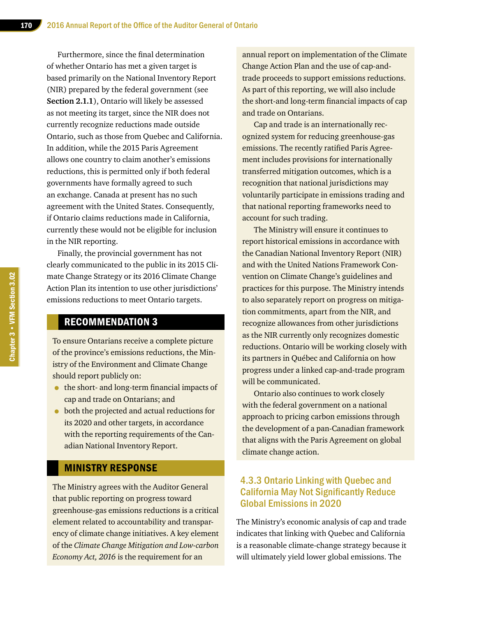Furthermore, since the final determination of whether Ontario has met a given target is based primarily on the National Inventory Report (NIR) prepared by the federal government (see **Section 2.1.1**), Ontario will likely be assessed as not meeting its target, since the NIR does not currently recognize reductions made outside Ontario, such as those from Quebec and California. In addition, while the 2015 Paris Agreement allows one country to claim another's emissions reductions, this is permitted only if both federal governments have formally agreed to such an exchange. Canada at present has no such agreement with the United States. Consequently, if Ontario claims reductions made in California, currently these would not be eligible for inclusion in the NIR reporting.

Finally, the provincial government has not clearly communicated to the public in its 2015 Climate Change Strategy or its 2016 Climate Change Action Plan its intention to use other jurisdictions' emissions reductions to meet Ontario targets.

#### RECOMMENDATION 3

To ensure Ontarians receive a complete picture of the province's emissions reductions, the Ministry of the Environment and Climate Change should report publicly on:

- the short- and long-term financial impacts of cap and trade on Ontarians; and
- both the projected and actual reductions for its 2020 and other targets, in accordance with the reporting requirements of the Canadian National Inventory Report.

## MINISTRY RESPONSE

The Ministry agrees with the Auditor General that public reporting on progress toward greenhouse-gas emissions reductions is a critical element related to accountability and transparency of climate change initiatives. A key element of the *Climate Change Mitigation and Low-carbon Economy Act, 2016* is the requirement for an

annual report on implementation of the Climate Change Action Plan and the use of cap-andtrade proceeds to support emissions reductions. As part of this reporting, we will also include the short-and long-term financial impacts of cap and trade on Ontarians.

Cap and trade is an internationally recognized system for reducing greenhouse-gas emissions. The recently ratified Paris Agreement includes provisions for internationally transferred mitigation outcomes, which is a recognition that national jurisdictions may voluntarily participate in emissions trading and that national reporting frameworks need to account for such trading.

The Ministry will ensure it continues to report historical emissions in accordance with the Canadian National Inventory Report (NIR) and with the United Nations Framework Convention on Climate Change's guidelines and practices for this purpose. The Ministry intends to also separately report on progress on mitigation commitments, apart from the NIR, and recognize allowances from other jurisdictions as the NIR currently only recognizes domestic reductions. Ontario will be working closely with its partners in Québec and California on how progress under a linked cap-and-trade program will be communicated.

Ontario also continues to work closely with the federal government on a national approach to pricing carbon emissions through the development of a pan-Canadian framework that aligns with the Paris Agreement on global climate change action.

## 4.3.3 Ontario Linking with Quebec and California May Not Significantly Reduce Global Emissions in 2020

The Ministry's economic analysis of cap and trade indicates that linking with Quebec and California is a reasonable climate-change strategy because it will ultimately yield lower global emissions. The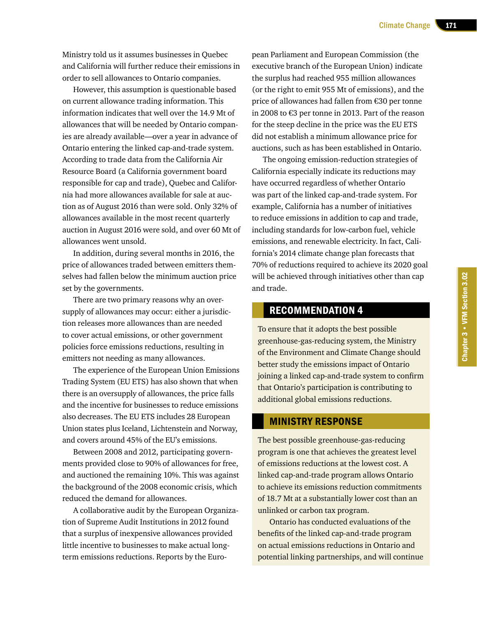Ministry told us it assumes businesses in Quebec and California will further reduce their emissions in order to sell allowances to Ontario companies.

However, this assumption is questionable based on current allowance trading information. This information indicates that well over the 14.9 Mt of allowances that will be needed by Ontario companies are already available—over a year in advance of Ontario entering the linked cap-and-trade system. According to trade data from the California Air Resource Board (a California government board responsible for cap and trade), Quebec and California had more allowances available for sale at auction as of August 2016 than were sold. Only 32% of allowances available in the most recent quarterly auction in August 2016 were sold, and over 60 Mt of allowances went unsold.

In addition, during several months in 2016, the price of allowances traded between emitters themselves had fallen below the minimum auction price set by the governments.

There are two primary reasons why an oversupply of allowances may occur: either a jurisdiction releases more allowances than are needed to cover actual emissions, or other government policies force emissions reductions, resulting in emitters not needing as many allowances.

The experience of the European Union Emissions Trading System (EU ETS) has also shown that when there is an oversupply of allowances, the price falls and the incentive for businesses to reduce emissions also decreases. The EU ETS includes 28 European Union states plus Iceland, Lichtenstein and Norway, and covers around 45% of the EU's emissions.

Between 2008 and 2012, participating governments provided close to 90% of allowances for free, and auctioned the remaining 10%. This was against the background of the 2008 economic crisis, which reduced the demand for allowances.

A collaborative audit by the European Organization of Supreme Audit Institutions in 2012 found that a surplus of inexpensive allowances provided little incentive to businesses to make actual longterm emissions reductions. Reports by the Euro-

pean Parliament and European Commission (the executive branch of the European Union) indicate the surplus had reached 955 million allowances (or the right to emit 955 Mt of emissions), and the price of allowances had fallen from €30 per tonne in 2008 to €3 per tonne in 2013. Part of the reason for the steep decline in the price was the EU ETS did not establish a minimum allowance price for auctions, such as has been established in Ontario.

The ongoing emission-reduction strategies of California especially indicate its reductions may have occurred regardless of whether Ontario was part of the linked cap-and-trade system. For example, California has a number of initiatives to reduce emissions in addition to cap and trade, including standards for low-carbon fuel, vehicle emissions, and renewable electricity. In fact, California's 2014 climate change plan forecasts that 70% of reductions required to achieve its 2020 goal will be achieved through initiatives other than cap and trade.

#### RECOMMENDATION 4

To ensure that it adopts the best possible greenhouse-gas-reducing system, the Ministry of the Environment and Climate Change should better study the emissions impact of Ontario joining a linked cap-and-trade system to confirm that Ontario's participation is contributing to additional global emissions reductions.

#### MINISTRY RESPONSE

The best possible greenhouse-gas-reducing program is one that achieves the greatest level of emissions reductions at the lowest cost. A linked cap-and-trade program allows Ontario to achieve its emissions reduction commitments of 18.7 Mt at a substantially lower cost than an unlinked or carbon tax program.

Ontario has conducted evaluations of the benefits of the linked cap-and-trade program on actual emissions reductions in Ontario and potential linking partnerships, and will continue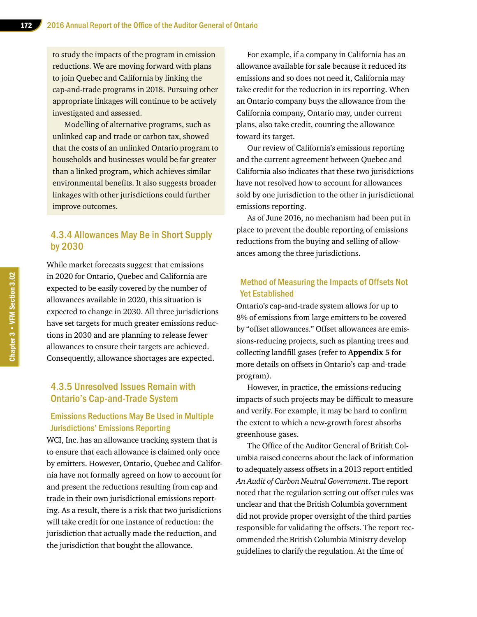to study the impacts of the program in emission reductions. We are moving forward with plans to join Quebec and California by linking the cap-and-trade programs in 2018. Pursuing other appropriate linkages will continue to be actively investigated and assessed.

Modelling of alternative programs, such as unlinked cap and trade or carbon tax, showed that the costs of an unlinked Ontario program to households and businesses would be far greater than a linked program, which achieves similar environmental benefits. It also suggests broader linkages with other jurisdictions could further improve outcomes.

#### 4.3.4 Allowances May Be in Short Supply by 2030

While market forecasts suggest that emissions in 2020 for Ontario, Quebec and California are expected to be easily covered by the number of allowances available in 2020, this situation is expected to change in 2030. All three jurisdictions have set targets for much greater emissions reductions in 2030 and are planning to release fewer allowances to ensure their targets are achieved. Consequently, allowance shortages are expected.

## 4.3.5 Unresolved Issues Remain with Ontario's Cap-and-Trade System

#### Emissions Reductions May Be Used in Multiple Jurisdictions' Emissions Reporting

WCI, Inc. has an allowance tracking system that is to ensure that each allowance is claimed only once by emitters. However, Ontario, Quebec and California have not formally agreed on how to account for and present the reductions resulting from cap and trade in their own jurisdictional emissions reporting. As a result, there is a risk that two jurisdictions will take credit for one instance of reduction: the jurisdiction that actually made the reduction, and the jurisdiction that bought the allowance.

For example, if a company in California has an allowance available for sale because it reduced its emissions and so does not need it, California may take credit for the reduction in its reporting. When an Ontario company buys the allowance from the California company, Ontario may, under current plans, also take credit, counting the allowance toward its target.

Our review of California's emissions reporting and the current agreement between Quebec and California also indicates that these two jurisdictions have not resolved how to account for allowances sold by one jurisdiction to the other in jurisdictional emissions reporting.

As of June 2016, no mechanism had been put in place to prevent the double reporting of emissions reductions from the buying and selling of allowances among the three jurisdictions.

#### Method of Measuring the Impacts of Offsets Not Yet Established

Ontario's cap-and-trade system allows for up to 8% of emissions from large emitters to be covered by "offset allowances." Offset allowances are emissions-reducing projects, such as planting trees and collecting landfill gases (refer to **Appendix 5** for more details on offsets in Ontario's cap-and-trade program).

However, in practice, the emissions-reducing impacts of such projects may be difficult to measure and verify. For example, it may be hard to confirm the extent to which a new-growth forest absorbs greenhouse gases.

The Office of the Auditor General of British Columbia raised concerns about the lack of information to adequately assess offsets in a 2013 report entitled *An Audit of Carbon Neutral Government*. The report noted that the regulation setting out offset rules was unclear and that the British Columbia government did not provide proper oversight of the third parties responsible for validating the offsets. The report recommended the British Columbia Ministry develop guidelines to clarify the regulation. At the time of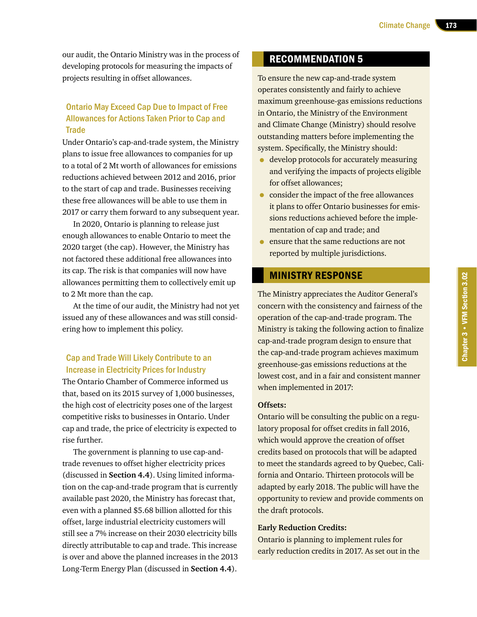our audit, the Ontario Ministry was in the process of developing protocols for measuring the impacts of projects resulting in offset allowances.

#### Ontario May Exceed Cap Due to Impact of Free Allowances for Actions Taken Prior to Cap and **Trade**

Under Ontario's cap-and-trade system, the Ministry plans to issue free allowances to companies for up to a total of 2 Mt worth of allowances for emissions reductions achieved between 2012 and 2016, prior to the start of cap and trade. Businesses receiving these free allowances will be able to use them in 2017 or carry them forward to any subsequent year.

In 2020, Ontario is planning to release just enough allowances to enable Ontario to meet the 2020 target (the cap). However, the Ministry has not factored these additional free allowances into its cap. The risk is that companies will now have allowances permitting them to collectively emit up to 2 Mt more than the cap.

At the time of our audit, the Ministry had not yet issued any of these allowances and was still considering how to implement this policy.

#### Cap and Trade Will Likely Contribute to an Increase in Electricity Prices for Industry

The Ontario Chamber of Commerce informed us that, based on its 2015 survey of 1,000 businesses, the high cost of electricity poses one of the largest competitive risks to businesses in Ontario. Under cap and trade, the price of electricity is expected to rise further.

The government is planning to use cap-andtrade revenues to offset higher electricity prices (discussed in **Section 4.4**). Using limited information on the cap-and-trade program that is currently available past 2020, the Ministry has forecast that, even with a planned \$5.68 billion allotted for this offset, large industrial electricity customers will still see a 7% increase on their 2030 electricity bills directly attributable to cap and trade. This increase is over and above the planned increases in the 2013 Long-Term Energy Plan (discussed in **Section 4.4**).

## RECOMMENDATION 5

To ensure the new cap-and-trade system operates consistently and fairly to achieve maximum greenhouse-gas emissions reductions in Ontario, the Ministry of the Environment and Climate Change (Ministry) should resolve outstanding matters before implementing the system. Specifically, the Ministry should:

- develop protocols for accurately measuring and verifying the impacts of projects eligible for offset allowances;
- consider the impact of the free allowances it plans to offer Ontario businesses for emissions reductions achieved before the implementation of cap and trade; and
- ensure that the same reductions are not reported by multiple jurisdictions.

#### MINISTRY RESPONSE

The Ministry appreciates the Auditor General's concern with the consistency and fairness of the operation of the cap-and-trade program. The Ministry is taking the following action to finalize cap-and-trade program design to ensure that the cap-and-trade program achieves maximum greenhouse-gas emissions reductions at the lowest cost, and in a fair and consistent manner when implemented in 2017:

#### **Offsets:**

Ontario will be consulting the public on a regulatory proposal for offset credits in fall 2016, which would approve the creation of offset credits based on protocols that will be adapted to meet the standards agreed to by Quebec, California and Ontario. Thirteen protocols will be adapted by early 2018. The public will have the opportunity to review and provide comments on the draft protocols.

#### **Early Reduction Credits:**

Ontario is planning to implement rules for early reduction credits in 2017. As set out in the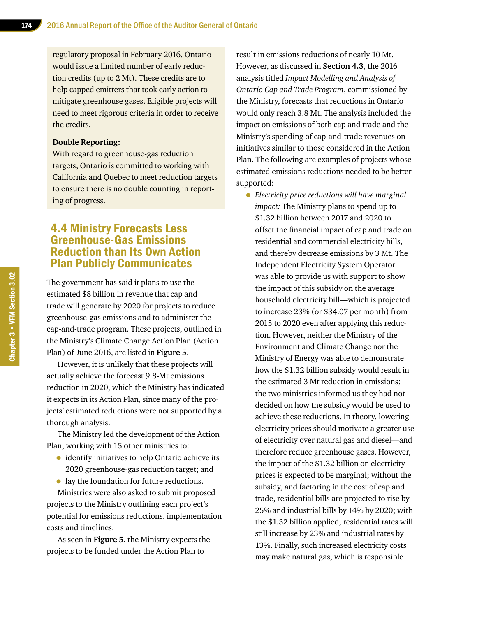regulatory proposal in February 2016, Ontario would issue a limited number of early reduction credits (up to 2 Mt). These credits are to help capped emitters that took early action to mitigate greenhouse gases. Eligible projects will need to meet rigorous criteria in order to receive the credits.

#### **Double Reporting:**

With regard to greenhouse-gas reduction targets, Ontario is committed to working with California and Quebec to meet reduction targets to ensure there is no double counting in reporting of progress.

## 4.4 Ministry Forecasts Less Greenhouse-Gas Emissions Reduction than Its Own Action Plan Publicly Communicates

The government has said it plans to use the estimated \$8 billion in revenue that cap and trade will generate by 2020 for projects to reduce greenhouse-gas emissions and to administer the cap-and-trade program. These projects, outlined in the Ministry's Climate Change Action Plan (Action Plan) of June 2016, are listed in **Figure 5**.

However, it is unlikely that these projects will actually achieve the forecast 9.8-Mt emissions reduction in 2020, which the Ministry has indicated it expects in its Action Plan, since many of the projects' estimated reductions were not supported by a thorough analysis.

The Ministry led the development of the Action Plan, working with 15 other ministries to:

- identify initiatives to help Ontario achieve its 2020 greenhouse-gas reduction target; and
- lay the foundation for future reductions.

Ministries were also asked to submit proposed projects to the Ministry outlining each project's potential for emissions reductions, implementation costs and timelines.

As seen in **Figure 5**, the Ministry expects the projects to be funded under the Action Plan to

result in emissions reductions of nearly 10 Mt. However, as discussed in **Section 4.3**, the 2016 analysis titled *Impact Modelling and Analysis of Ontario Cap and Trade Program*, commissioned by the Ministry, forecasts that reductions in Ontario would only reach 3.8 Mt. The analysis included the impact on emissions of both cap and trade and the Ministry's spending of cap-and-trade revenues on initiatives similar to those considered in the Action Plan. The following are examples of projects whose estimated emissions reductions needed to be better supported:

• *Electricity price reductions will have marginal impact:* The Ministry plans to spend up to \$1.32 billion between 2017 and 2020 to offset the financial impact of cap and trade on residential and commercial electricity bills, and thereby decrease emissions by 3 Mt. The Independent Electricity System Operator was able to provide us with support to show the impact of this subsidy on the average household electricity bill—which is projected to increase 23% (or \$34.07 per month) from 2015 to 2020 even after applying this reduction. However, neither the Ministry of the Environment and Climate Change nor the Ministry of Energy was able to demonstrate how the \$1.32 billion subsidy would result in the estimated 3 Mt reduction in emissions; the two ministries informed us they had not decided on how the subsidy would be used to achieve these reductions. In theory, lowering electricity prices should motivate a greater use of electricity over natural gas and diesel—and therefore reduce greenhouse gases. However, the impact of the \$1.32 billion on electricity prices is expected to be marginal; without the subsidy, and factoring in the cost of cap and trade, residential bills are projected to rise by 25% and industrial bills by 14% by 2020; with the \$1.32 billion applied, residential rates will still increase by 23% and industrial rates by 13%. Finally, such increased electricity costs may make natural gas, which is responsible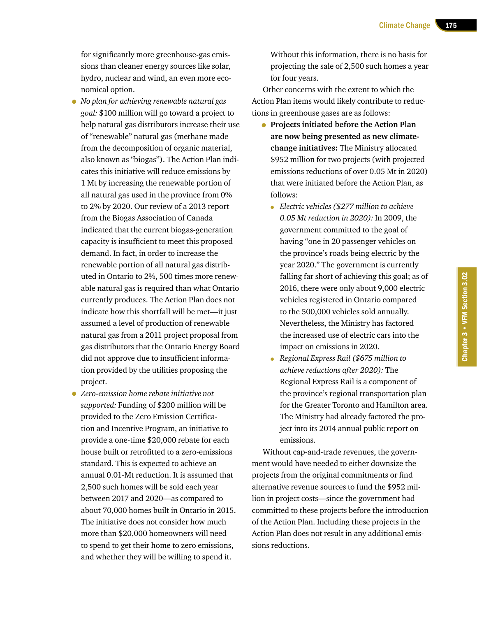for significantly more greenhouse-gas emissions than cleaner energy sources like solar, hydro, nuclear and wind, an even more economical option.

- *No plan for achieving renewable natural gas goal:* \$100 million will go toward a project to help natural gas distributors increase their use of "renewable" natural gas (methane made from the decomposition of organic material, also known as "biogas"). The Action Plan indicates this initiative will reduce emissions by 1 Mt by increasing the renewable portion of all natural gas used in the province from 0% to 2% by 2020. Our review of a 2013 report from the Biogas Association of Canada indicated that the current biogas-generation capacity is insufficient to meet this proposed demand. In fact, in order to increase the renewable portion of all natural gas distributed in Ontario to 2%, 500 times more renewable natural gas is required than what Ontario currently produces. The Action Plan does not indicate how this shortfall will be met—it just assumed a level of production of renewable natural gas from a 2011 project proposal from gas distributors that the Ontario Energy Board did not approve due to insufficient information provided by the utilities proposing the project.
- *Zero-emission home rebate initiative not supported:* Funding of \$200 million will be provided to the Zero Emission Certification and Incentive Program, an initiative to provide a one-time \$20,000 rebate for each house built or retrofitted to a zero-emissions standard. This is expected to achieve an annual 0.01‑Mt reduction. It is assumed that 2,500 such homes will be sold each year between 2017 and 2020—as compared to about 70,000 homes built in Ontario in 2015. The initiative does not consider how much more than \$20,000 homeowners will need to spend to get their home to zero emissions, and whether they will be willing to spend it.

Without this information, there is no basis for projecting the sale of 2,500 such homes a year for four years.

Other concerns with the extent to which the Action Plan items would likely contribute to reductions in greenhouse gases are as follows:

- **Projects initiated before the Action Plan are now being presented as new climatechange initiatives:** The Ministry allocated \$952 million for two projects (with projected emissions reductions of over 0.05 Mt in 2020) that were initiated before the Action Plan, as follows:
	- *Electric vehicles (\$277 million to achieve 0.05 Mt reduction in 2020):* In 2009, the government committed to the goal of having "one in 20 passenger vehicles on the province's roads being electric by the year 2020." The government is currently falling far short of achieving this goal; as of 2016, there were only about 9,000 electric vehicles registered in Ontario compared to the 500,000 vehicles sold annually. Nevertheless, the Ministry has factored the increased use of electric cars into the impact on emissions in 2020.
	- *Regional Express Rail (\$675 million to achieve reductions after 2020):* The Regional Express Rail is a component of the province's regional transportation plan for the Greater Toronto and Hamilton area. The Ministry had already factored the project into its 2014 annual public report on emissions.

Without cap-and-trade revenues, the government would have needed to either downsize the projects from the original commitments or find alternative revenue sources to fund the \$952 million in project costs—since the government had committed to these projects before the introduction of the Action Plan. Including these projects in the Action Plan does not result in any additional emissions reductions.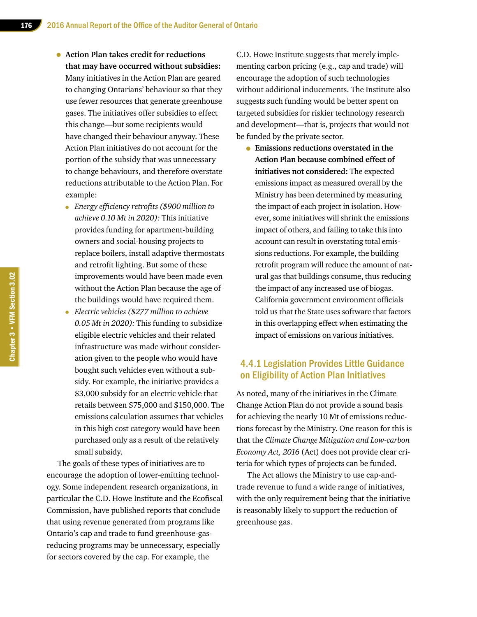- **Action Plan takes credit for reductions that may have occurred without subsidies:** Many initiatives in the Action Plan are geared to changing Ontarians' behaviour so that they use fewer resources that generate greenhouse gases. The initiatives offer subsidies to effect this change—but some recipients would have changed their behaviour anyway. These Action Plan initiatives do not account for the portion of the subsidy that was unnecessary to change behaviours, and therefore overstate reductions attributable to the Action Plan. For example:
	- *Energy efficiency retrofits (\$900 million to achieve 0.10 Mt in 2020):* This initiative provides funding for apartment-building owners and social-housing projects to replace boilers, install adaptive thermostats and retrofit lighting. But some of these improvements would have been made even without the Action Plan because the age of the buildings would have required them.
	- *Electric vehicles (\$277 million to achieve 0.05 Mt in 2020):* This funding to subsidize eligible electric vehicles and their related infrastructure was made without consideration given to the people who would have bought such vehicles even without a subsidy. For example, the initiative provides a \$3,000 subsidy for an electric vehicle that retails between \$75,000 and \$150,000. The emissions calculation assumes that vehicles in this high cost category would have been purchased only as a result of the relatively small subsidy.

The goals of these types of initiatives are to encourage the adoption of lower-emitting technology. Some independent research organizations, in particular the C.D. Howe Institute and the Ecofiscal Commission, have published reports that conclude that using revenue generated from programs like Ontario's cap and trade to fund greenhouse-gasreducing programs may be unnecessary, especially for sectors covered by the cap. For example, the

C.D. Howe Institute suggests that merely implementing carbon pricing (e.g., cap and trade) will encourage the adoption of such technologies without additional inducements. The Institute also suggests such funding would be better spent on targeted subsidies for riskier technology research and development—that is, projects that would not be funded by the private sector.

• **Emissions reductions overstated in the Action Plan because combined effect of initiatives not considered:** The expected emissions impact as measured overall by the Ministry has been determined by measuring the impact of each project in isolation. However, some initiatives will shrink the emissions impact of others, and failing to take this into account can result in overstating total emissions reductions. For example, the building retrofit program will reduce the amount of natural gas that buildings consume, thus reducing the impact of any increased use of biogas. California government environment officials told us that the State uses software that factors in this overlapping effect when estimating the impact of emissions on various initiatives.

#### 4.4.1 Legislation Provides Little Guidance on Eligibility of Action Plan Initiatives

As noted, many of the initiatives in the Climate Change Action Plan do not provide a sound basis for achieving the nearly 10 Mt of emissions reductions forecast by the Ministry. One reason for this is that the *Climate Change Mitigation and Low-carbon Economy Act, 2016* (Act) does not provide clear criteria for which types of projects can be funded.

The Act allows the Ministry to use cap-andtrade revenue to fund a wide range of initiatives, with the only requirement being that the initiative is reasonably likely to support the reduction of greenhouse gas.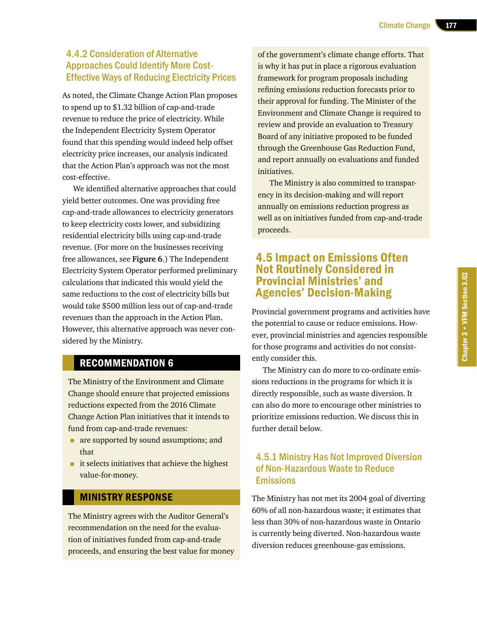## 4.4.2 Consideration of Alternative Approaches Could Identify More Cost-Effective Ways of Reducing Electricity Prices

As noted, the Climate Change Action Plan proposes to spend up to \$1.32 billion of cap-and-trade revenue to reduce the price of electricity. While the Independent Electricity System Operator found that this spending would indeed help offset electricity price increases, our analysis indicated that the Action Plan's approach was not the most cost-effective.

We identified alternative approaches that could yield better outcomes. One was providing free cap-and-trade allowances to electricity generators to keep electricity costs lower, and subsidizing residential electricity bills using cap-and-trade revenue. (For more on the businesses receiving free allowances, see **Figure 6**.) The Independent Electricity System Operator performed preliminary calculations that indicated this would yield the same reductions to the cost of electricity bills but would take \$500 million less out of cap-and-trade revenues than the approach in the Action Plan. However, this alternative approach was never considered by the Ministry.

## RECOMMENDATION 6

The Ministry of the Environment and Climate Change should ensure that projected emissions reductions expected from the 2016 Climate Change Action Plan initiatives that it intends to fund from cap-and-trade revenues:

- are supported by sound assumptions; and that
- it selects initiatives that achieve the highest value-for-money.

#### MINISTRY RESPONSE

The Ministry agrees with the Auditor General's recommendation on the need for the evaluation of initiatives funded from cap-and-trade proceeds, and ensuring the best value for money of the government's climate change efforts. That is why it has put in place a rigorous evaluation framework for program proposals including refining emissions reduction forecasts prior to their approval for funding. The Minister of the Environment and Climate Change is required to review and provide an evaluation to Treasury Board of any initiative proposed to be funded through the Greenhouse Gas Reduction Fund, and report annually on evaluations and funded initiatives.

The Ministry is also committed to transparency in its decision-making and will report annually on emissions reduction progress as well as on initiatives funded from cap-and-trade proceeds.

## 4.5 Impact on Emissions Often Not Routinely Considered in Provincial Ministries' and Agencies' Decision-Making

Provincial government programs and activities have the potential to cause or reduce emissions. However, provincial ministries and agencies responsible for those programs and activities do not consistently consider this.

The Ministry can do more to co-ordinate emissions reductions in the programs for which it is directly responsible, such as waste diversion. It can also do more to encourage other ministries to prioritize emissions reduction. We discuss this in further detail below.

## 4.5.1 Ministry Has Not Improved Diversion of Non-Hazardous Waste to Reduce **Emissions**

The Ministry has not met its 2004 goal of diverting 60% of all non-hazardous waste; it estimates that less than 30% of non-hazardous waste in Ontario is currently being diverted. Non-hazardous waste diversion reduces greenhouse-gas emissions.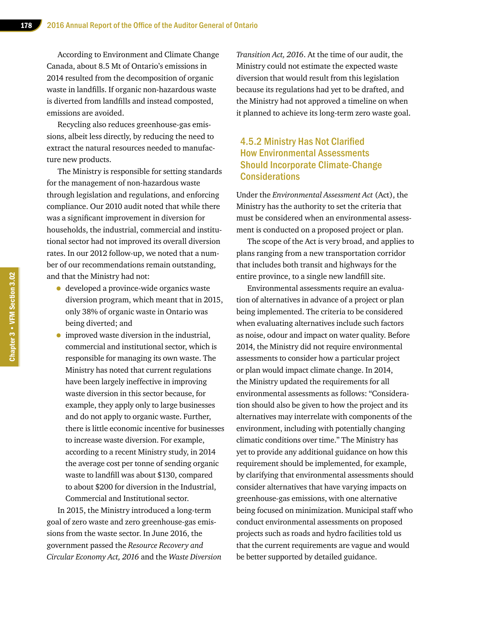According to Environment and Climate Change Canada, about 8.5 Mt of Ontario's emissions in 2014 resulted from the decomposition of organic waste in landfills. If organic non-hazardous waste is diverted from landfills and instead composted, emissions are avoided.

Recycling also reduces greenhouse-gas emissions, albeit less directly, by reducing the need to extract the natural resources needed to manufacture new products.

The Ministry is responsible for setting standards for the management of non-hazardous waste through legislation and regulations, and enforcing compliance. Our 2010 audit noted that while there was a significant improvement in diversion for households, the industrial, commercial and institutional sector had not improved its overall diversion rates. In our 2012 follow-up, we noted that a number of our recommendations remain outstanding, and that the Ministry had not:

- developed a province-wide organics waste diversion program, which meant that in 2015, only 38% of organic waste in Ontario was being diverted; and
- improved waste diversion in the industrial, commercial and institutional sector, which is responsible for managing its own waste. The Ministry has noted that current regulations have been largely ineffective in improving waste diversion in this sector because, for example, they apply only to large businesses and do not apply to organic waste. Further, there is little economic incentive for businesses to increase waste diversion. For example, according to a recent Ministry study, in 2014 the average cost per tonne of sending organic waste to landfill was about \$130, compared to about \$200 for diversion in the Industrial, Commercial and Institutional sector.

In 2015, the Ministry introduced a long-term goal of zero waste and zero greenhouse-gas emissions from the waste sector. In June 2016, the government passed the *Resource Recovery and Circular Economy Act, 2016* and the *Waste Diversion*  *Transition Act, 2016*. At the time of our audit, the Ministry could not estimate the expected waste diversion that would result from this legislation because its regulations had yet to be drafted, and the Ministry had not approved a timeline on when it planned to achieve its long-term zero waste goal.

#### 4.5.2 Ministry Has Not Clarified How Environmental Assessments Should Incorporate Climate-Change **Considerations**

Under the *Environmental Assessment Act* (Act), the Ministry has the authority to set the criteria that must be considered when an environmental assessment is conducted on a proposed project or plan.

The scope of the Act is very broad, and applies to plans ranging from a new transportation corridor that includes both transit and highways for the entire province, to a single new landfill site.

Environmental assessments require an evaluation of alternatives in advance of a project or plan being implemented. The criteria to be considered when evaluating alternatives include such factors as noise, odour and impact on water quality. Before 2014, the Ministry did not require environmental assessments to consider how a particular project or plan would impact climate change. In 2014, the Ministry updated the requirements for all environmental assessments as follows: "Consideration should also be given to how the project and its alternatives may interrelate with components of the environment, including with potentially changing climatic conditions over time." The Ministry has yet to provide any additional guidance on how this requirement should be implemented, for example, by clarifying that environmental assessments should consider alternatives that have varying impacts on greenhouse-gas emissions, with one alternative being focused on minimization. Municipal staff who conduct environmental assessments on proposed projects such as roads and hydro facilities told us that the current requirements are vague and would be better supported by detailed guidance.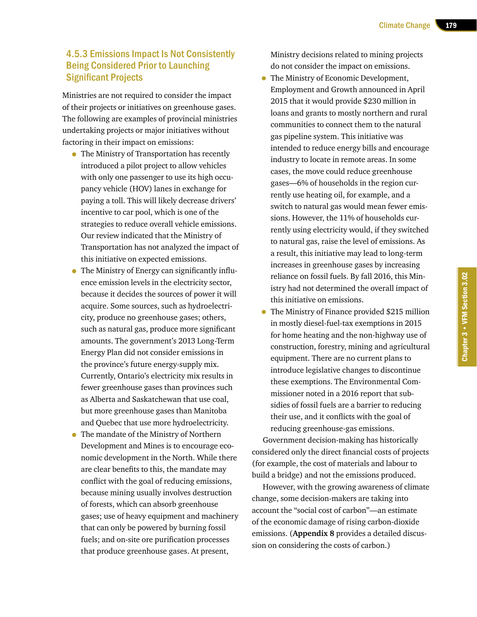## 4.5.3 Emissions Impact Is Not Consistently Being Considered Prior to Launching Significant Projects

Ministries are not required to consider the impact of their projects or initiatives on greenhouse gases. The following are examples of provincial ministries undertaking projects or major initiatives without factoring in their impact on emissions:

- The Ministry of Transportation has recently introduced a pilot project to allow vehicles with only one passenger to use its high occupancy vehicle (HOV) lanes in exchange for paying a toll. This will likely decrease drivers' incentive to car pool, which is one of the strategies to reduce overall vehicle emissions. Our review indicated that the Ministry of Transportation has not analyzed the impact of this initiative on expected emissions.
- The Ministry of Energy can significantly influence emission levels in the electricity sector, because it decides the sources of power it will acquire. Some sources, such as hydroelectricity, produce no greenhouse gases; others, such as natural gas, produce more significant amounts. The government's 2013 Long-Term Energy Plan did not consider emissions in the province's future energy-supply mix. Currently, Ontario's electricity mix results in fewer greenhouse gases than provinces such as Alberta and Saskatchewan that use coal, but more greenhouse gases than Manitoba and Quebec that use more hydroelectricity.
- The mandate of the Ministry of Northern Development and Mines is to encourage economic development in the North. While there are clear benefits to this, the mandate may conflict with the goal of reducing emissions, because mining usually involves destruction of forests, which can absorb greenhouse gases; use of heavy equipment and machinery that can only be powered by burning fossil fuels; and on-site ore purification processes that produce greenhouse gases. At present,

Ministry decisions related to mining projects do not consider the impact on emissions.

- The Ministry of Economic Development, Employment and Growth announced in April 2015 that it would provide \$230 million in loans and grants to mostly northern and rural communities to connect them to the natural gas pipeline system. This initiative was intended to reduce energy bills and encourage industry to locate in remote areas. In some cases, the move could reduce greenhouse gases—6% of households in the region currently use heating oil, for example, and a switch to natural gas would mean fewer emissions. However, the 11% of households currently using electricity would, if they switched to natural gas, raise the level of emissions. As a result, this initiative may lead to long-term increases in greenhouse gases by increasing reliance on fossil fuels. By fall 2016, this Ministry had not determined the overall impact of this initiative on emissions.
- The Ministry of Finance provided \$215 million in mostly diesel-fuel-tax exemptions in 2015 for home heating and the non-highway use of construction, forestry, mining and agricultural equipment. There are no current plans to introduce legislative changes to discontinue these exemptions. The Environmental Commissioner noted in a 2016 report that subsidies of fossil fuels are a barrier to reducing their use, and it conflicts with the goal of reducing greenhouse-gas emissions.

Government decision-making has historically considered only the direct financial costs of projects (for example, the cost of materials and labour to build a bridge) and not the emissions produced.

However, with the growing awareness of climate change, some decision-makers are taking into account the "social cost of carbon"—an estimate of the economic damage of rising carbon-dioxide emissions. (**Appendix 8** provides a detailed discussion on considering the costs of carbon.)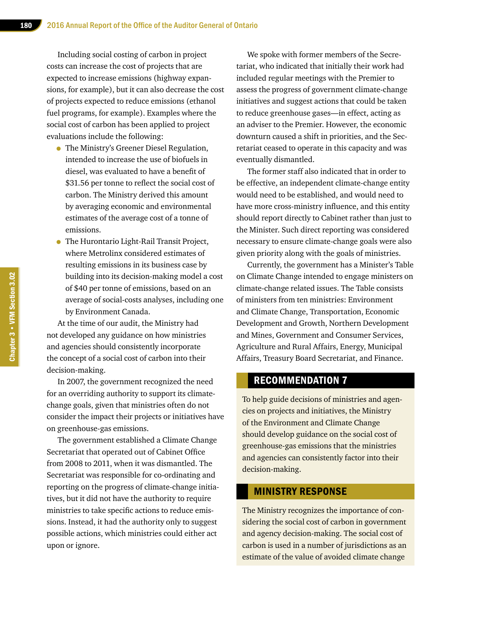Including social costing of carbon in project costs can increase the cost of projects that are expected to increase emissions (highway expansions, for example), but it can also decrease the cost of projects expected to reduce emissions (ethanol fuel programs, for example). Examples where the social cost of carbon has been applied to project evaluations include the following:

- The Ministry's Greener Diesel Regulation, intended to increase the use of biofuels in diesel, was evaluated to have a benefit of \$31.56 per tonne to reflect the social cost of carbon. The Ministry derived this amount by averaging economic and environmental estimates of the average cost of a tonne of emissions.
- The Hurontario Light-Rail Transit Project, where Metrolinx considered estimates of resulting emissions in its business case by building into its decision-making model a cost of \$40 per tonne of emissions, based on an average of social-costs analyses, including one by Environment Canada.

At the time of our audit, the Ministry had not developed any guidance on how ministries and agencies should consistently incorporate the concept of a social cost of carbon into their decision-making.

In 2007, the government recognized the need for an overriding authority to support its climatechange goals, given that ministries often do not consider the impact their projects or initiatives have on greenhouse-gas emissions.

The government established a Climate Change Secretariat that operated out of Cabinet Office from 2008 to 2011, when it was dismantled. The Secretariat was responsible for co-ordinating and reporting on the progress of climate-change initiatives, but it did not have the authority to require ministries to take specific actions to reduce emissions. Instead, it had the authority only to suggest possible actions, which ministries could either act upon or ignore.

We spoke with former members of the Secretariat, who indicated that initially their work had included regular meetings with the Premier to assess the progress of government climate-change initiatives and suggest actions that could be taken to reduce greenhouse gases—in effect, acting as an adviser to the Premier. However, the economic downturn caused a shift in priorities, and the Secretariat ceased to operate in this capacity and was eventually dismantled.

The former staff also indicated that in order to be effective, an independent climate-change entity would need to be established, and would need to have more cross-ministry influence, and this entity should report directly to Cabinet rather than just to the Minister. Such direct reporting was considered necessary to ensure climate-change goals were also given priority along with the goals of ministries.

Currently, the government has a Minister's Table on Climate Change intended to engage ministers on climate-change related issues. The Table consists of ministers from ten ministries: Environment and Climate Change, Transportation, Economic Development and Growth, Northern Development and Mines, Government and Consumer Services, Agriculture and Rural Affairs, Energy, Municipal Affairs, Treasury Board Secretariat, and Finance.

#### RECOMMENDATION 7

To help guide decisions of ministries and agencies on projects and initiatives, the Ministry of the Environment and Climate Change should develop guidance on the social cost of greenhouse-gas emissions that the ministries and agencies can consistently factor into their decision-making.

#### MINISTRY RESPONSE

The Ministry recognizes the importance of considering the social cost of carbon in government and agency decision-making. The social cost of carbon is used in a number of jurisdictions as an estimate of the value of avoided climate change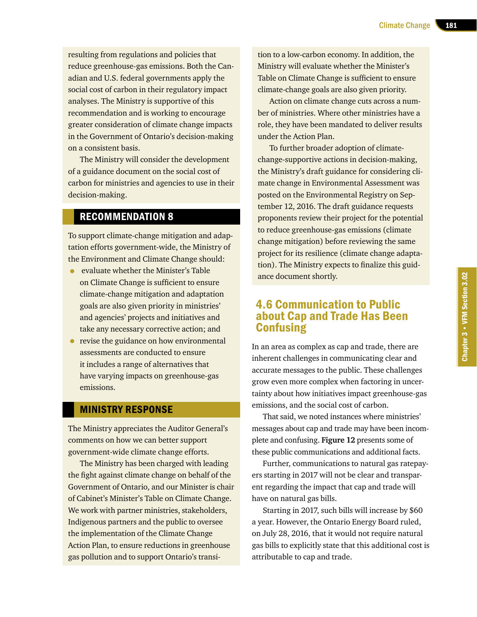resulting from regulations and policies that reduce greenhouse-gas emissions. Both the Canadian and U.S. federal governments apply the social cost of carbon in their regulatory impact analyses. The Ministry is supportive of this recommendation and is working to encourage greater consideration of climate change impacts in the Government of Ontario's decision-making on a consistent basis.

The Ministry will consider the development of a guidance document on the social cost of carbon for ministries and agencies to use in their decision-making.

#### RECOMMENDATION 8

To support climate-change mitigation and adaptation efforts government-wide, the Ministry of the Environment and Climate Change should:

- evaluate whether the Minister's Table on Climate Change is sufficient to ensure climate-change mitigation and adaptation goals are also given priority in ministries' and agencies' projects and initiatives and take any necessary corrective action; and
- revise the guidance on how environmental assessments are conducted to ensure it includes a range of alternatives that have varying impacts on greenhouse-gas emissions.

#### MINISTRY RESPONSE

The Ministry appreciates the Auditor General's comments on how we can better support government-wide climate change efforts.

The Ministry has been charged with leading the fight against climate change on behalf of the Government of Ontario, and our Minister is chair of Cabinet's Minister's Table on Climate Change. We work with partner ministries, stakeholders, Indigenous partners and the public to oversee the implementation of the Climate Change Action Plan, to ensure reductions in greenhouse gas pollution and to support Ontario's transition to a low-carbon economy. In addition, the Ministry will evaluate whether the Minister's Table on Climate Change is sufficient to ensure climate-change goals are also given priority.

Action on climate change cuts across a number of ministries. Where other ministries have a role, they have been mandated to deliver results under the Action Plan.

To further broader adoption of climatechange-supportive actions in decision-making, the Ministry's draft guidance for considering climate change in Environmental Assessment was posted on the Environmental Registry on September 12, 2016. The draft guidance requests proponents review their project for the potential to reduce greenhouse-gas emissions (climate change mitigation) before reviewing the same project for its resilience (climate change adaptation). The Ministry expects to finalize this guidance document shortly.

## 4.6 Communication to Public about Cap and Trade Has Been Confusing

In an area as complex as cap and trade, there are inherent challenges in communicating clear and accurate messages to the public. These challenges grow even more complex when factoring in uncertainty about how initiatives impact greenhouse-gas emissions, and the social cost of carbon.

That said, we noted instances where ministries' messages about cap and trade may have been incomplete and confusing. **Figure 12** presents some of these public communications and additional facts.

Further, communications to natural gas ratepayers starting in 2017 will not be clear and transparent regarding the impact that cap and trade will have on natural gas bills.

Starting in 2017, such bills will increase by \$60 a year. However, the Ontario Energy Board ruled, on July 28, 2016, that it would not require natural gas bills to explicitly state that this additional cost is attributable to cap and trade.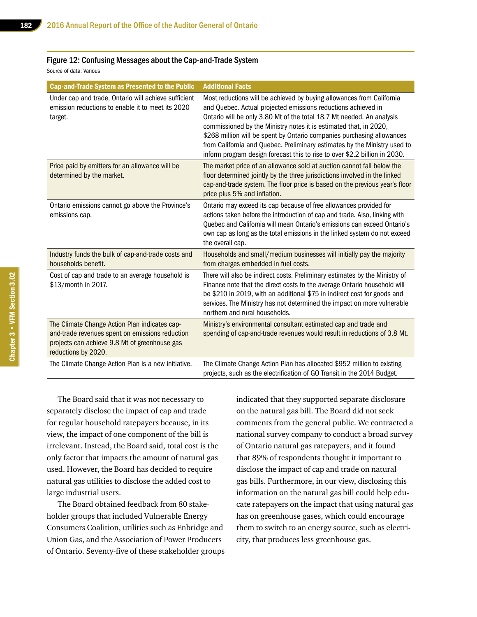#### Figure 12: Confusing Messages about the Cap-and-Trade System

Source of data: Various

| <b>Cap-and-Trade System as Presented to the Public</b>                                                                                                                   | <b>Additional Facts</b>                                                                                                                                                                                                                                                                                                                                                                                                                                                                                                   |
|--------------------------------------------------------------------------------------------------------------------------------------------------------------------------|---------------------------------------------------------------------------------------------------------------------------------------------------------------------------------------------------------------------------------------------------------------------------------------------------------------------------------------------------------------------------------------------------------------------------------------------------------------------------------------------------------------------------|
| Under cap and trade, Ontario will achieve sufficient<br>emission reductions to enable it to meet its 2020<br>target.                                                     | Most reductions will be achieved by buying allowances from California<br>and Quebec. Actual projected emissions reductions achieved in<br>Ontario will be only 3.80 Mt of the total 18.7 Mt needed. An analysis<br>commissioned by the Ministry notes it is estimated that, in 2020,<br>\$268 million will be spent by Ontario companies purchasing allowances<br>from California and Quebec. Preliminary estimates by the Ministry used to<br>inform program design forecast this to rise to over \$2.2 billion in 2030. |
| Price paid by emitters for an allowance will be<br>determined by the market.                                                                                             | The market price of an allowance sold at auction cannot fall below the<br>floor determined jointly by the three jurisdictions involved in the linked<br>cap-and-trade system. The floor price is based on the previous year's floor<br>price plus 5% and inflation.                                                                                                                                                                                                                                                       |
| Ontario emissions cannot go above the Province's<br>emissions cap.                                                                                                       | Ontario may exceed its cap because of free allowances provided for<br>actions taken before the introduction of cap and trade. Also, linking with<br>Quebec and California will mean Ontario's emissions can exceed Ontario's<br>own cap as long as the total emissions in the linked system do not exceed<br>the overall cap.                                                                                                                                                                                             |
| Industry funds the bulk of cap-and-trade costs and<br>households benefit.                                                                                                | Households and small/medium businesses will initially pay the majority<br>from charges embedded in fuel costs.                                                                                                                                                                                                                                                                                                                                                                                                            |
| Cost of cap and trade to an average household is<br>\$13/month in 2017.                                                                                                  | There will also be indirect costs. Preliminary estimates by the Ministry of<br>Finance note that the direct costs to the average Ontario household will<br>be \$210 in 2019, with an additional \$75 in indirect cost for goods and<br>services. The Ministry has not determined the impact on more vulnerable<br>northern and rural households.                                                                                                                                                                          |
| The Climate Change Action Plan indicates cap-<br>and-trade revenues spent on emissions reduction<br>projects can achieve 9.8 Mt of greenhouse gas<br>reductions by 2020. | Ministry's environmental consultant estimated cap and trade and<br>spending of cap-and-trade revenues would result in reductions of 3.8 Mt.                                                                                                                                                                                                                                                                                                                                                                               |
| The Climate Change Action Plan is a new initiative.                                                                                                                      | The Climate Change Action Plan has allocated \$952 million to existing<br>projects, such as the electrification of GO Transit in the 2014 Budget.                                                                                                                                                                                                                                                                                                                                                                         |

The Board said that it was not necessary to separately disclose the impact of cap and trade for regular household ratepayers because, in its view, the impact of one component of the bill is irrelevant. Instead, the Board said, total cost is the only factor that impacts the amount of natural gas used. However, the Board has decided to require natural gas utilities to disclose the added cost to large industrial users.

The Board obtained feedback from 80 stakeholder groups that included Vulnerable Energy Consumers Coalition, utilities such as Enbridge and Union Gas, and the Association of Power Producers of Ontario. Seventy-five of these stakeholder groups indicated that they supported separate disclosure on the natural gas bill. The Board did not seek comments from the general public. We contracted a national survey company to conduct a broad survey of Ontario natural gas ratepayers, and it found that 89% of respondents thought it important to disclose the impact of cap and trade on natural gas bills. Furthermore, in our view, disclosing this information on the natural gas bill could help educate ratepayers on the impact that using natural gas has on greenhouse gases, which could encourage them to switch to an energy source, such as electricity, that produces less greenhouse gas.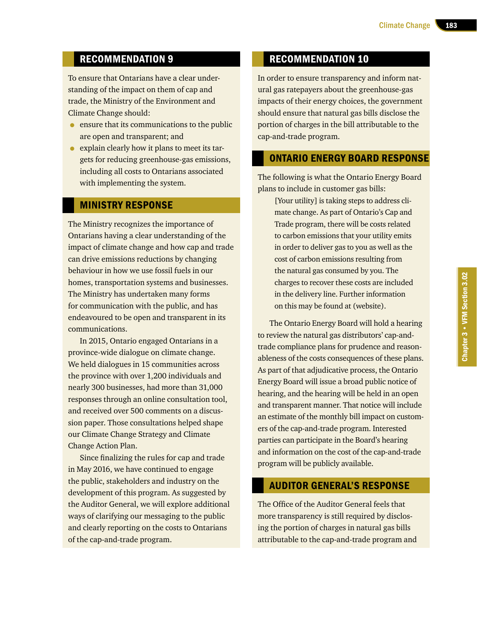## RECOMMENDATION 9

To ensure that Ontarians have a clear understanding of the impact on them of cap and trade, the Ministry of the Environment and Climate Change should:

- ensure that its communications to the public are open and transparent; and
- explain clearly how it plans to meet its targets for reducing greenhouse-gas emissions, including all costs to Ontarians associated with implementing the system.

#### MINISTRY RESPONSE

The Ministry recognizes the importance of Ontarians having a clear understanding of the impact of climate change and how cap and trade can drive emissions reductions by changing behaviour in how we use fossil fuels in our homes, transportation systems and businesses. The Ministry has undertaken many forms for communication with the public, and has endeavoured to be open and transparent in its communications.

In 2015, Ontario engaged Ontarians in a province-wide dialogue on climate change. We held dialogues in 15 communities across the province with over 1,200 individuals and nearly 300 businesses, had more than 31,000 responses through an online consultation tool, and received over 500 comments on a discussion paper. Those consultations helped shape our Climate Change Strategy and Climate Change Action Plan.

Since finalizing the rules for cap and trade in May 2016, we have continued to engage the public, stakeholders and industry on the development of this program. As suggested by the Auditor General, we will explore additional ways of clarifying our messaging to the public and clearly reporting on the costs to Ontarians of the cap-and-trade program.

## RECOMMENDATION 10

In order to ensure transparency and inform natural gas ratepayers about the greenhouse-gas impacts of their energy choices, the government should ensure that natural gas bills disclose the portion of charges in the bill attributable to the cap-and-trade program.

#### ONTARIO ENERGY BOARD RESPONSE

The following is what the Ontario Energy Board plans to include in customer gas bills:

[Your utility] is taking steps to address climate change. As part of Ontario's Cap and Trade program, there will be costs related to carbon emissions that your utility emits in order to deliver gas to you as well as the cost of carbon emissions resulting from the natural gas consumed by you. The charges to recover these costs are included in the delivery line. Further information on this may be found at (website).

The Ontario Energy Board will hold a hearing to review the natural gas distributors' cap-andtrade compliance plans for prudence and reasonableness of the costs consequences of these plans. As part of that adjudicative process, the Ontario Energy Board will issue a broad public notice of hearing, and the hearing will be held in an open and transparent manner. That notice will include an estimate of the monthly bill impact on customers of the cap-and-trade program. Interested parties can participate in the Board's hearing and information on the cost of the cap-and-trade program will be publicly available.

#### AUDITOR GENERAL'S RESPONSE

The Office of the Auditor General feels that more transparency is still required by disclosing the portion of charges in natural gas bills attributable to the cap-and-trade program and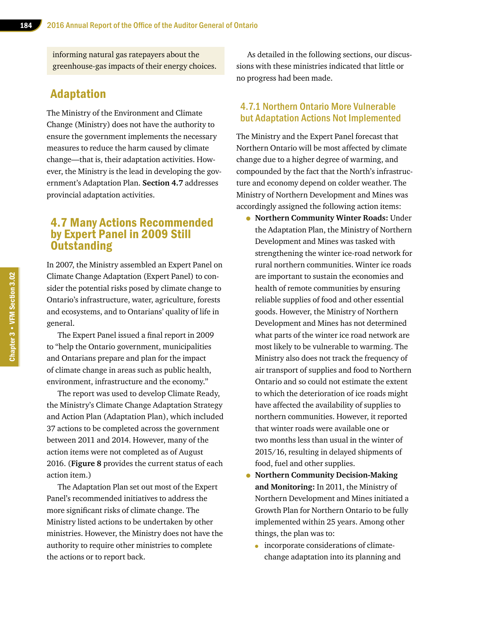informing natural gas ratepayers about the greenhouse-gas impacts of their energy choices.

## Adaptation

The Ministry of the Environment and Climate Change (Ministry) does not have the authority to ensure the government implements the necessary measures to reduce the harm caused by climate change—that is, their adaptation activities. However, the Ministry is the lead in developing the government's Adaptation Plan. **Section 4.7** addresses provincial adaptation activities.

## 4.7 Many Actions Recommended by Expert Panel in 2009 Still **Outstanding**

In 2007, the Ministry assembled an Expert Panel on Climate Change Adaptation (Expert Panel) to consider the potential risks posed by climate change to Ontario's infrastructure, water, agriculture, forests and ecosystems, and to Ontarians' quality of life in general.

The Expert Panel issued a final report in 2009 to "help the Ontario government, municipalities and Ontarians prepare and plan for the impact of climate change in areas such as public health, environment, infrastructure and the economy."

The report was used to develop Climate Ready, the Ministry's Climate Change Adaptation Strategy and Action Plan (Adaptation Plan), which included 37 actions to be completed across the government between 2011 and 2014. However, many of the action items were not completed as of August 2016. (**Figure 8** provides the current status of each action item.)

The Adaptation Plan set out most of the Expert Panel's recommended initiatives to address the more significant risks of climate change. The Ministry listed actions to be undertaken by other ministries. However, the Ministry does not have the authority to require other ministries to complete the actions or to report back.

As detailed in the following sections, our discussions with these ministries indicated that little or no progress had been made.

#### 4.7.1 Northern Ontario More Vulnerable but Adaptation Actions Not Implemented

The Ministry and the Expert Panel forecast that Northern Ontario will be most affected by climate change due to a higher degree of warming, and compounded by the fact that the North's infrastructure and economy depend on colder weather. The Ministry of Northern Development and Mines was accordingly assigned the following action items:

- **Northern Community Winter Roads:** Under the Adaptation Plan, the Ministry of Northern Development and Mines was tasked with strengthening the winter ice-road network for rural northern communities. Winter ice roads are important to sustain the economies and health of remote communities by ensuring reliable supplies of food and other essential goods. However, the Ministry of Northern Development and Mines has not determined what parts of the winter ice road network are most likely to be vulnerable to warming. The Ministry also does not track the frequency of air transport of supplies and food to Northern Ontario and so could not estimate the extent to which the deterioration of ice roads might have affected the availability of supplies to northern communities. However, it reported that winter roads were available one or two months less than usual in the winter of 2015/16, resulting in delayed shipments of food, fuel and other supplies.
- **Northern Community Decision-Making and Monitoring:** In 2011, the Ministry of Northern Development and Mines initiated a Growth Plan for Northern Ontario to be fully implemented within 25 years. Among other things, the plan was to:
	- incorporate considerations of climatechange adaptation into its planning and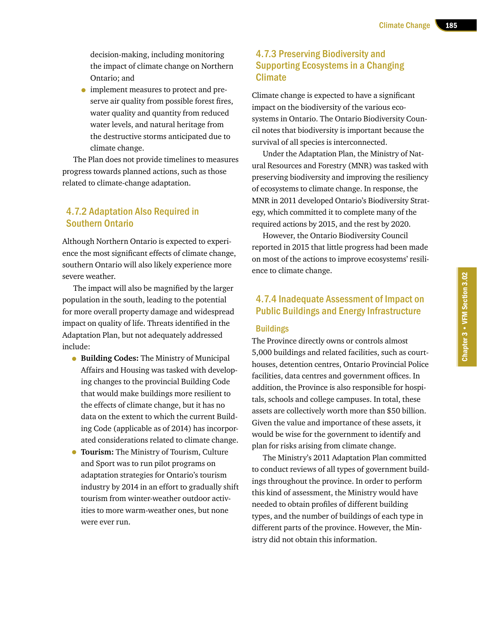decision-making, including monitoring the impact of climate change on Northern Ontario; and

• implement measures to protect and preserve air quality from possible forest fires, water quality and quantity from reduced water levels, and natural heritage from the destructive storms anticipated due to climate change.

The Plan does not provide timelines to measures progress towards planned actions, such as those related to climate-change adaptation.

#### 4.7.2 Adaptation Also Required in Southern Ontario

Although Northern Ontario is expected to experience the most significant effects of climate change, southern Ontario will also likely experience more severe weather.

The impact will also be magnified by the larger population in the south, leading to the potential for more overall property damage and widespread impact on quality of life. Threats identified in the Adaptation Plan, but not adequately addressed include:

- **Building Codes:** The Ministry of Municipal Affairs and Housing was tasked with developing changes to the provincial Building Code that would make buildings more resilient to the effects of climate change, but it has no data on the extent to which the current Building Code (applicable as of 2014) has incorporated considerations related to climate change.
- **Tourism:** The Ministry of Tourism, Culture and Sport was to run pilot programs on adaptation strategies for Ontario's tourism industry by 2014 in an effort to gradually shift tourism from winter-weather outdoor activities to more warm-weather ones, but none were ever run.

#### 4.7.3 Preserving Biodiversity and Supporting Ecosystems in a Changing **Climate**

Climate change is expected to have a significant impact on the biodiversity of the various ecosystems in Ontario. The Ontario Biodiversity Council notes that biodiversity is important because the survival of all species is interconnected.

Under the Adaptation Plan, the Ministry of Natural Resources and Forestry (MNR) was tasked with preserving biodiversity and improving the resiliency of ecosystems to climate change. In response, the MNR in 2011 developed Ontario's Biodiversity Strategy, which committed it to complete many of the required actions by 2015, and the rest by 2020.

However, the Ontario Biodiversity Council reported in 2015 that little progress had been made on most of the actions to improve ecosystems' resilience to climate change.

## 4.7.4 Inadequate Assessment of Impact on Public Buildings and Energy Infrastructure

#### **Buildings**

The Province directly owns or controls almost 5,000 buildings and related facilities, such as courthouses, detention centres, Ontario Provincial Police facilities, data centres and government offices. In addition, the Province is also responsible for hospitals, schools and college campuses. In total, these assets are collectively worth more than \$50 billion. Given the value and importance of these assets, it would be wise for the government to identify and plan for risks arising from climate change.

The Ministry's 2011 Adaptation Plan committed to conduct reviews of all types of government buildings throughout the province. In order to perform this kind of assessment, the Ministry would have needed to obtain profiles of different building types, and the number of buildings of each type in different parts of the province. However, the Ministry did not obtain this information.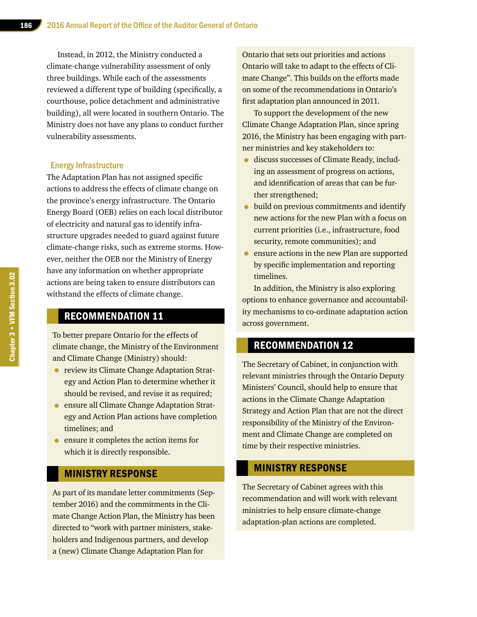Instead, in 2012, the Ministry conducted a climate-change vulnerability assessment of only three buildings. While each of the assessments reviewed a different type of building (specifically, a courthouse, police detachment and administrative building), all were located in southern Ontario. The Ministry does not have any plans to conduct further vulnerability assessments.

#### Energy Infrastructure

The Adaptation Plan has not assigned specific actions to address the effects of climate change on the province's energy infrastructure. The Ontario Energy Board (OEB) relies on each local distributor of electricity and natural gas to identify infrastructure upgrades needed to guard against future climate-change risks, such as extreme storms. However, neither the OEB nor the Ministry of Energy have any information on whether appropriate actions are being taken to ensure distributors can withstand the effects of climate change.

## RECOMMENDATION 11

To better prepare Ontario for the effects of climate change, the Ministry of the Environment and Climate Change (Ministry) should:

- review its Climate Change Adaptation Strategy and Action Plan to determine whether it should be revised, and revise it as required;
- ensure all Climate Change Adaptation Strategy and Action Plan actions have completion timelines; and
- ensure it completes the action items for which it is directly responsible.

#### MINISTRY RESPONSE

As part of its mandate letter commitments (September 2016) and the commitments in the Climate Change Action Plan, the Ministry has been directed to "work with partner ministers, stakeholders and Indigenous partners, and develop a (new) Climate Change Adaptation Plan for

Ontario that sets out priorities and actions Ontario will take to adapt to the effects of Climate Change". This builds on the efforts made on some of the recommendations in Ontario's first adaptation plan announced in 2011.

To support the development of the new Climate Change Adaptation Plan, since spring 2016, the Ministry has been engaging with partner ministries and key stakeholders to:

- discuss successes of Climate Ready, including an assessment of progress on actions, and identification of areas that can be further strengthened;
- build on previous commitments and identify new actions for the new Plan with a focus on current priorities (i.e., infrastructure, food security, remote communities); and
- ensure actions in the new Plan are supported by specific implementation and reporting timelines.

In addition, the Ministry is also exploring options to enhance governance and accountability mechanisms to co-ordinate adaptation action across government.

#### RECOMMENDATION 12

The Secretary of Cabinet, in conjunction with relevant ministries through the Ontario Deputy Ministers' Council, should help to ensure that actions in the Climate Change Adaptation Strategy and Action Plan that are not the direct responsibility of the Ministry of the Environment and Climate Change are completed on time by their respective ministries.

#### MINISTRY RESPONSE

The Secretary of Cabinet agrees with this recommendation and will work with relevant ministries to help ensure climate-change adaptation-plan actions are completed.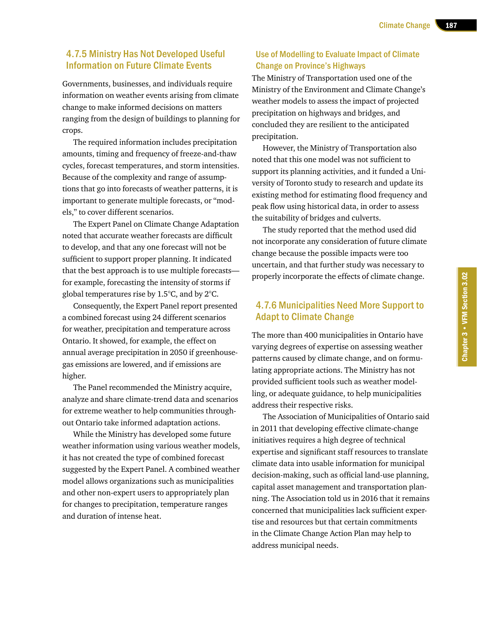#### 4.7.5 Ministry Has Not Developed Useful Information on Future Climate Events

Governments, businesses, and individuals require information on weather events arising from climate change to make informed decisions on matters ranging from the design of buildings to planning for crops.

The required information includes precipitation amounts, timing and frequency of freeze-and-thaw cycles, forecast temperatures, and storm intensities. Because of the complexity and range of assumptions that go into forecasts of weather patterns, it is important to generate multiple forecasts, or "models," to cover different scenarios.

The Expert Panel on Climate Change Adaptation noted that accurate weather forecasts are difficult to develop, and that any one forecast will not be sufficient to support proper planning. It indicated that the best approach is to use multiple forecasts for example, forecasting the intensity of storms if global temperatures rise by 1.5°C, and by 2°C.

Consequently, the Expert Panel report presented a combined forecast using 24 different scenarios for weather, precipitation and temperature across Ontario. It showed, for example, the effect on annual average precipitation in 2050 if greenhousegas emissions are lowered, and if emissions are higher.

The Panel recommended the Ministry acquire, analyze and share climate-trend data and scenarios for extreme weather to help communities throughout Ontario take informed adaptation actions.

While the Ministry has developed some future weather information using various weather models, it has not created the type of combined forecast suggested by the Expert Panel. A combined weather model allows organizations such as municipalities and other non-expert users to appropriately plan for changes to precipitation, temperature ranges and duration of intense heat.

#### Use of Modelling to Evaluate Impact of Climate Change on Province's Highways

The Ministry of Transportation used one of the Ministry of the Environment and Climate Change's weather models to assess the impact of projected precipitation on highways and bridges, and concluded they are resilient to the anticipated precipitation.

However, the Ministry of Transportation also noted that this one model was not sufficient to support its planning activities, and it funded a University of Toronto study to research and update its existing method for estimating flood frequency and peak flow using historical data, in order to assess the suitability of bridges and culverts.

The study reported that the method used did not incorporate any consideration of future climate change because the possible impacts were too uncertain, and that further study was necessary to properly incorporate the effects of climate change.

#### 4.7.6 Municipalities Need More Support to Adapt to Climate Change

The more than 400 municipalities in Ontario have varying degrees of expertise on assessing weather patterns caused by climate change, and on formulating appropriate actions. The Ministry has not provided sufficient tools such as weather modelling, or adequate guidance, to help municipalities address their respective risks.

The Association of Municipalities of Ontario said in 2011 that developing effective climate-change initiatives requires a high degree of technical expertise and significant staff resources to translate climate data into usable information for municipal decision-making, such as official land-use planning, capital asset management and transportation planning. The Association told us in 2016 that it remains concerned that municipalities lack sufficient expertise and resources but that certain commitments in the Climate Change Action Plan may help to address municipal needs.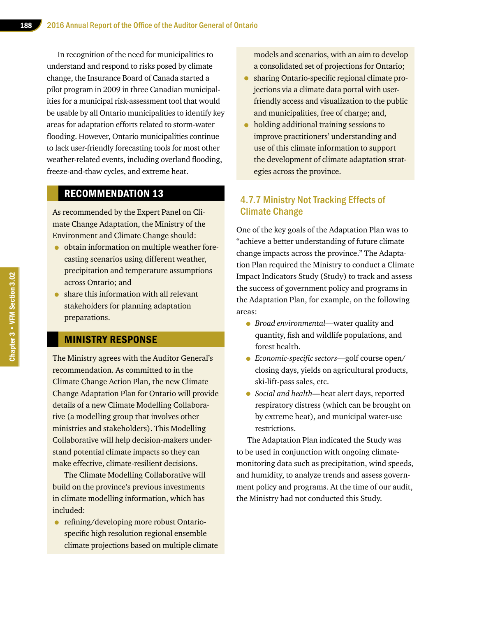In recognition of the need for municipalities to understand and respond to risks posed by climate change, the Insurance Board of Canada started a pilot program in 2009 in three Canadian municipalities for a municipal risk-assessment tool that would be usable by all Ontario municipalities to identify key areas for adaptation efforts related to storm-water flooding. However, Ontario municipalities continue to lack user-friendly forecasting tools for most other weather-related events, including overland flooding, freeze-and-thaw cycles, and extreme heat.

## RECOMMENDATION 13

As recommended by the Expert Panel on Climate Change Adaptation, the Ministry of the Environment and Climate Change should:

- obtain information on multiple weather forecasting scenarios using different weather, precipitation and temperature assumptions across Ontario; and
- share this information with all relevant stakeholders for planning adaptation preparations.

## MINISTRY RESPONSE

The Ministry agrees with the Auditor General's recommendation. As committed to in the Climate Change Action Plan, the new Climate Change Adaptation Plan for Ontario will provide details of a new Climate Modelling Collaborative (a modelling group that involves other ministries and stakeholders). This Modelling Collaborative will help decision-makers understand potential climate impacts so they can make effective, climate-resilient decisions.

The Climate Modelling Collaborative will build on the province's previous investments in climate modelling information, which has included:

• refining/developing more robust Ontariospecific high resolution regional ensemble climate projections based on multiple climate models and scenarios, with an aim to develop a consolidated set of projections for Ontario;

- sharing Ontario-specific regional climate projections via a climate data portal with userfriendly access and visualization to the public and municipalities, free of charge; and,
- holding additional training sessions to improve practitioners' understanding and use of this climate information to support the development of climate adaptation strategies across the province.

#### 4.7.7 Ministry Not Tracking Effects of Climate Change

One of the key goals of the Adaptation Plan was to "achieve a better understanding of future climate change impacts across the province." The Adaptation Plan required the Ministry to conduct a Climate Impact Indicators Study (Study) to track and assess the success of government policy and programs in the Adaptation Plan, for example, on the following areas:

- *Broad environmental*—water quality and quantity, fish and wildlife populations, and forest health.
- *Economic-specific sectors*—golf course open/ closing days, yields on agricultural products, ski-lift-pass sales, etc.
- *Social and health*—heat alert days, reported respiratory distress (which can be brought on by extreme heat), and municipal water-use restrictions.

The Adaptation Plan indicated the Study was to be used in conjunction with ongoing climatemonitoring data such as precipitation, wind speeds, and humidity, to analyze trends and assess government policy and programs. At the time of our audit, the Ministry had not conducted this Study.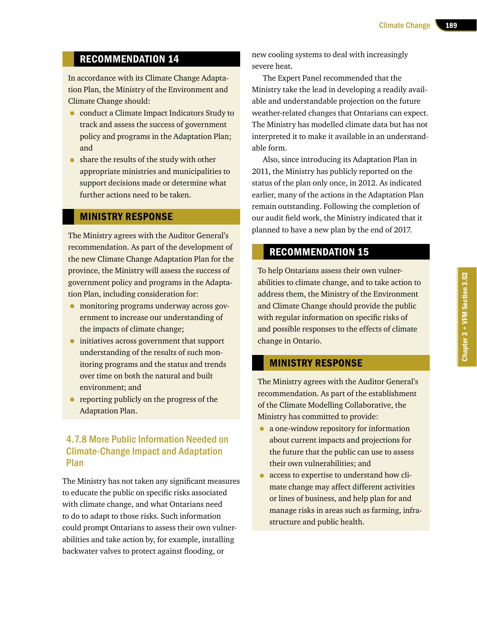## RECOMMENDATION 14

In accordance with its Climate Change Adaptation Plan, the Ministry of the Environment and Climate Change should:

- conduct a Climate Impact Indicators Study to track and assess the success of government policy and programs in the Adaptation Plan; and
- share the results of the study with other appropriate ministries and municipalities to support decisions made or determine what further actions need to be taken.

#### MINISTRY RESPONSE

The Ministry agrees with the Auditor General's recommendation. As part of the development of the new Climate Change Adaptation Plan for the province, the Ministry will assess the success of government policy and programs in the Adaptation Plan, including consideration for:

- monitoring programs underway across government to increase our understanding of the impacts of climate change;
- initiatives across government that support understanding of the results of such monitoring programs and the status and trends over time on both the natural and built environment; and
- reporting publicly on the progress of the Adaptation Plan.

#### 4.7.8 More Public Information Needed on Climate-Change Impact and Adaptation Plan

The Ministry has not taken any significant measures to educate the public on specific risks associated with climate change, and what Ontarians need to do to adapt to those risks. Such information could prompt Ontarians to assess their own vulnerabilities and take action by, for example, installing backwater valves to protect against flooding, or

new cooling systems to deal with increasingly severe heat.

The Expert Panel recommended that the Ministry take the lead in developing a readily available and understandable projection on the future weather-related changes that Ontarians can expect. The Ministry has modelled climate data but has not interpreted it to make it available in an understandable form.

Also, since introducing its Adaptation Plan in 2011, the Ministry has publicly reported on the status of the plan only once, in 2012. As indicated earlier, many of the actions in the Adaptation Plan remain outstanding. Following the completion of our audit field work, the Ministry indicated that it planned to have a new plan by the end of 2017.

## RECOMMENDATION 15

To help Ontarians assess their own vulnerabilities to climate change, and to take action to address them, the Ministry of the Environment and Climate Change should provide the public with regular information on specific risks of and possible responses to the effects of climate change in Ontario.

#### MINISTRY RESPONSE

The Ministry agrees with the Auditor General's recommendation. As part of the establishment of the Climate Modelling Collaborative, the Ministry has committed to provide:

- a one-window repository for information about current impacts and projections for the future that the public can use to assess their own vulnerabilities; and
- access to expertise to understand how climate change may affect different activities or lines of business, and help plan for and manage risks in areas such as farming, infrastructure and public health.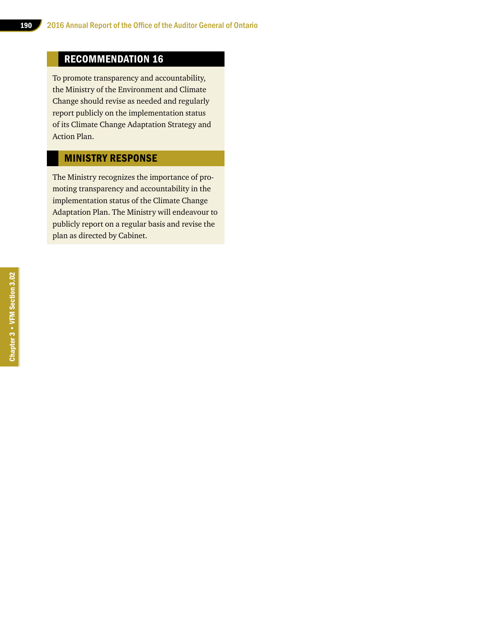## RECOMMENDATION 16

To promote transparency and accountability, the Ministry of the Environment and Climate Change should revise as needed and regularly report publicly on the implementation status of its Climate Change Adaptation Strategy and Action Plan.

## MINISTRY RESPONSE

The Ministry recognizes the importance of promoting transparency and accountability in the implementation status of the Climate Change Adaptation Plan. The Ministry will endeavour to publicly report on a regular basis and revise the plan as directed by Cabinet.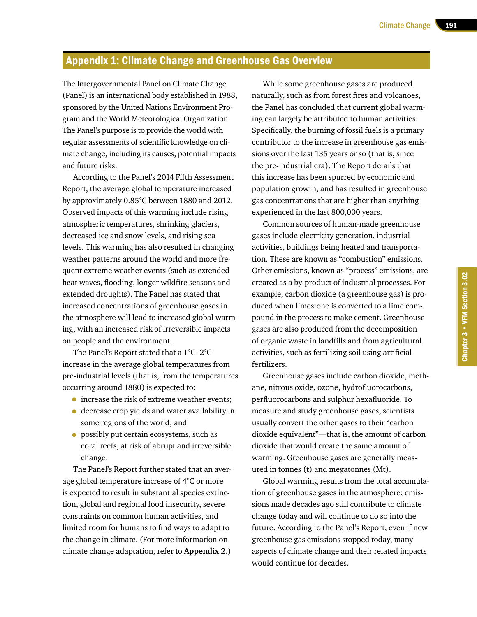## Appendix 1: Climate Change and Greenhouse Gas Overview

The Intergovernmental Panel on Climate Change (Panel) is an international body established in 1988, sponsored by the United Nations Environment Program and the World Meteorological Organization. The Panel's purpose is to provide the world with regular assessments of scientific knowledge on climate change, including its causes, potential impacts and future risks.

According to the Panel's 2014 Fifth Assessment Report, the average global temperature increased by approximately 0.85°C between 1880 and 2012. Observed impacts of this warming include rising atmospheric temperatures, shrinking glaciers, decreased ice and snow levels, and rising sea levels. This warming has also resulted in changing weather patterns around the world and more frequent extreme weather events (such as extended heat waves, flooding, longer wildfire seasons and extended droughts). The Panel has stated that increased concentrations of greenhouse gases in the atmosphere will lead to increased global warming, with an increased risk of irreversible impacts on people and the environment.

The Panel's Report stated that a 1°C–2°C increase in the average global temperatures from pre-industrial levels (that is, from the temperatures occurring around 1880) is expected to:

- increase the risk of extreme weather events;
- decrease crop yields and water availability in some regions of the world; and
- possibly put certain ecosystems, such as coral reefs, at risk of abrupt and irreversible change.

The Panel's Report further stated that an average global temperature increase of 4°C or more is expected to result in substantial species extinction, global and regional food insecurity, severe constraints on common human activities, and limited room for humans to find ways to adapt to the change in climate. (For more information on climate change adaptation, refer to **Appendix 2**.)

While some greenhouse gases are produced naturally, such as from forest fires and volcanoes, the Panel has concluded that current global warming can largely be attributed to human activities. Specifically, the burning of fossil fuels is a primary contributor to the increase in greenhouse gas emissions over the last 135 years or so (that is, since the pre-industrial era). The Report details that this increase has been spurred by economic and population growth, and has resulted in greenhouse gas concentrations that are higher than anything experienced in the last 800,000 years.

Common sources of human-made greenhouse gases include electricity generation, industrial activities, buildings being heated and transportation. These are known as "combustion" emissions. Other emissions, known as "process" emissions, are created as a by-product of industrial processes. For example, carbon dioxide (a greenhouse gas) is produced when limestone is converted to a lime compound in the process to make cement. Greenhouse gases are also produced from the decomposition of organic waste in landfills and from agricultural activities, such as fertilizing soil using artificial fertilizers.

Greenhouse gases include carbon dioxide, methane, nitrous oxide, ozone, hydrofluorocarbons, perfluorocarbons and sulphur hexafluoride. To measure and study greenhouse gases, scientists usually convert the other gases to their "carbon dioxide equivalent"—that is, the amount of carbon dioxide that would create the same amount of warming. Greenhouse gases are generally measured in tonnes (t) and megatonnes (Mt).

Global warming results from the total accumulation of greenhouse gases in the atmosphere; emissions made decades ago still contribute to climate change today and will continue to do so into the future. According to the Panel's Report, even if new greenhouse gas emissions stopped today, many aspects of climate change and their related impacts would continue for decades.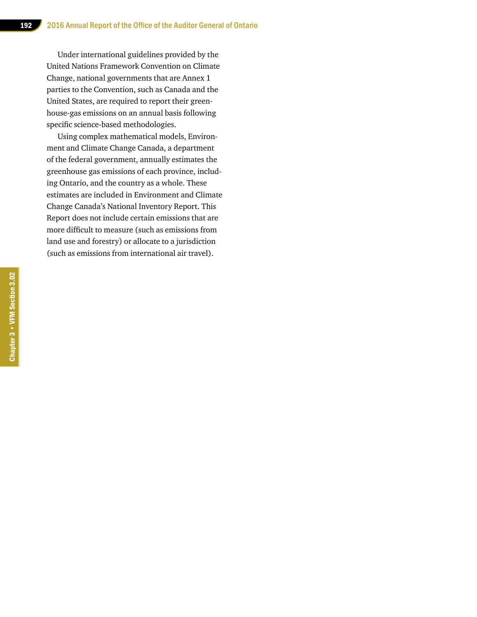Under international guidelines provided by the United Nations Framework Convention on Climate Change, national governments that are Annex 1 parties to the Convention, such as Canada and the United States, are required to report their greenhouse-gas emissions on an annual basis following specific science-based methodologies.

Using complex mathematical models, Environment and Climate Change Canada, a department of the federal government, annually estimates the greenhouse gas emissions of each province, including Ontario, and the country as a whole. These estimates are included in Environment and Climate Change Canada's National Inventory Report. This Report does not include certain emissions that are more difficult to measure (such as emissions from land use and forestry) or allocate to a jurisdiction (such as emissions from international air travel).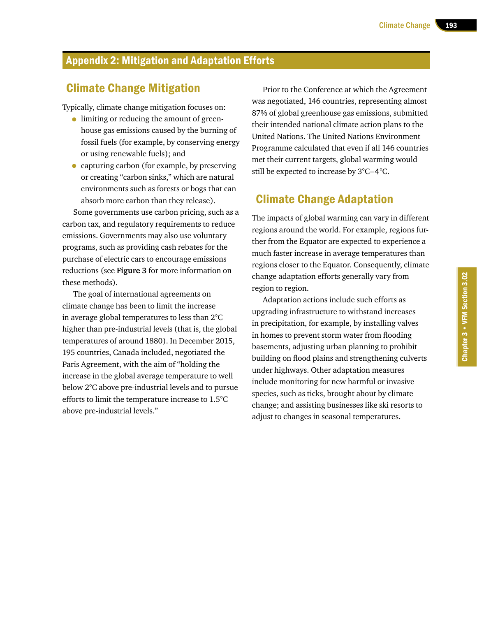## Appendix 2: Mitigation and Adaptation Efforts

## Climate Change Mitigation

Typically, climate change mitigation focuses on:

- limiting or reducing the amount of greenhouse gas emissions caused by the burning of fossil fuels (for example, by conserving energy or using renewable fuels); and
- capturing carbon (for example, by preserving or creating "carbon sinks," which are natural environments such as forests or bogs that can absorb more carbon than they release).

Some governments use carbon pricing, such as a carbon tax, and regulatory requirements to reduce emissions. Governments may also use voluntary programs, such as providing cash rebates for the purchase of electric cars to encourage emissions reductions (see **Figure 3** for more information on these methods).

The goal of international agreements on climate change has been to limit the increase in average global temperatures to less than 2°C higher than pre-industrial levels (that is, the global temperatures of around 1880). In December 2015, 195 countries, Canada included, negotiated the Paris Agreement, with the aim of "holding the increase in the global average temperature to well below 2°C above pre-industrial levels and to pursue efforts to limit the temperature increase to 1.5°C above pre-industrial levels."

Prior to the Conference at which the Agreement was negotiated, 146 countries, representing almost 87% of global greenhouse gas emissions, submitted their intended national climate action plans to the United Nations. The United Nations Environment Programme calculated that even if all 146 countries met their current targets, global warming would still be expected to increase by 3°C–4°C.

## Climate Change Adaptation

The impacts of global warming can vary in different regions around the world. For example, regions further from the Equator are expected to experience a much faster increase in average temperatures than regions closer to the Equator. Consequently, climate change adaptation efforts generally vary from region to region.

Adaptation actions include such efforts as upgrading infrastructure to withstand increases in precipitation, for example, by installing valves in homes to prevent storm water from flooding basements, adjusting urban planning to prohibit building on flood plains and strengthening culverts under highways. Other adaptation measures include monitoring for new harmful or invasive species, such as ticks, brought about by climate change; and assisting businesses like ski resorts to adjust to changes in seasonal temperatures.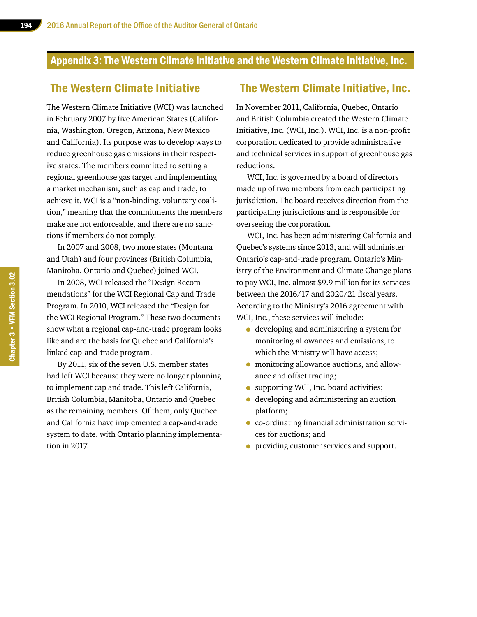## Appendix 3: The Western Climate Initiative and the Western Climate Initiative, Inc.

## The Western Climate Initiative

The Western Climate Initiative (WCI) was launched in February 2007 by five American States (California, Washington, Oregon, Arizona, New Mexico and California). Its purpose was to develop ways to reduce greenhouse gas emissions in their respective states. The members committed to setting a regional greenhouse gas target and implementing a market mechanism, such as cap and trade, to achieve it. WCI is a "non-binding, voluntary coalition," meaning that the commitments the members make are not enforceable, and there are no sanctions if members do not comply.

In 2007 and 2008, two more states (Montana and Utah) and four provinces (British Columbia, Manitoba, Ontario and Quebec) joined WCI.

In 2008, WCI released the "Design Recommendations" for the WCI Regional Cap and Trade Program. In 2010, WCI released the "Design for the WCI Regional Program." These two documents show what a regional cap-and-trade program looks like and are the basis for Quebec and California's linked cap-and-trade program.

By 2011, six of the seven U.S. member states had left WCI because they were no longer planning to implement cap and trade. This left California, British Columbia, Manitoba, Ontario and Quebec as the remaining members. Of them, only Quebec and California have implemented a cap-and-trade system to date, with Ontario planning implementation in 2017.

## The Western Climate Initiative, Inc.

In November 2011, California, Quebec, Ontario and British Columbia created the Western Climate Initiative, Inc. (WCI, Inc.). WCI, Inc. is a non-profit corporation dedicated to provide administrative and technical services in support of greenhouse gas reductions.

WCI, Inc. is governed by a board of directors made up of two members from each participating jurisdiction. The board receives direction from the participating jurisdictions and is responsible for overseeing the corporation.

WCI, Inc. has been administering California and Quebec's systems since 2013, and will administer Ontario's cap-and-trade program. Ontario's Ministry of the Environment and Climate Change plans to pay WCI, Inc. almost \$9.9 million for its services between the 2016/17 and 2020/21 fiscal years. According to the Ministry's 2016 agreement with WCI, Inc., these services will include:

- developing and administering a system for monitoring allowances and emissions, to which the Ministry will have access;
- monitoring allowance auctions, and allowance and offset trading;
- supporting WCI, Inc. board activities;
- developing and administering an auction platform;
- co-ordinating financial administration services for auctions; and
- providing customer services and support.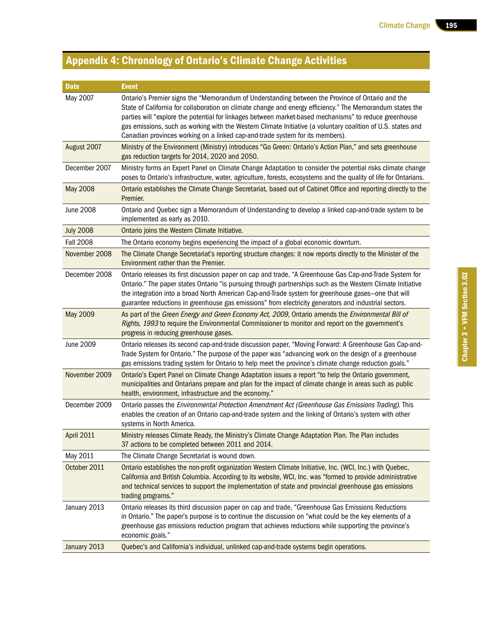## Appendix 4: Chronology of Ontario's Climate Change Activities

| <b>Date</b>       | <b>Event</b>                                                                                                                                                                                                                                                                                                                                                                                                                                                                                                             |
|-------------------|--------------------------------------------------------------------------------------------------------------------------------------------------------------------------------------------------------------------------------------------------------------------------------------------------------------------------------------------------------------------------------------------------------------------------------------------------------------------------------------------------------------------------|
| May 2007          | Ontario's Premier signs the "Memorandum of Understanding between the Province of Ontario and the<br>State of California for collaboration on climate change and energy efficiency." The Memorandum states the<br>parties will "explore the potential for linkages between market-based mechanisms" to reduce greenhouse<br>gas emissions, such as working with the Western Climate Initiative (a voluntary coalition of U.S. states and<br>Canadian provinces working on a linked cap-and-trade system for its members). |
| August 2007       | Ministry of the Environment (Ministry) introduces "Go Green: Ontario's Action Plan," and sets greenhouse<br>gas reduction targets for 2014, 2020 and 2050.                                                                                                                                                                                                                                                                                                                                                               |
| December 2007     | Ministry forms an Expert Panel on Climate Change Adaptation to consider the potential risks climate change<br>poses to Ontario's infrastructure, water, agriculture, forests, ecosystems and the quality of life for Ontarians.                                                                                                                                                                                                                                                                                          |
| <b>May 2008</b>   | Ontario establishes the Climate Change Secretariat, based out of Cabinet Office and reporting directly to the<br>Premier.                                                                                                                                                                                                                                                                                                                                                                                                |
| <b>June 2008</b>  | Ontario and Quebec sign a Memorandum of Understanding to develop a linked cap-and-trade system to be<br>implemented as early as 2010.                                                                                                                                                                                                                                                                                                                                                                                    |
| <b>July 2008</b>  | Ontario joins the Western Climate Initiative.                                                                                                                                                                                                                                                                                                                                                                                                                                                                            |
| <b>Fall 2008</b>  | The Ontario economy begins experiencing the impact of a global economic downturn.                                                                                                                                                                                                                                                                                                                                                                                                                                        |
| November 2008     | The Climate Change Secretariat's reporting structure changes: it now reports directly to the Minister of the<br>Environment rather than the Premier.                                                                                                                                                                                                                                                                                                                                                                     |
| December 2008     | Ontario releases its first discussion paper on cap and trade, "A Greenhouse Gas Cap-and-Trade System for<br>Ontario." The paper states Ontario "is pursuing through partnerships such as the Western Climate Initiative<br>the integration into a broad North American Cap-and-Trade system for greenhouse gases-one that will<br>guarantee reductions in greenhouse gas emissions" from electricity generators and industrial sectors.                                                                                  |
| May 2009          | As part of the Green Energy and Green Economy Act, 2009, Ontario amends the Environmental Bill of<br>Rights, 1993 to require the Environmental Commissioner to monitor and report on the government's<br>progress in reducing greenhouse gases.                                                                                                                                                                                                                                                                          |
| June 2009         | Ontario releases its second cap-and-trade discussion paper, "Moving Forward: A Greenhouse Gas Cap-and-<br>Trade System for Ontario." The purpose of the paper was "advancing work on the design of a greenhouse<br>gas emissions trading system for Ontario to help meet the province's climate change reduction goals."                                                                                                                                                                                                 |
| November 2009     | Ontario's Expert Panel on Climate Change Adaptation issues a report "to help the Ontario government,<br>municipalities and Ontarians prepare and plan for the impact of climate change in areas such as public<br>health, environment, infrastructure and the economy."                                                                                                                                                                                                                                                  |
| December 2009     | Ontario passes the Environmental Protection Amendment Act (Greenhouse Gas Emissions Trading). This<br>enables the creation of an Ontario cap-and-trade system and the linking of Ontario's system with other<br>systems in North America.                                                                                                                                                                                                                                                                                |
| <b>April 2011</b> | Ministry releases Climate Ready, the Ministry's Climate Change Adaptation Plan. The Plan includes<br>37 actions to be completed between 2011 and 2014.                                                                                                                                                                                                                                                                                                                                                                   |
| May 2011          | The Climate Change Secretariat is wound down.                                                                                                                                                                                                                                                                                                                                                                                                                                                                            |
| October 2011      | Ontario establishes the non-profit organization Western Climate Initiative, Inc. (WCI, Inc.) with Quebec,<br>California and British Columbia. According to its website, WCI, Inc. was "formed to provide administrative<br>and technical services to support the implementation of state and provincial greenhouse gas emissions<br>trading programs."                                                                                                                                                                   |
| January 2013      | Ontario releases its third discussion paper on cap and trade, "Greenhouse Gas Emissions Reductions<br>in Ontario." The paper's purpose is to continue the discussion on "what could be the key elements of a<br>greenhouse gas emissions reduction program that achieves reductions while supporting the province's<br>economic goals."                                                                                                                                                                                  |
| January 2013      | Quebec's and California's individual, unlinked cap-and-trade systems begin operations.                                                                                                                                                                                                                                                                                                                                                                                                                                   |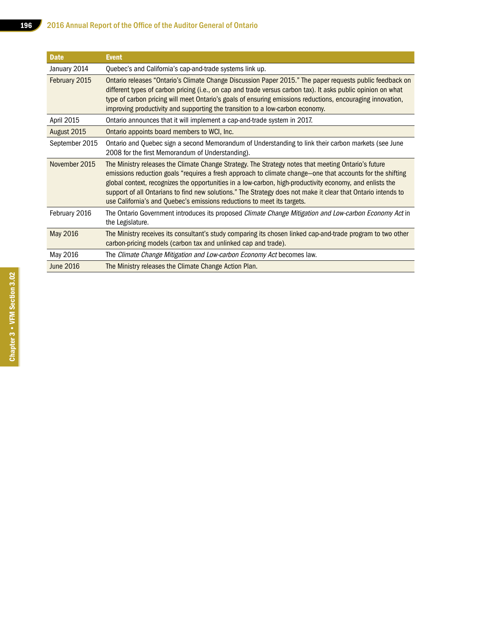| <b>Date</b>      | <b>Event</b>                                                                                                                                                                                                                                                                                                                                                                                                                                                                                                            |
|------------------|-------------------------------------------------------------------------------------------------------------------------------------------------------------------------------------------------------------------------------------------------------------------------------------------------------------------------------------------------------------------------------------------------------------------------------------------------------------------------------------------------------------------------|
| January 2014     | Quebec's and California's cap-and-trade systems link up.                                                                                                                                                                                                                                                                                                                                                                                                                                                                |
| February 2015    | Ontario releases "Ontario's Climate Change Discussion Paper 2015." The paper requests public feedback on<br>different types of carbon pricing (i.e., on cap and trade versus carbon tax). It asks public opinion on what<br>type of carbon pricing will meet Ontario's goals of ensuring emissions reductions, encouraging innovation,<br>improving productivity and supporting the transition to a low-carbon economy.                                                                                                 |
| April 2015       | Ontario announces that it will implement a cap-and-trade system in 2017.                                                                                                                                                                                                                                                                                                                                                                                                                                                |
| August 2015      | Ontario appoints board members to WCI, Inc.                                                                                                                                                                                                                                                                                                                                                                                                                                                                             |
| September 2015   | Ontario and Quebec sign a second Memorandum of Understanding to link their carbon markets (see June<br>2008 for the first Memorandum of Understanding).                                                                                                                                                                                                                                                                                                                                                                 |
| November 2015    | The Ministry releases the Climate Change Strategy. The Strategy notes that meeting Ontario's future<br>emissions reduction goals "requires a fresh approach to climate change—one that accounts for the shifting<br>global context, recognizes the opportunities in a low-carbon, high-productivity economy, and enlists the<br>support of all Ontarians to find new solutions." The Strategy does not make it clear that Ontario intends to<br>use California's and Quebec's emissions reductions to meet its targets. |
| February 2016    | The Ontario Government introduces its proposed Climate Change Mitigation and Low-carbon Economy Act in<br>the Legislature.                                                                                                                                                                                                                                                                                                                                                                                              |
| May 2016         | The Ministry receives its consultant's study comparing its chosen linked cap-and-trade program to two other<br>carbon-pricing models (carbon tax and unlinked cap and trade).                                                                                                                                                                                                                                                                                                                                           |
| May 2016         | The Climate Change Mitigation and Low-carbon Economy Act becomes law.                                                                                                                                                                                                                                                                                                                                                                                                                                                   |
| <b>June 2016</b> | The Ministry releases the Climate Change Action Plan.                                                                                                                                                                                                                                                                                                                                                                                                                                                                   |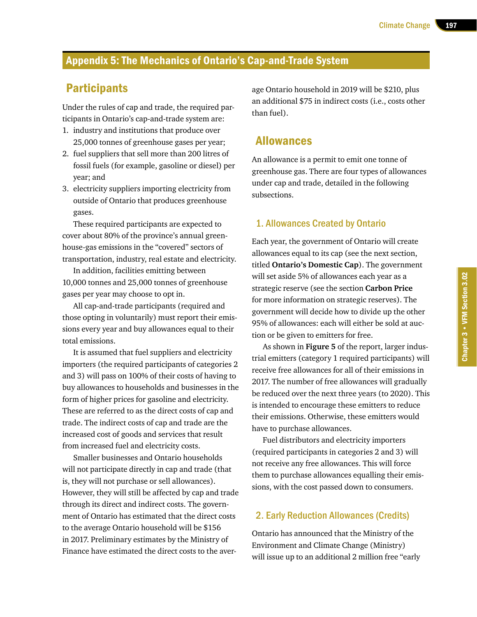## Appendix 5: The Mechanics of Ontario's Cap-and-Trade System

## **Participants**

Under the rules of cap and trade, the required participants in Ontario's cap-and-trade system are:

- 1. industry and institutions that produce over 25,000 tonnes of greenhouse gases per year;
- 2. fuel suppliers that sell more than 200 litres of fossil fuels (for example, gasoline or diesel) per year; and
- 3. electricity suppliers importing electricity from outside of Ontario that produces greenhouse gases.

These required participants are expected to cover about 80% of the province's annual greenhouse-gas emissions in the "covered" sectors of transportation, industry, real estate and electricity.

In addition, facilities emitting between 10,000 tonnes and 25,000 tonnes of greenhouse gases per year may choose to opt in.

All cap-and-trade participants (required and those opting in voluntarily) must report their emissions every year and buy allowances equal to their total emissions.

It is assumed that fuel suppliers and electricity importers (the required participants of categories 2 and 3) will pass on 100% of their costs of having to buy allowances to households and businesses in the form of higher prices for gasoline and electricity. These are referred to as the direct costs of cap and trade. The indirect costs of cap and trade are the increased cost of goods and services that result from increased fuel and electricity costs.

Smaller businesses and Ontario households will not participate directly in cap and trade (that is, they will not purchase or sell allowances). However, they will still be affected by cap and trade through its direct and indirect costs. The government of Ontario has estimated that the direct costs to the average Ontario household will be \$156 in 2017. Preliminary estimates by the Ministry of Finance have estimated the direct costs to the average Ontario household in 2019 will be \$210, plus an additional \$75 in indirect costs (i.e., costs other than fuel).

## Allowances

An allowance is a permit to emit one tonne of greenhouse gas. There are four types of allowances under cap and trade, detailed in the following subsections.

#### 1. Allowances Created by Ontario

Each year, the government of Ontario will create allowances equal to its cap (see the next section, titled **Ontario's Domestic Cap**). The government will set aside 5% of allowances each year as a strategic reserve (see the section **Carbon Price** for more information on strategic reserves). The government will decide how to divide up the other 95% of allowances: each will either be sold at auction or be given to emitters for free.

As shown in **Figure 5** of the report, larger industrial emitters (category 1 required participants) will receive free allowances for all of their emissions in 2017. The number of free allowances will gradually be reduced over the next three years (to 2020). This is intended to encourage these emitters to reduce their emissions. Otherwise, these emitters would have to purchase allowances.

Fuel distributors and electricity importers (required participants in categories 2 and 3) will not receive any free allowances. This will force them to purchase allowances equalling their emissions, with the cost passed down to consumers.

#### 2. Early Reduction Allowances (Credits)

Ontario has announced that the Ministry of the Environment and Climate Change (Ministry) will issue up to an additional 2 million free "early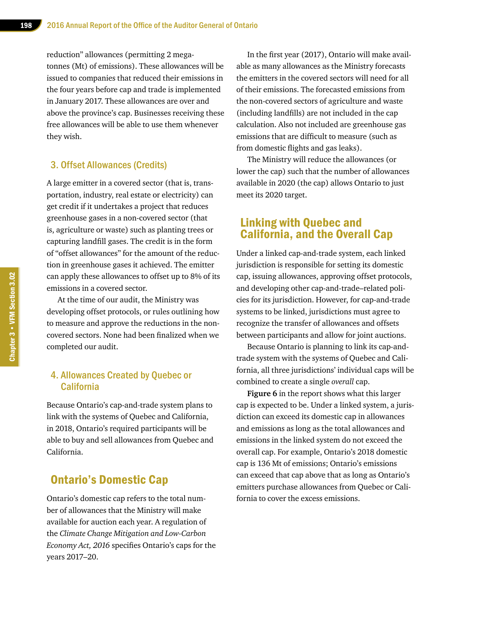reduction" allowances (permitting 2 megatonnes (Mt) of emissions). These allowances will be issued to companies that reduced their emissions in the four years before cap and trade is implemented in January 2017. These allowances are over and above the province's cap. Businesses receiving these free allowances will be able to use them whenever they wish.

#### 3. Offset Allowances (Credits)

A large emitter in a covered sector (that is, transportation, industry, real estate or electricity) can get credit if it undertakes a project that reduces greenhouse gases in a non-covered sector (that is, agriculture or waste) such as planting trees or capturing landfill gases. The credit is in the form of "offset allowances" for the amount of the reduction in greenhouse gases it achieved. The emitter can apply these allowances to offset up to 8% of its emissions in a covered sector.

At the time of our audit, the Ministry was developing offset protocols, or rules outlining how to measure and approve the reductions in the noncovered sectors. None had been finalized when we completed our audit.

#### 4. Allowances Created by Quebec or California

Because Ontario's cap-and-trade system plans to link with the systems of Quebec and California, in 2018, Ontario's required participants will be able to buy and sell allowances from Quebec and California.

## Ontario's Domestic Cap

Ontario's domestic cap refers to the total number of allowances that the Ministry will make available for auction each year. A regulation of the *Climate Change Mitigation and Low-Carbon Economy Act, 2016* specifies Ontario's caps for the years 2017–20.

In the first year (2017), Ontario will make available as many allowances as the Ministry forecasts the emitters in the covered sectors will need for all of their emissions. The forecasted emissions from the non-covered sectors of agriculture and waste (including landfills) are not included in the cap calculation. Also not included are greenhouse gas emissions that are difficult to measure (such as from domestic flights and gas leaks).

The Ministry will reduce the allowances (or lower the cap) such that the number of allowances available in 2020 (the cap) allows Ontario to just meet its 2020 target.

## Linking with Quebec and California, and the Overall Cap

Under a linked cap-and-trade system, each linked jurisdiction is responsible for setting its domestic cap, issuing allowances, approving offset protocols, and developing other cap-and-trade–related policies for its jurisdiction. However, for cap-and-trade systems to be linked, jurisdictions must agree to recognize the transfer of allowances and offsets between participants and allow for joint auctions.

Because Ontario is planning to link its cap-andtrade system with the systems of Quebec and California, all three jurisdictions' individual caps will be combined to create a single *overall* cap.

**Figure 6** in the report shows what this larger cap is expected to be. Under a linked system, a jurisdiction can exceed its domestic cap in allowances and emissions as long as the total allowances and emissions in the linked system do not exceed the overall cap. For example, Ontario's 2018 domestic cap is 136 Mt of emissions; Ontario's emissions can exceed that cap above that as long as Ontario's emitters purchase allowances from Quebec or California to cover the excess emissions.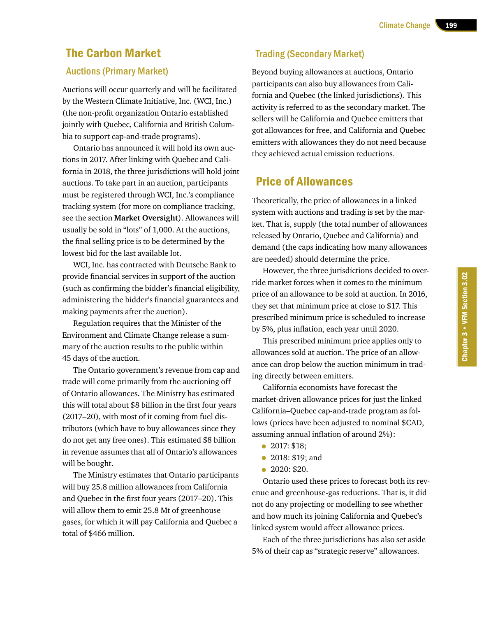## The Carbon Market

#### Auctions (Primary Market)

Auctions will occur quarterly and will be facilitated by the Western Climate Initiative, Inc. (WCI, Inc.) (the non-profit organization Ontario established jointly with Quebec, California and British Columbia to support cap-and-trade programs).

Ontario has announced it will hold its own auctions in 2017. After linking with Quebec and California in 2018, the three jurisdictions will hold joint auctions. To take part in an auction, participants must be registered through WCI, Inc.'s compliance tracking system (for more on compliance tracking, see the section **Market Oversight**). Allowances will usually be sold in "lots" of 1,000. At the auctions, the final selling price is to be determined by the lowest bid for the last available lot.

WCI, Inc. has contracted with Deutsche Bank to provide financial services in support of the auction (such as confirming the bidder's financial eligibility, administering the bidder's financial guarantees and making payments after the auction).

Regulation requires that the Minister of the Environment and Climate Change release a summary of the auction results to the public within 45 days of the auction.

The Ontario government's revenue from cap and trade will come primarily from the auctioning off of Ontario allowances. The Ministry has estimated this will total about \$8 billion in the first four years (2017–20), with most of it coming from fuel distributors (which have to buy allowances since they do not get any free ones). This estimated \$8 billion in revenue assumes that all of Ontario's allowances will be bought.

The Ministry estimates that Ontario participants will buy 25.8 million allowances from California and Quebec in the first four years (2017–20). This will allow them to emit 25.8 Mt of greenhouse gases, for which it will pay California and Quebec a total of \$466 million.

## Trading (Secondary Market)

Beyond buying allowances at auctions, Ontario participants can also buy allowances from California and Quebec (the linked jurisdictions). This activity is referred to as the secondary market. The sellers will be California and Quebec emitters that got allowances for free, and California and Quebec emitters with allowances they do not need because they achieved actual emission reductions.

## Price of Allowances

Theoretically, the price of allowances in a linked system with auctions and trading is set by the market. That is, supply (the total number of allowances released by Ontario, Quebec and California) and demand (the caps indicating how many allowances are needed) should determine the price.

However, the three jurisdictions decided to override market forces when it comes to the minimum price of an allowance to be sold at auction. In 2016, they set that minimum price at close to \$17. This prescribed minimum price is scheduled to increase by 5%, plus inflation, each year until 2020.

This prescribed minimum price applies only to allowances sold at auction. The price of an allowance can drop below the auction minimum in trading directly between emitters.

California economists have forecast the market-driven allowance prices for just the linked California–Quebec cap-and-trade program as follows (prices have been adjusted to nominal \$CAD, assuming annual inflation of around 2%):

- **•** 2017: \$18;
- 2018: \$19; and
- 2020: \$20.

Ontario used these prices to forecast both its revenue and greenhouse-gas reductions. That is, it did not do any projecting or modelling to see whether and how much its joining California and Quebec's linked system would affect allowance prices.

Each of the three jurisdictions has also set aside 5% of their cap as "strategic reserve" allowances.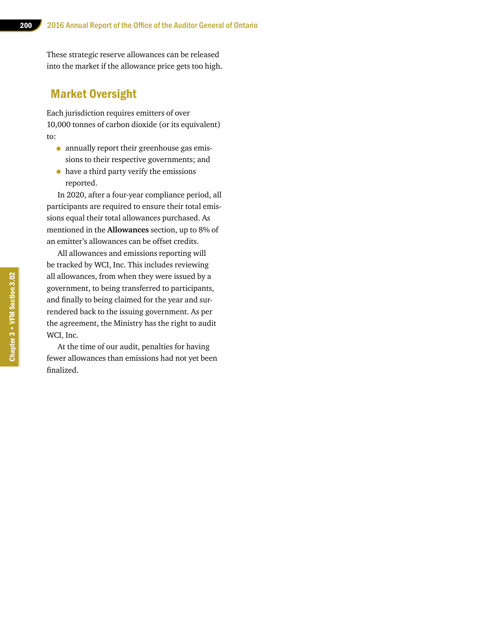These strategic reserve allowances can be released into the market if the allowance price gets too high.

## Market Oversight

Each jurisdiction requires emitters of over 10,000 tonnes of carbon dioxide (or its equivalent) to:

- annually report their greenhouse gas emissions to their respective governments; and
- have a third party verify the emissions reported.

In 2020, after a four-year compliance period, all participants are required to ensure their total emissions equal their total allowances purchased. As mentioned in the **Allowances** section, up to 8% of an emitter's allowances can be offset credits.

All allowances and emissions reporting will be tracked by WCI, Inc. This includes reviewing all allowances, from when they were issued by a government, to being transferred to participants, and finally to being claimed for the year and surrendered back to the issuing government. As per the agreement, the Ministry has the right to audit WCI, Inc.

At the time of our audit, penalties for having fewer allowances than emissions had not yet been finalized.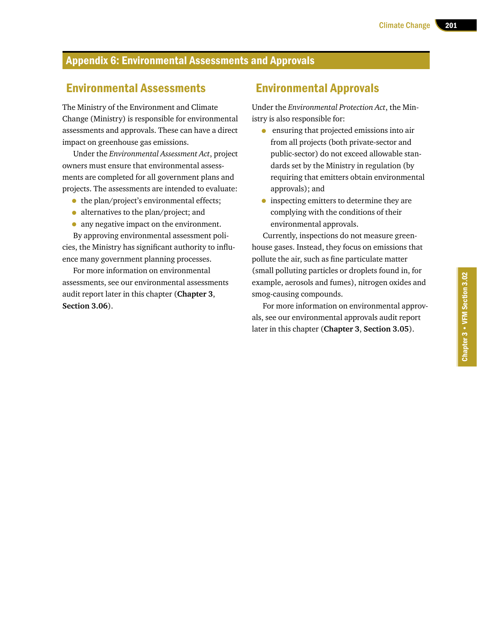## Appendix 6: Environmental Assessments and Approvals

## Environmental Assessments

The Ministry of the Environment and Climate Change (Ministry) is responsible for environmental assessments and approvals. These can have a direct impact on greenhouse gas emissions.

Under the *Environmental Assessment Act*, project owners must ensure that environmental assessments are completed for all government plans and projects. The assessments are intended to evaluate:

- the plan/project's environmental effects;
- alternatives to the plan/project; and
- any negative impact on the environment.

By approving environmental assessment policies, the Ministry has significant authority to influence many government planning processes.

For more information on environmental assessments, see our environmental assessments audit report later in this chapter (**Chapter 3**, **Section 3.06**).

## Environmental Approvals

Under the *Environmental Protection Act*, the Ministry is also responsible for:

- ensuring that projected emissions into air from all projects (both private-sector and public-sector) do not exceed allowable standards set by the Ministry in regulation (by requiring that emitters obtain environmental approvals); and
- inspecting emitters to determine they are complying with the conditions of their environmental approvals.

Currently, inspections do not measure greenhouse gases. Instead, they focus on emissions that pollute the air, such as fine particulate matter (small polluting particles or droplets found in, for example, aerosols and fumes), nitrogen oxides and smog-causing compounds.

For more information on environmental approvals, see our environmental approvals audit report later in this chapter (**Chapter 3**, **Section 3.05**).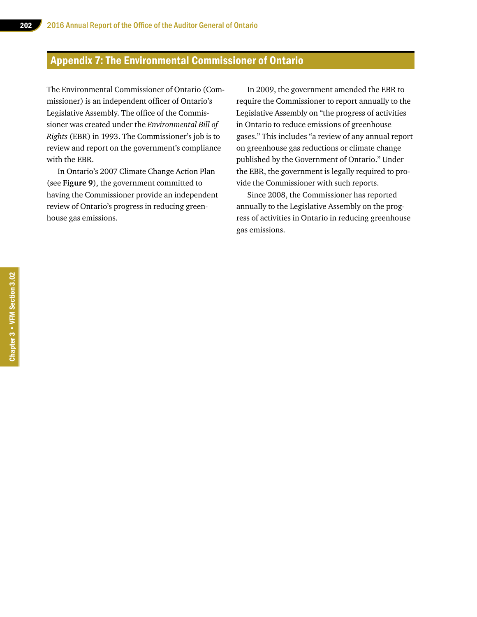## Appendix 7: The Environmental Commissioner of Ontario

The Environmental Commissioner of Ontario (Commissioner) is an independent officer of Ontario's Legislative Assembly. The office of the Commissioner was created under the *Environmental Bill of Rights* (EBR) in 1993. The Commissioner's job is to review and report on the government's compliance with the EBR.

In Ontario's 2007 Climate Change Action Plan (see **Figure 9**), the government committed to having the Commissioner provide an independent review of Ontario's progress in reducing greenhouse gas emissions.

In 2009, the government amended the EBR to require the Commissioner to report annually to the Legislative Assembly on "the progress of activities in Ontario to reduce emissions of greenhouse gases." This includes "a review of any annual report on greenhouse gas reductions or climate change published by the Government of Ontario." Under the EBR, the government is legally required to provide the Commissioner with such reports.

Since 2008, the Commissioner has reported annually to the Legislative Assembly on the progress of activities in Ontario in reducing greenhouse gas emissions.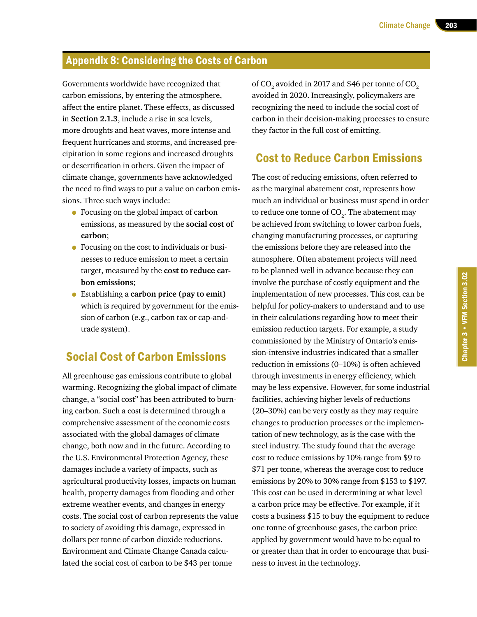## Appendix 8: Considering the Costs of Carbon

Governments worldwide have recognized that carbon emissions, by entering the atmosphere, affect the entire planet. These effects, as discussed in **Section 2.1.3**, include a rise in sea levels, more droughts and heat waves, more intense and frequent hurricanes and storms, and increased precipitation in some regions and increased droughts or desertification in others. Given the impact of climate change, governments have acknowledged the need to find ways to put a value on carbon emissions. Three such ways include:

- Focusing on the global impact of carbon emissions, as measured by the **social cost of carbon**;
- Focusing on the cost to individuals or businesses to reduce emission to meet a certain target, measured by the **cost to reduce carbon emissions**;
- Establishing a **carbon price (pay to emit)** which is required by government for the emission of carbon (e.g., carbon tax or cap-andtrade system).

## Social Cost of Carbon Emissions

All greenhouse gas emissions contribute to global warming. Recognizing the global impact of climate change, a "social cost" has been attributed to burning carbon. Such a cost is determined through a comprehensive assessment of the economic costs associated with the global damages of climate change, both now and in the future. According to the U.S. Environmental Protection Agency, these damages include a variety of impacts, such as agricultural productivity losses, impacts on human health, property damages from flooding and other extreme weather events, and changes in energy costs. The social cost of carbon represents the value to society of avoiding this damage, expressed in dollars per tonne of carbon dioxide reductions. Environment and Climate Change Canada calculated the social cost of carbon to be \$43 per tonne

of CO $_{\textrm{\tiny{2}}}$  avoided in 2017 and \$46 per tonne of CO $_{\textrm{\tiny{2}}}$ avoided in 2020. Increasingly, policymakers are recognizing the need to include the social cost of carbon in their decision-making processes to ensure they factor in the full cost of emitting.

## Cost to Reduce Carbon Emissions

The cost of reducing emissions, often referred to as the marginal abatement cost, represents how much an individual or business must spend in order to reduce one tonne of  $\mathrm{CO}_2^{}$ . The abatement may be achieved from switching to lower carbon fuels, changing manufacturing processes, or capturing the emissions before they are released into the atmosphere. Often abatement projects will need to be planned well in advance because they can involve the purchase of costly equipment and the implementation of new processes. This cost can be helpful for policy-makers to understand and to use in their calculations regarding how to meet their emission reduction targets. For example, a study commissioned by the Ministry of Ontario's emission-intensive industries indicated that a smaller reduction in emissions (0–10%) is often achieved through investments in energy efficiency, which may be less expensive. However, for some industrial facilities, achieving higher levels of reductions (20–30%) can be very costly as they may require changes to production processes or the implementation of new technology, as is the case with the steel industry. The study found that the average cost to reduce emissions by 10% range from \$9 to \$71 per tonne, whereas the average cost to reduce emissions by 20% to 30% range from \$153 to \$197. This cost can be used in determining at what level a carbon price may be effective. For example, if it costs a business \$15 to buy the equipment to reduce one tonne of greenhouse gases, the carbon price applied by government would have to be equal to or greater than that in order to encourage that business to invest in the technology.